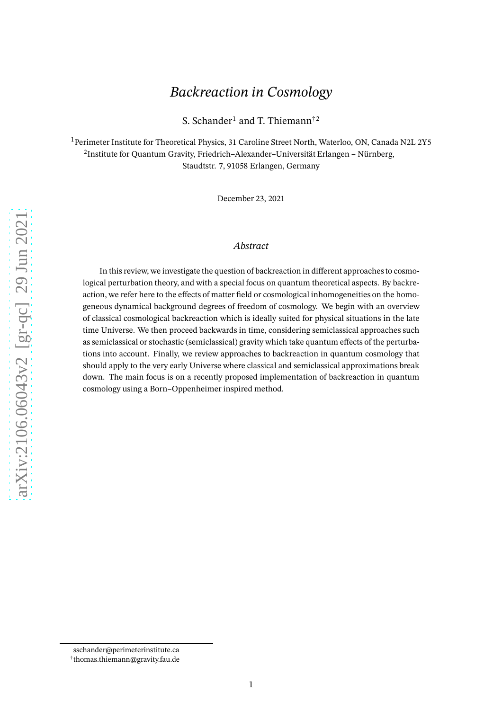# *Backreaction in Cosmology*

S. Schander<sup>1</sup> and T. Thiemann<sup>†2</sup>

<sup>1</sup> Perimeter Institute for Theoretical Physics, 31 Caroline Street North, Waterloo, ON, Canada N2L 2Y5  $^2$ Institute for Quantum Gravity, Friedrich–Alexander–Universität Erlangen – Nürnberg, Staudtstr. 7, 91058 Erlangen, Germany

December 23, 2021

#### *Abstract*

In this review, we investigate the question of backreaction in different approaches to cosmological perturbation theory, and with a special focus on quantum theoretical aspects. By backreaction, we refer here to the effects of matter field or cosmological inhomogeneities on the homogeneous dynamical background degrees of freedom of cosmology. We begin with an overview of classical cosmological backreaction which is ideally suited for physical situations in the late time Universe. We then proceed backwards in time, considering semiclassical approaches such as semiclassical or stochastic (semiclassical) gravity which take quantum effects of the perturbations into account. Finally, we review approaches to backreaction in quantum cosmology that should apply to the very early Universe where classical and semiclassical approximations break down. The main focus is on a recently proposed implementation of backreaction in quantum cosmology using a Born–Oppenheimer inspired method.

sschander@perimeterinstitute.ca

<sup>†</sup> thomas.thiemann@gravity.fau.de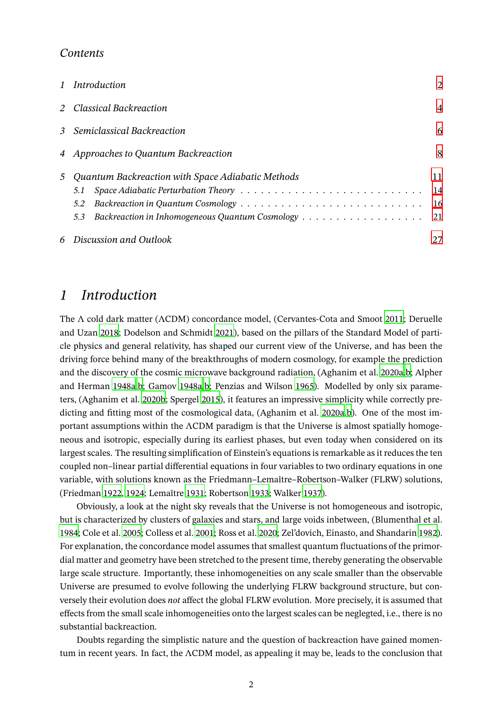#### *Contents*

|   | 1 Introduction                                                                                                               | $\overline{2}$   |
|---|------------------------------------------------------------------------------------------------------------------------------|------------------|
|   | 2 Classical Backreaction                                                                                                     | $\overline{4}$   |
|   | 3 Semiclassical Backreaction                                                                                                 | 6                |
|   | 4 Approaches to Quantum Backreaction                                                                                         | 8                |
| 5 | Quantum Backreaction with Space Adiabatic Methods<br>5.1<br>5.2<br>Backreaction in Inhomogeneous Quantum Cosmology 21<br>5.3 | 11<br>14<br>- 16 |
|   | 6 Discussion and Outlook                                                                                                     | 27               |

### <span id="page-1-0"></span>*1 Introduction*

The Λ cold dark matter (ΛCDM) concordance model, (Cervantes-Cota and Smoot [2011](#page-31-0); Deruelle and Uzan [2018;](#page-31-1) Dodelson and Schmidt [2021\)](#page-32-0), based on the pillars of the Standard Model of particle physics and general relativity, has shaped our current view of the Universe, and has been the driving force behind many of the breakthroughs of modern cosmology, for example the prediction and the discovery of the cosmic microwave background radiation, (Aghanim et al. [2020a](#page-28-0)[,b](#page-28-1); Alpher and Herman [1948a](#page-28-2)[,b](#page-28-3); Gamov [1948a](#page-33-0)[,b](#page-33-1); Penzias and Wilson [1965\)](#page-37-0). Modelled by only six parameters, (Aghanim et al. [2020b](#page-28-1); Spergel [2015\)](#page-38-0), it features an impressive simplicity while correctly pre-dicting and fitting most of the cosmological data, (Aghanim et al. [2020a](#page-28-0)[,b\)](#page-28-1). One of the most important assumptions within the ΛCDM paradigm is that the Universe is almost spatially homogeneous and isotropic, especially during its earliest phases, but even today when considered on its largest scales. The resulting simplification of Einstein's equations is remarkable as it reduces the ten coupled non–linear partial differential equations in four variables to two ordinary equations in one variable, with solutions known as the Friedmann–Lemaître–Robertson–Walker (FLRW) solutions, (Friedman [1922,](#page-33-2) [1924;](#page-33-3) Lemaître [1931](#page-35-0); Robertson [1933;](#page-37-1) Walker [1937](#page-39-0)).

Obviously, a look at the night sky reveals that the Universe is not homogeneous and isotropic, but is characterized by clusters of galaxies and stars, and large voids inbetween, (Blumenthal et al. [1984;](#page-29-0) Cole et al. [2005](#page-31-2); Colless et al. [2001;](#page-31-3) Ross et al. [2020](#page-37-2); Zel'dovich, Einasto, and Shandarin [1982](#page-40-0)). For explanation, the concordance model assumes that smallest quantum fluctuations of the primordial matter and geometry have been stretched to the present time, thereby generating the observable large scale structure. Importantly, these inhomogeneities on any scale smaller than the observable Universe are presumed to evolve following the underlying FLRW background structure, but conversely their evolution does *not* affect the global FLRW evolution. More precisely, it is assumed that effects from the small scale inhomogeneities onto the largest scales can be neglegted, i.e., there is no substantial backreaction.

Doubts regarding the simplistic nature and the question of backreaction have gained momentum in recent years. In fact, the ΛCDM model, as appealing it may be, leads to the conclusion that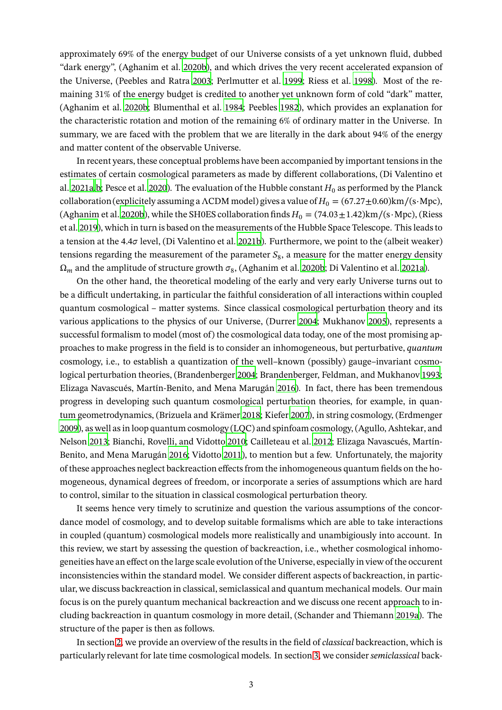approximately 69% of the energy budget of our Universe consists of a yet unknown fluid, dubbed "dark energy", (Aghanim et al. [2020b\)](#page-28-1), and which drives the very recent accelerated expansion of the Universe, (Peebles and Ratra [2003;](#page-37-3) Perlmutter et al. [1999](#page-37-4); Riess et al. [1998](#page-37-5)). Most of the remaining 31% of the energy budget is credited to another yet unknown form of cold "dark" matter, (Aghanim et al. [2020b](#page-28-1); Blumenthal et al. [1984;](#page-29-0) Peebles [1982\)](#page-37-6), which provides an explanation for the characteristic rotation and motion of the remaining 6% of ordinary matter in the Universe. In summary, we are faced with the problem that we are literally in the dark about 94% of the energy and matter content of the observable Universe.

In recent years, these conceptual problems have been accompanied by important tensions in the estimates of certain cosmological parameters as made by different collaborations, (Di Valentino et al. [2021a](#page-31-4)[,b](#page-31-5); Pesce et al. [2020\)](#page-37-7). The evaluation of the Hubble constant  $H_0$  as performed by the Planck collaboration (explicitely assuming a ΛCDM model) gives a value of  $H_0 = (67.27 \pm 0.60) \text{km/(s\cdot Mpc)}$ , (Aghanim et al. [2020b\)](#page-28-1), while the SH0ES collaboration finds  $H_0 = (74.03 \pm 1.42) \text{km/(s \cdot Mpc)}$ , (Riess et al. [2019\)](#page-37-8), which in turn is based on the measurements of the Hubble Space Telescope. This leads to a tension at the 4.4 $\sigma$  level, (Di Valentino et al. [2021b](#page-31-5)). Furthermore, we point to the (albeit weaker) tensions regarding the measurement of the parameter  $S_8$ , a measure for the matter energy density  $\Omega_m$  and the amplitude of structure growth  $\sigma_8$ , (Aghanim et al. [2020b;](#page-28-1) Di Valentino et al. [2021a\)](#page-31-4).

On the other hand, the theoretical modeling of the early and very early Universe turns out to be a difficult undertaking, in particular the faithful consideration of all interactions within coupled quantum cosmological – matter systems. Since classical cosmological perturbation theory and its various applications to the physics of our Universe, (Durrer [2004;](#page-32-1) Mukhanov [2005](#page-36-0)), represents a successful formalism to model (most of) the cosmological data today, one of the most promising approaches to make progress in the field is to consider an inhomogeneous, but perturbative, *quantum* cosmology, i.e., to establish a quantization of the well–known (possibly) gauge–invariant cosmological perturbation theories, (Brandenberger [2004;](#page-30-0) Brandenberger, Feldman, and Mukhanov [1993;](#page-30-1) Elizaga Navascués, Martín-Benito, and Mena Marugán [2016](#page-32-2)). In fact, there has been tremendous progress in developing such quantum cosmological perturbation theories, for example, in quantum geometrodynamics, (Brizuela and Krämer [2018;](#page-30-2) Kiefer [2007](#page-35-1)), in string cosmology, (Erdmenger [2009\)](#page-32-3), as well as in loop quantum cosmology (LQC) and spinfoam cosmology, (Agullo, Ashtekar, and Nelson [2013;](#page-28-4) Bianchi, Rovelli, and Vidotto [2010](#page-29-1); Cailleteau et al. [2012](#page-30-3); Elizaga Navascués, Martín-Benito, and Mena Marugán [2016](#page-32-2); Vidotto [2011](#page-39-1)), to mention but a few. Unfortunately, the majority of these approaches neglect backreaction effects from the inhomogeneous quantum fields on the homogeneous, dynamical degrees of freedom, or incorporate a series of assumptions which are hard to control, similar to the situation in classical cosmological perturbation theory.

It seems hence very timely to scrutinize and question the various assumptions of the concordance model of cosmology, and to develop suitable formalisms which are able to take interactions in coupled (quantum) cosmological models more realistically and unambigiously into account. In this review, we start by assessing the question of backreaction, i.e., whether cosmological inhomogeneities have an effect on the large scale evolution of the Universe, especially in view of the occurent inconsistencies within the standard model. We consider different aspects of backreaction, in particular, we discuss backreaction in classical, semiclassical and quantum mechanical models. Our main focus is on the purely quantum mechanical backreaction and we discuss one recent approach to including backreaction in quantum cosmology in more detail, (Schander and Thiemann [2019a](#page-38-1)). The structure of the paper is then as follows.

In section [2,](#page-3-0) we provide an overview of the results in the field of *classical* backreaction, which is particularly relevant for late time cosmological models. In section [3,](#page-5-0) we consider *semiclassical* back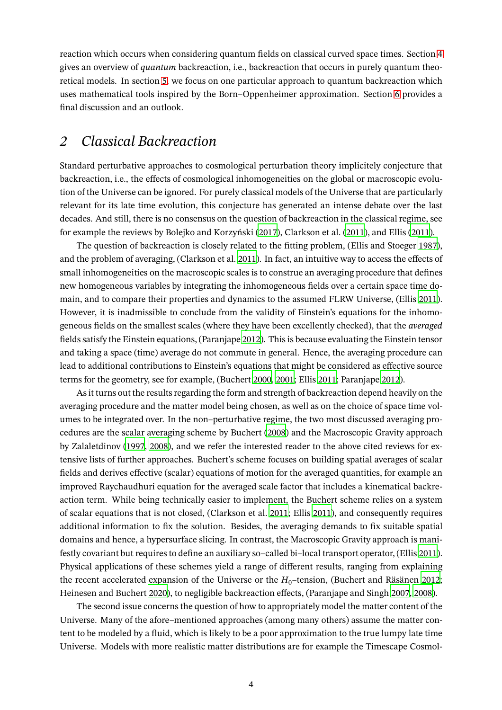reaction which occurs when considering quantum fields on classical curved space times. Section [4](#page-7-0) gives an overview of *quantum* backreaction, i.e., backreaction that occurs in purely quantum theoretical models. In section [5,](#page-10-0) we focus on one particular approach to quantum backreaction which uses mathematical tools inspired by the Born–Oppenheimer approximation. Section [6](#page-26-0) provides a final discussion and an outlook.

### <span id="page-3-0"></span>*2 Classical Backreaction*

Standard perturbative approaches to cosmological perturbation theory implicitely conjecture that backreaction, i.e., the effects of cosmological inhomogeneities on the global or macroscopic evolution of the Universe can be ignored. For purely classical models of the Universe that are particularly relevant for its late time evolution, this conjecture has generated an intense debate over the last decades. And still, there is no consensus on the question of backreaction in the classical regime, see for example the reviews by Bolejko and Korzyński [\(2017](#page-29-2)), Clarkson et al. [\(2011\)](#page-31-6), and Ellis [\(2011](#page-32-4)).

The question of backreaction is closely related to the fitting problem, (Ellis and Stoeger [1987\)](#page-32-5), and the problem of averaging, (Clarkson et al. [2011\)](#page-31-6). In fact, an intuitive way to access the effects of small inhomogeneities on the macroscopic scales is to construe an averaging procedure that defines new homogeneous variables by integrating the inhomogeneous fields over a certain space time domain, and to compare their properties and dynamics to the assumed FLRW Universe, (Ellis [2011](#page-32-4)). However, it is inadmissible to conclude from the validity of Einstein's equations for the inhomogeneous fields on the smallest scales (where they have been excellently checked), that the *averaged* fields satisfy the Einstein equations, (Paranjape [2012\)](#page-36-1). This is because evaluating the Einstein tensor and taking a space (time) average do not commute in general. Hence, the averaging procedure can lead to additional contributions to Einstein's equations that might be considered as effective source terms for the geometry, see for example, (Buchert [2000,](#page-30-4) [2001;](#page-30-5) Ellis [2011;](#page-32-4) Paranjape [2012\)](#page-36-1).

As it turns out the results regarding the form and strength of backreaction depend heavily on the averaging procedure and the matter model being chosen, as well as on the choice of space time volumes to be integrated over. In the non–perturbative regime, the two most discussed averaging procedures are the scalar averaging scheme by Buchert [\(2008\)](#page-30-6) and the Macroscopic Gravity approach by Zalaletdinov [\(1997](#page-39-2), [2008](#page-39-3)), and we refer the interested reader to the above cited reviews for extensive lists of further approaches. Buchert's scheme focuses on building spatial averages of scalar fields and derives effective (scalar) equations of motion for the averaged quantities, for example an improved Raychaudhuri equation for the averaged scale factor that includes a kinematical backreaction term. While being technically easier to implement, the Buchert scheme relies on a system of scalar equations that is not closed, (Clarkson et al. [2011;](#page-31-6) Ellis [2011\)](#page-32-4), and consequently requires additional information to fix the solution. Besides, the averaging demands to fix suitable spatial domains and hence, a hypersurface slicing. In contrast, the Macroscopic Gravity approach is manifestly covariant but requires to define an auxiliary so–called bi–local transport operator, (Ellis [2011](#page-32-4)). Physical applications of these schemes yield a range of different results, ranging from explaining the recent accelerated expansion of the Universe or the  $H_0$ –tension, (Buchert and Räsänen [2012;](#page-30-7) Heinesen and Buchert [2020](#page-34-0)), to negligible backreaction effects, (Paranjape and Singh [2007](#page-36-2), [2008](#page-36-3)).

The second issue concerns the question of how to appropriately model the matter content of the Universe. Many of the afore–mentioned approaches (among many others) assume the matter content to be modeled by a fluid, which is likely to be a poor approximation to the true lumpy late time Universe. Models with more realistic matter distributions are for example the Timescape Cosmol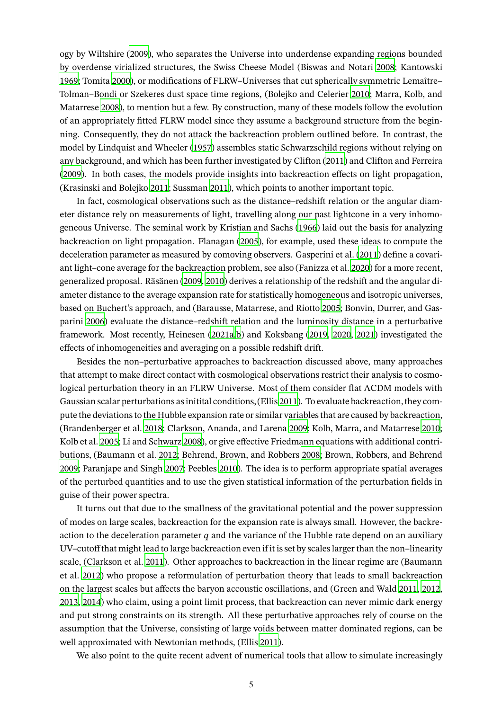ogy by Wiltshire [\(2009\)](#page-39-4), who separates the Universe into underdense expanding regions bounded by overdense virialized structures, the Swiss Cheese Model (Biswas and Notari [2008;](#page-29-3) Kantowski [1969;](#page-34-1) Tomita [2000](#page-39-5)), or modifications of FLRW–Universes that cut spherically symmetric Lemaître– Tolman–Bondi or Szekeres dust space time regions, (Bolejko and Celerier [2010;](#page-29-4) Marra, Kolb, and Matarrese [2008](#page-36-4)), to mention but a few. By construction, many of these models follow the evolution of an appropriately fitted FLRW model since they assume a background structure from the beginning. Consequently, they do not attack the backreaction problem outlined before. In contrast, the model by Lindquist and Wheeler [\(1957\)](#page-35-2) assembles static Schwarzschild regions without relying on any background, and which has been further investigated by Clifton [\(2011\)](#page-31-7) and Clifton and Ferreira [\(2009](#page-31-8)). In both cases, the models provide insights into backreaction effects on light propagation, (Krasinski and Bolejko [2011;](#page-35-3) Sussman [2011\)](#page-39-6), which points to another important topic.

In fact, cosmological observations such as the distance–redshift relation or the angular diameter distance rely on measurements of light, travelling along our past lightcone in a very inhomogeneous Universe. The seminal work by Kristian and Sachs [\(1966](#page-35-4)) laid out the basis for analyzing backreaction on light propagation. Flanagan [\(2005](#page-33-4)), for example, used these ideas to compute the deceleration parameter as measured by comoving observers. Gasperini et al. [\(2011\)](#page-33-5) define a covariant light–cone average for the backreaction problem, see also (Fanizza et al. [2020\)](#page-32-6) for a more recent, generalized proposal. Räsänen [\(2009,](#page-38-2) [2010\)](#page-38-3) derives a relationship of the redshift and the angular diameter distance to the average expansion rate for statistically homogeneous and isotropic universes, based on Buchert's approach, and (Barausse, Matarrese, and Riotto [2005](#page-29-5); Bonvin, Durrer, and Gasparini [2006\)](#page-29-6) evaluate the distance–redshift relation and the luminosity distance in a perturbative framework. Most recently, Heinesen [\(2021a](#page-34-2)[,b](#page-34-3)) and Koksbang [\(2019](#page-35-5), [2020](#page-35-6), [2021](#page-35-7)) investigated the effects of inhomogeneities and averaging on a possible redshift drift.

Besides the non–perturbative approaches to backreaction discussed above, many approaches that attempt to make direct contact with cosmological observations restrict their analysis to cosmological perturbation theory in an FLRW Universe. Most of them consider flat ΛCDM models with Gaussian scalar perturbations as initital conditions, (Ellis [2011\)](#page-32-4). To evaluate backreaction, they compute the deviations to the Hubble expansion rate or similar variables that are caused by backreaction, (Brandenberger et al. [2018;](#page-30-8) Clarkson, Ananda, and Larena [2009](#page-31-9); Kolb, Marra, and Matarrese [2010;](#page-35-8) Kolb et al. [2005](#page-35-9); Li and Schwarz [2008\)](#page-35-10), or give effective Friedmann equations with additional contributions, (Baumann et al. [2012;](#page-29-7) Behrend, Brown, and Robbers [2008](#page-29-8); Brown, Robbers, and Behrend [2009;](#page-30-9) Paranjape and Singh [2007](#page-36-2); Peebles [2010](#page-37-9)). The idea is to perform appropriate spatial averages of the perturbed quantities and to use the given statistical information of the perturbation fields in guise of their power spectra.

It turns out that due to the smallness of the gravitational potential and the power suppression of modes on large scales, backreaction for the expansion rate is always small. However, the backreaction to the deceleration parameter  $q$  and the variance of the Hubble rate depend on an auxiliary UV–cutoff that might lead to large backreaction even if it is set by scales larger than the non–linearity scale, (Clarkson et al. [2011](#page-31-6)). Other approaches to backreaction in the linear regime are (Baumann et al. [2012](#page-29-7)) who propose a reformulation of perturbation theory that leads to small backreaction on the largest scales but affects the baryon accoustic oscillations, and (Green and Wald [2011,](#page-33-6) [2012,](#page-33-7) [2013,](#page-33-8) [2014\)](#page-33-9) who claim, using a point limit process, that backreaction can never mimic dark energy and put strong constraints on its strength. All these perturbative approaches rely of course on the assumption that the Universe, consisting of large voids between matter dominated regions, can be well approximated with Newtonian methods, (Ellis [2011\)](#page-32-4).

We also point to the quite recent advent of numerical tools that allow to simulate increasingly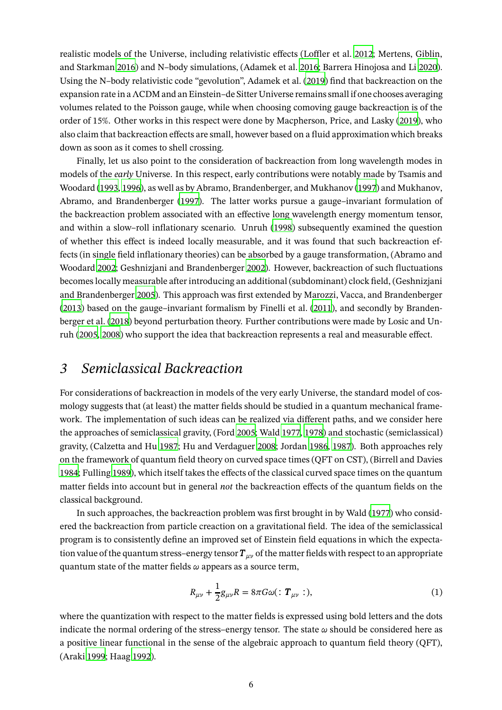realistic models of the Universe, including relativistic effects (Loffler et al. [2012;](#page-35-11) Mertens, Giblin, and Starkman [2016](#page-36-5)) and N–body simulations, (Adamek et al. [2016](#page-28-5); Barrera Hinojosa and Li [2020](#page-29-9)). Using the N–body relativistic code "gevolution", Adamek et al. [\(2019\)](#page-28-6) find that backreaction on the expansion rate in a ΛCDM and an Einstein–de Sitter Universe remains small if one chooses averaging volumes related to the Poisson gauge, while when choosing comoving gauge backreaction is of the order of 15%. Other works in this respect were done by Macpherson, Price, and Lasky [\(2019](#page-36-6)), who also claim that backreaction effects are small, however based on a fluid approximation which breaks down as soon as it comes to shell crossing.

Finally, let us also point to the consideration of backreaction from long wavelength modes in models of the *early* Universe. In this respect, early contributions were notably made by Tsamis and Woodard [\(1993](#page-39-7), [1996\)](#page-39-8), as well as by Abramo, Brandenberger, and Mukhanov [\(1997\)](#page-28-7) and Mukhanov, Abramo, and Brandenberger [\(1997\)](#page-36-7). The latter works pursue a gauge–invariant formulation of the backreaction problem associated with an effective long wavelength energy momentum tensor, and within a slow–roll inflationary scenario. Unruh [\(1998](#page-39-9)) subsequently examined the question of whether this effect is indeed locally measurable, and it was found that such backreaction effects (in single field inflationary theories) can be absorbed by a gauge transformation, (Abramo and Woodard [2002](#page-28-8); Geshnizjani and Brandenberger [2002](#page-33-10)). However, backreaction of such fluctuations becomes locally measurable after introducing an additional (subdominant) clock field, (Geshnizjani and Brandenberger [2005\)](#page-33-11). This approach was first extended by Marozzi, Vacca, and Brandenberger [\(2013](#page-36-8)) based on the gauge–invariant formalism by Finelli et al. [\(2011](#page-32-7)), and secondly by Brandenberger et al. [\(2018\)](#page-30-8) beyond perturbation theory. Further contributions were made by Losic and Unruh [\(2005](#page-35-12), [2008](#page-35-13)) who support the idea that backreaction represents a real and measurable effect.

# <span id="page-5-0"></span>*3 Semiclassical Backreaction*

For considerations of backreaction in models of the very early Universe, the standard model of cosmology suggests that (at least) the matter fields should be studied in a quantum mechanical framework. The implementation of such ideas can be realized via different paths, and we consider here the approaches of semiclassical gravity, (Ford [2005](#page-33-12); Wald [1977,](#page-39-10) [1978\)](#page-39-11) and stochastic (semiclassical) gravity, (Calzetta and Hu [1987;](#page-30-10) Hu and Verdaguer [2008;](#page-34-4) Jordan [1986,](#page-34-5) [1987\)](#page-34-6). Both approaches rely on the framework of quantum field theory on curved space times (QFT on CST), (Birrell and Davies [1984;](#page-29-10) Fulling [1989\)](#page-33-13), which itself takes the effects of the classical curved space times on the quantum matter fields into account but in general *not* the backreaction effects of the quantum fields on the classical background.

In such approaches, the backreaction problem was first brought in by Wald [\(1977](#page-39-10)) who considered the backreaction from particle creaction on a gravitational field. The idea of the semiclassical program is to consistently define an improved set of Einstein field equations in which the expectation value of the quantum stress–energy tensor  $T_{\mu\nu}$  of the matter fields with respect to an appropriate quantum state of the matter fields  $\omega$  appears as a source term,

$$
R_{\mu\nu} + \frac{1}{2}g_{\mu\nu}R = 8\pi G\omega(\because \mathbf{T}_{\mu\nu} :), \tag{1}
$$

where the quantization with respect to the matter fields is expressed using bold letters and the dots indicate the normal ordering of the stress–energy tensor. The state  $\omega$  should be considered here as a positive linear functional in the sense of the algebraic approach to quantum field theory (QFT), (Araki [1999;](#page-28-9) Haag [1992\)](#page-34-7).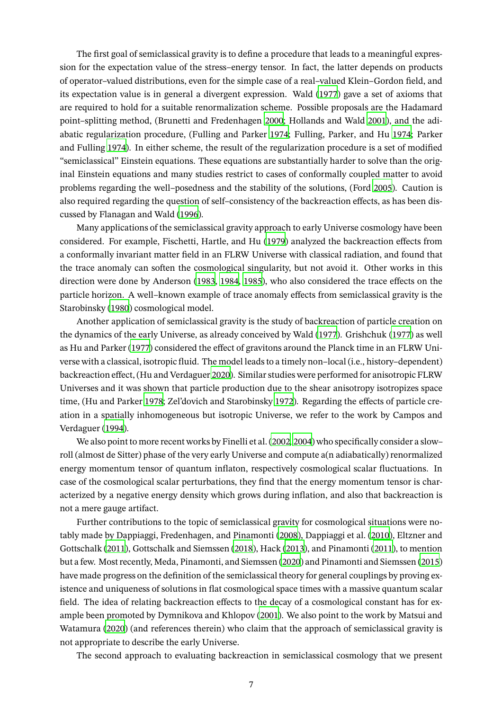The first goal of semiclassical gravity is to define a procedure that leads to a meaningful expression for the expectation value of the stress–energy tensor. In fact, the latter depends on products of operator–valued distributions, even for the simple case of a real–valued Klein–Gordon field, and its expectation value is in general a divergent expression. Wald [\(1977\)](#page-39-10) gave a set of axioms that are required to hold for a suitable renormalization scheme. Possible proposals are the Hadamard point–splitting method, (Brunetti and Fredenhagen [2000;](#page-30-11) Hollands and Wald [2001\)](#page-34-8), and the adiabatic regularization procedure, (Fulling and Parker [1974;](#page-33-14) Fulling, Parker, and Hu [1974](#page-33-15); Parker and Fulling [1974](#page-36-9)). In either scheme, the result of the regularization procedure is a set of modified "semiclassical" Einstein equations. These equations are substantially harder to solve than the original Einstein equations and many studies restrict to cases of conformally coupled matter to avoid problems regarding the well–posedness and the stability of the solutions, (Ford [2005\)](#page-33-12). Caution is also required regarding the question of self–consistency of the backreaction effects, as has been discussed by Flanagan and Wald [\(1996\)](#page-33-16).

Many applications of the semiclassical gravity approach to early Universe cosmology have been considered. For example, Fischetti, Hartle, and Hu [\(1979\)](#page-32-8) analyzed the backreaction effects from a conformally invariant matter field in an FLRW Universe with classical radiation, and found that the trace anomaly can soften the cosmological singularity, but not avoid it. Other works in this direction were done by Anderson [\(1983](#page-28-10), [1984,](#page-28-11) [1985](#page-28-12)), who also considered the trace effects on the particle horizon. A well–known example of trace anomaly effects from semiclassical gravity is the Starobinsky [\(1980](#page-38-4)) cosmological model.

Another application of semiclassical gravity is the study of backreaction of particle creation on the dynamics of the early Universe, as already conceived by Wald [\(1977](#page-39-10)). Grishchuk [\(1977](#page-34-9)) as well as Hu and Parker [\(1977](#page-34-10)) considered the effect of gravitons around the Planck time in an FLRW Universe with a classical, isotropic fluid. The model leads to a timely non–local (i.e., history–dependent) backreaction effect, (Hu and Verdaguer [2020\)](#page-34-11). Similar studies were performed for anisotropic FLRW Universes and it was shown that particle production due to the shear anisotropy isotropizes space time, (Hu and Parker [1978](#page-34-12); Zel'dovich and Starobinsky [1972\)](#page-40-1). Regarding the effects of particle creation in a spatially inhomogeneous but isotropic Universe, we refer to the work by Campos and Verdaguer [\(1994](#page-31-10)).

We also point to more recent works by Finelli et al. [\(2002,](#page-32-9) [2004](#page-32-10)) who specifically consider a slow– roll (almost de Sitter) phase of the very early Universe and compute a(n adiabatically) renormalized energy momentum tensor of quantum inflaton, respectively cosmological scalar fluctuations. In case of the cosmological scalar perturbations, they find that the energy momentum tensor is characterized by a negative energy density which grows during inflation, and also that backreaction is not a mere gauge artifact.

Further contributions to the topic of semiclassical gravity for cosmological situations were notably made by Dappiaggi, Fredenhagen, and Pinamonti [\(2008\)](#page-31-11), Dappiaggi et al. [\(2010](#page-31-12)), Eltzner and Gottschalk [\(2011](#page-32-11)), Gottschalk and Siemssen [\(2018\)](#page-33-17), Hack [\(2013](#page-34-13)), and Pinamonti [\(2011](#page-37-10)), to mention but a few. Most recently, Meda, Pinamonti, and Siemssen [\(2020](#page-36-10)) and Pinamonti and Siemssen [\(2015\)](#page-37-11) have made progress on the definition of the semiclassical theory for general couplings by proving existence and uniqueness of solutions in flat cosmological space times with a massive quantum scalar field. The idea of relating backreaction effects to the decay of a cosmological constant has for example been promoted by Dymnikova and Khlopov [\(2001\)](#page-32-12). We also point to the work by Matsui and Watamura [\(2020\)](#page-36-11) (and references therein) who claim that the approach of semiclassical gravity is not appropriate to describe the early Universe.

The second approach to evaluating backreaction in semiclassical cosmology that we present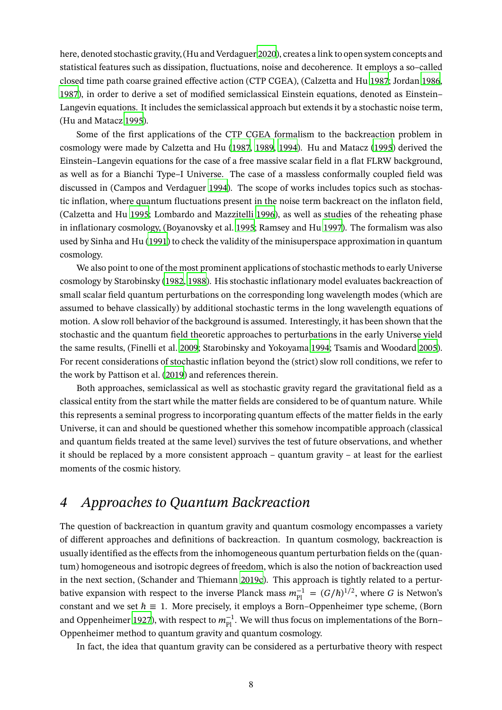here, denoted stochastic gravity, (Hu and Verdaguer [2020](#page-34-11)), creates a link to open system concepts and statistical features such as dissipation, fluctuations, noise and decoherence. It employs a so–called closed time path coarse grained effective action (CTP CGEA), (Calzetta and Hu [1987](#page-30-10); Jordan [1986,](#page-34-5) [1987\)](#page-34-6), in order to derive a set of modified semiclassical Einstein equations, denoted as Einstein– Langevin equations. It includes the semiclassical approach but extends it by a stochastic noise term, (Hu and Matacz [1995\)](#page-34-14).

Some of the first applications of the CTP CGEA formalism to the backreaction problem in cosmology were made by Calzetta and Hu [\(1987,](#page-30-10) [1989](#page-30-12), [1994](#page-30-13)). Hu and Matacz [\(1995](#page-34-14)) derived the Einstein–Langevin equations for the case of a free massive scalar field in a flat FLRW background, as well as for a Bianchi Type–I Universe. The case of a massless conformally coupled field was discussed in (Campos and Verdaguer [1994](#page-31-10)). The scope of works includes topics such as stochastic inflation, where quantum fluctuations present in the noise term backreact on the inflaton field, (Calzetta and Hu [1995](#page-31-13); Lombardo and Mazzitelli [1996\)](#page-35-14), as well as studies of the reheating phase in inflationary cosmology, (Boyanovsky et al. [1995](#page-29-11); Ramsey and Hu [1997](#page-37-12)). The formalism was also used by Sinha and Hu [\(1991](#page-38-5)) to check the validity of the minisuperspace approximation in quantum cosmology.

We also point to one of the most prominent applications of stochastic methods to early Universe cosmology by Starobinsky [\(1982,](#page-38-6) [1988](#page-38-7)). His stochastic inflationary model evaluates backreaction of small scalar field quantum perturbations on the corresponding long wavelength modes (which are assumed to behave classically) by additional stochastic terms in the long wavelength equations of motion. A slow roll behavior of the background is assumed. Interestingly, it has been shown that the stochastic and the quantum field theoretic approaches to perturbations in the early Universe yield the same results, (Finelli et al. [2009;](#page-32-13) Starobinsky and Yokoyama [1994](#page-38-8); Tsamis and Woodard [2005](#page-39-12)). For recent considerations of stochastic inflation beyond the (strict) slow roll conditions, we refer to the work by Pattison et al. [\(2019\)](#page-37-13) and references therein.

Both approaches, semiclassical as well as stochastic gravity regard the gravitational field as a classical entity from the start while the matter fields are considered to be of quantum nature. While this represents a seminal progress to incorporating quantum effects of the matter fields in the early Universe, it can and should be questioned whether this somehow incompatible approach (classical and quantum fields treated at the same level) survives the test of future observations, and whether it should be replaced by a more consistent approach – quantum gravity – at least for the earliest moments of the cosmic history.

# <span id="page-7-0"></span>*4 Approaches to Quantum Backreaction*

The question of backreaction in quantum gravity and quantum cosmology encompasses a variety of different approaches and definitions of backreaction. In quantum cosmology, backreaction is usually identified as the effects from the inhomogeneous quantum perturbation fields on the (quantum) homogeneous and isotropic degrees of freedom, which is also the notion of backreaction used in the next section, (Schander and Thiemann [2019c\)](#page-38-9). This approach is tightly related to a perturbative expansion with respect to the inverse Planck mass  $m_{\rm Pl}^{-1} = (G/\hbar)^{1/2}$ , where G is Netwon's constant and we set  $\hbar \equiv 1$ . More precisely, it employs a Born–Oppenheimer type scheme, (Born and Oppenheimer [1927](#page-29-12)), with respect to  $m_{\rm Pl}^{-1}$ . We will thus focus on implementations of the Born– Oppenheimer method to quantum gravity and quantum cosmology.

In fact, the idea that quantum gravity can be considered as a perturbative theory with respect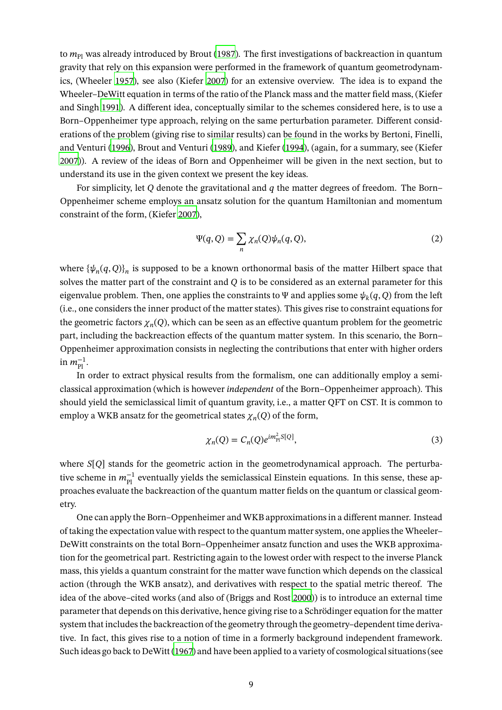to  $m_{\text{Pl}}$  was already introduced by Brout [\(1987\)](#page-30-14). The first investigations of backreaction in quantum gravity that rely on this expansion were performed in the framework of quantum geometrodynamics, (Wheeler [1957](#page-39-13)), see also (Kiefer [2007\)](#page-35-1) for an extensive overview. The idea is to expand the Wheeler–DeWitt equation in terms of the ratio of the Planck mass and the matter field mass, (Kiefer and Singh [1991](#page-35-15)). A different idea, conceptually similar to the schemes considered here, is to use a Born–Oppenheimer type approach, relying on the same perturbation parameter. Different considerations of the problem (giving rise to similar results) can be found in the works by Bertoni, Finelli, and Venturi [\(1996\)](#page-29-13), Brout and Venturi [\(1989\)](#page-30-15), and Kiefer [\(1994](#page-35-16)), (again, for a summary, see (Kiefer [2007\)](#page-35-1)). A review of the ideas of Born and Oppenheimer will be given in the next section, but to understand its use in the given context we present the key ideas.

For simplicity, let Q denote the gravitational and  $q$  the matter degrees of freedom. The Born– Oppenheimer scheme employs an ansatz solution for the quantum Hamiltonian and momentum constraint of the form, (Kiefer [2007\)](#page-35-1),

$$
\Psi(q, Q) = \sum_{n} \chi_n(Q)\psi_n(q, Q), \qquad (2)
$$

where  $\{\psi_n(q,Q)\}_n$  is supposed to be a known orthonormal basis of the matter Hilbert space that solves the matter part of the constraint and  $Q$  is to be considered as an external parameter for this eigenvalue problem. Then, one applies the constraints to  $\Psi$  and applies some  $\psi_k(q,Q)$  from the left (i.e., one considers the inner product of the matter states). This gives rise to constraint equations for the geometric factors  $\chi_n(Q)$ , which can be seen as an effective quantum problem for the geometric part, including the backreaction effects of the quantum matter system. In this scenario, the Born– Oppenheimer approximation consists in neglecting the contributions that enter with higher orders in  $m_{\rm Pl}^{-1}$ .

In order to extract physical results from the formalism, one can additionally employ a semiclassical approximation (which is however *independent* of the Born–Oppenheimer approach). This should yield the semiclassical limit of quantum gravity, i.e., a matter QFT on CST. It is common to employ a WKB ansatz for the geometrical states  $\chi_n(Q)$  of the form,

$$
\chi_n(Q) = C_n(Q)e^{im_n^2|Q|},\tag{3}
$$

where  $S[Q]$  stands for the geometric action in the geometrodynamical approach. The perturbative scheme in  $m_{\rm Pl}^{-1}$  eventually yields the semiclassical Einstein equations. In this sense, these approaches evaluate the backreaction of the quantum matter fields on the quantum or classical geometry.

One can apply the Born–Oppenheimer and WKB approximations in a different manner. Instead of taking the expectation value with respect to the quantum matter system, one applies the Wheeler– DeWitt constraints on the total Born–Oppenheimer ansatz function and uses the WKB approximation for the geometrical part. Restricting again to the lowest order with respect to the inverse Planck mass, this yields a quantum constraint for the matter wave function which depends on the classical action (through the WKB ansatz), and derivatives with respect to the spatial metric thereof. The idea of the above–cited works (and also of (Briggs and Rost [2000\)](#page-30-16)) is to introduce an external time parameter that depends on this derivative, hence giving rise to a Schrödinger equation for the matter system that includes the backreaction of the geometry through the geometry–dependent time derivative. In fact, this gives rise to a notion of time in a formerly background independent framework. Such ideas go back to DeWitt [\(1967\)](#page-31-14) and have been applied to a variety of cosmological situations (see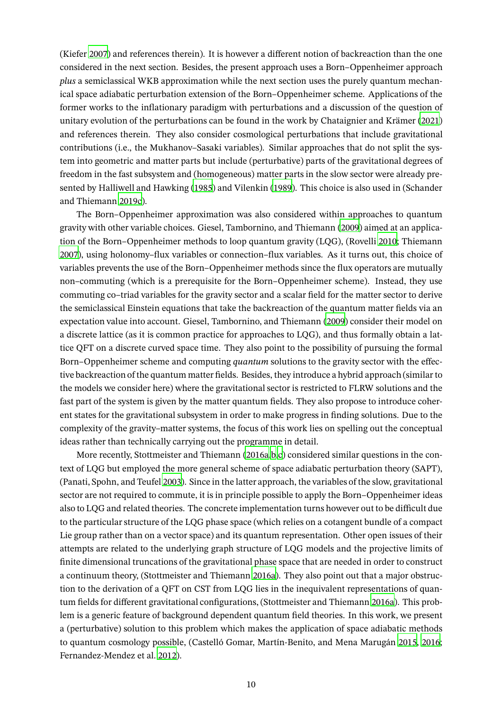(Kiefer [2007](#page-35-1)) and references therein). It is however a different notion of backreaction than the one considered in the next section. Besides, the present approach uses a Born–Oppenheimer approach *plus* a semiclassical WKB approximation while the next section uses the purely quantum mechanical space adiabatic perturbation extension of the Born–Oppenheimer scheme. Applications of the former works to the inflationary paradigm with perturbations and a discussion of the question of unitary evolution of the perturbations can be found in the work by Chataignier and Krämer [\(2021\)](#page-31-15) and references therein. They also consider cosmological perturbations that include gravitational contributions (i.e., the Mukhanov–Sasaki variables). Similar approaches that do not split the system into geometric and matter parts but include (perturbative) parts of the gravitational degrees of freedom in the fast subsystem and (homogeneous) matter parts in the slow sector were already presented by Halliwell and Hawking [\(1985\)](#page-34-15) and Vilenkin [\(1989\)](#page-39-14). This choice is also used in (Schander and Thiemann [2019c](#page-38-9)).

The Born–Oppenheimer approximation was also considered within approaches to quantum gravity with other variable choices. Giesel, Tambornino, and Thiemann [\(2009\)](#page-33-18) aimed at an application of the Born–Oppenheimer methods to loop quantum gravity (LQG), (Rovelli [2010](#page-38-10); Thiemann [2007\)](#page-39-15), using holonomy–flux variables or connection–flux variables. As it turns out, this choice of variables prevents the use of the Born–Oppenheimer methods since the flux operators are mutually non–commuting (which is a prerequisite for the Born–Oppenheimer scheme). Instead, they use commuting co–triad variables for the gravity sector and a scalar field for the matter sector to derive the semiclassical Einstein equations that take the backreaction of the quantum matter fields via an expectation value into account. Giesel, Tambornino, and Thiemann [\(2009\)](#page-33-18) consider their model on a discrete lattice (as it is common practice for approaches to LQG), and thus formally obtain a lattice QFT on a discrete curved space time. They also point to the possibility of pursuing the formal Born–Oppenheimer scheme and computing *quantum* solutions to the gravity sector with the effective backreaction of the quantum matter fields. Besides, they introduce a hybrid approach (similar to the models we consider here) where the gravitational sector is restricted to FLRW solutions and the fast part of the system is given by the matter quantum fields. They also propose to introduce coherent states for the gravitational subsystem in order to make progress in finding solutions. Due to the complexity of the gravity–matter systems, the focus of this work lies on spelling out the conceptual ideas rather than technically carrying out the programme in detail.

More recently, Stottmeister and Thiemann [\(2016a](#page-38-11)[,b](#page-38-12)[,c\)](#page-39-16) considered similar questions in the context of LQG but employed the more general scheme of space adiabatic perturbation theory (SAPT), (Panati, Spohn, and Teufel [2003\)](#page-36-12). Since in the latter approach, the variables of the slow, gravitational sector are not required to commute, it is in principle possible to apply the Born–Oppenheimer ideas also to LQG and related theories. The concrete implementation turns however out to be difficult due to the particular structure of the LQG phase space (which relies on a cotangent bundle of a compact Lie group rather than on a vector space) and its quantum representation. Other open issues of their attempts are related to the underlying graph structure of LQG models and the projective limits of finite dimensional truncations of the gravitational phase space that are needed in order to construct a continuum theory, (Stottmeister and Thiemann [2016a\)](#page-38-11). They also point out that a major obstruction to the derivation of a QFT on CST from LQG lies in the inequivalent representations of quantum fields for different gravitational configurations, (Stottmeister and Thiemann [2016a](#page-38-11)). This problem is a generic feature of background dependent quantum field theories. In this work, we present a (perturbative) solution to this problem which makes the application of space adiabatic methods to quantum cosmology possible, (Castelló Gomar, Martín-Benito, and Mena Marugán [2015,](#page-31-16) [2016;](#page-31-17) Fernandez-Mendez et al. [2012](#page-32-14)).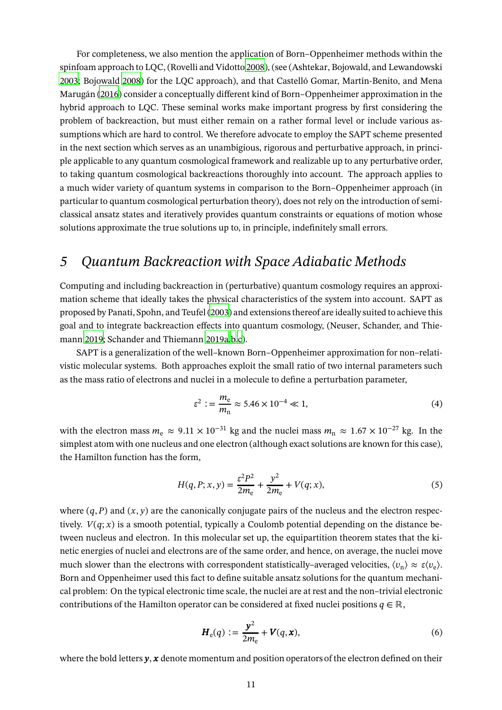For completeness, we also mention the application of Born–Oppenheimer methods within the spinfoam approach to LQC, (Rovelli and Vidotto [2008\)](#page-38-13), (see (Ashtekar, Bojowald, and Lewandowski [2003;](#page-28-13) Bojowald [2008\)](#page-29-14) for the LQC approach), and that Castelló Gomar, Martín-Benito, and Mena Marugán [\(2016\)](#page-31-17) consider a conceptually different kind of Born–Oppenheimer approximation in the hybrid approach to LQC. These seminal works make important progress by first considering the problem of backreaction, but must either remain on a rather formal level or include various assumptions which are hard to control. We therefore advocate to employ the SAPT scheme presented in the next section which serves as an unambigious, rigorous and perturbative approach, in principle applicable to any quantum cosmological framework and realizable up to any perturbative order, to taking quantum cosmological backreactions thoroughly into account. The approach applies to a much wider variety of quantum systems in comparison to the Born–Oppenheimer approach (in particular to quantum cosmological perturbation theory), does not rely on the introduction of semiclassical ansatz states and iteratively provides quantum constraints or equations of motion whose solutions approximate the true solutions up to, in principle, indefinitely small errors.

## <span id="page-10-0"></span>*5 Quantum Backreaction with Space Adiabatic Methods*

Computing and including backreaction in (perturbative) quantum cosmology requires an approximation scheme that ideally takes the physical characteristics of the system into account. SAPT as proposed by Panati, Spohn, and Teufel [\(2003](#page-36-12)) and extensions thereof are ideally suited to achieve this goal and to integrate backreaction effects into quantum cosmology, (Neuser, Schander, and Thiemann [2019](#page-36-13); Schander and Thiemann [2019a](#page-38-1)[,b](#page-38-14)[,c\)](#page-38-9).

SAPT is a generalization of the well–known Born–Oppenheimer approximation for non–relativistic molecular systems. Both approaches exploit the small ratio of two internal parameters such as the mass ratio of electrons and nuclei in a molecule to define a perturbation parameter,

$$
\varepsilon^2 := \frac{m_e}{m_n} \approx 5.46 \times 10^{-4} \ll 1,
$$
\n(4)

with the electron mass  $m_e \approx 9.11 \times 10^{-31}$  kg and the nuclei mass  $m_n \approx 1.67 \times 10^{-27}$  kg. In the simplest atom with one nucleus and one electron (although exact solutions are known for this case), the Hamilton function has the form,

$$
H(q, P; x, y) = \frac{\varepsilon^2 P^2}{2m_e} + \frac{y^2}{2m_e} + V(q; x),
$$
\n(5)

where  $(q, P)$  and  $(x, y)$  are the canonically conjugate pairs of the nucleus and the electron respectively.  $V(q; x)$  is a smooth potential, typically a Coulomb potential depending on the distance between nucleus and electron. In this molecular set up, the equipartition theorem states that the kinetic energies of nuclei and electrons are of the same order, and hence, on average, the nuclei move much slower than the electrons with correspondent statistically–averaged velocities,  $\langle v_n \rangle \approx \varepsilon \langle v_e \rangle$ . Born and Oppenheimer used this fact to define suitable ansatz solutions for the quantum mechanical problem: On the typical electronic time scale, the nuclei are at rest and the non–trivial electronic contributions of the Hamilton operator can be considered at fixed nuclei positions  $q \in \mathbb{R}$ ,

$$
\boldsymbol{H}_{\mathrm{e}}(q) := \frac{\boldsymbol{y}^2}{2m_{\mathrm{e}}} + \boldsymbol{V}(q, \boldsymbol{x}),\tag{6}
$$

where the bold letters  $y$ ,  $x$  denote momentum and position operators of the electron defined on their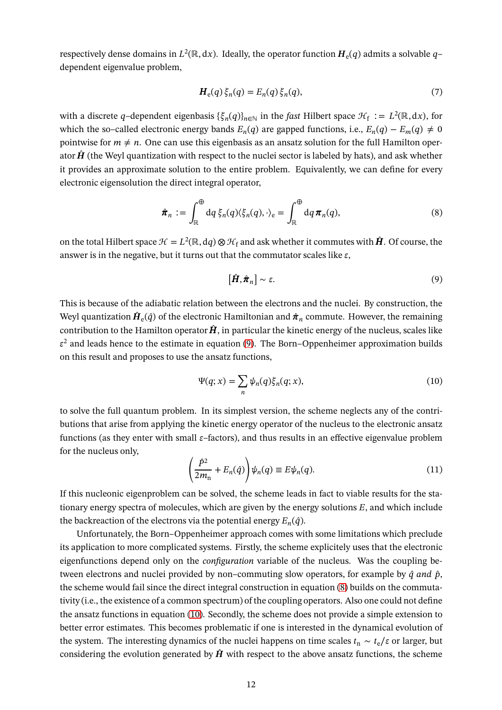respectively dense domains in  $L^2(\mathbb{R},dx)$ . Ideally, the operator function  $\bm{H}_{\mathrm{e}}(q)$  admits a solvable  $q$ dependent eigenvalue problem,

$$
\boldsymbol{H}_{\mathrm{e}}(q)\,\xi_n(q) = E_n(q)\,\xi_n(q),\tag{7}
$$

with a discrete q–dependent eigenbasis  $\{\xi_n(q)\}_{n\in\mathbb{N}}$  in the *fast* Hilbert space  $\mathcal{H}_f := L^2(\mathbb{R}, dx)$ , for which the so–called electronic energy bands  $E_n(q)$  are gapped functions, i.e.,  $E_n(q) - E_m(q) \neq 0$ pointwise for  $m \neq n$ . One can use this eigenbasis as an ansatz solution for the full Hamilton operator  $\hat{H}$  (the Weyl quantization with respect to the nuclei sector is labeled by hats), and ask whether it provides an approximate solution to the entire problem. Equivalently, we can define for every electronic eigensolution the direct integral operator,

<span id="page-11-1"></span>
$$
\hat{\boldsymbol{\pi}}_n := \int_{\mathbb{R}}^{\oplus} dq \, \xi_n(q) \langle \xi_n(q), \cdot \rangle_e = \int_{\mathbb{R}}^{\oplus} dq \, \boldsymbol{\pi}_n(q), \tag{8}
$$

on the total Hilbert space  $\mathcal{H} = L^2(\mathbb{R}, dq) \otimes \mathcal{H}_f$  and ask whether it commutes with  $\hat{H}$ . Of course, the answer is in the negative, but it turns out that the commutator scales like  $\varepsilon$ ,

<span id="page-11-0"></span>
$$
[\hat{H}, \hat{\pi}_n] \sim \varepsilon. \tag{9}
$$

This is because of the adiabatic relation between the electrons and the nuclei. By construction, the Weyl quantization  $\hat{\bm{H}}_{\text{e}}(\hat{q})$  of the electronic Hamiltonian and  $\hat{\bm{\pi}}_n$  commute. However, the remaining contribution to the Hamilton operator  $\hat{H}$ , in particular the kinetic energy of the nucleus, scales like  $\varepsilon^2$  and leads hence to the estimate in equation [\(9\)](#page-11-0). The Born–Oppenheimer approximation builds on this result and proposes to use the ansatz functions,

<span id="page-11-2"></span>
$$
\Psi(q;x) = \sum_{n} \psi_n(q) \xi_n(q;x),\tag{10}
$$

to solve the full quantum problem. In its simplest version, the scheme neglects any of the contributions that arise from applying the kinetic energy operator of the nucleus to the electronic ansatz functions (as they enter with small  $\varepsilon$ –factors), and thus results in an effective eigenvalue problem for the nucleus only,

$$
\left(\frac{\hat{P}^2}{2m_n} + E_n(\hat{q})\right)\psi_n(q) \equiv E\psi_n(q). \tag{11}
$$

If this nucleonic eigenproblem can be solved, the scheme leads in fact to viable results for the stationary energy spectra of molecules, which are given by the energy solutions  $E$ , and which include the backreaction of the electrons via the potential energy  $E_n(\hat{q})$ .

Unfortunately, the Born–Oppenheimer approach comes with some limitations which preclude its application to more complicated systems. Firstly, the scheme explicitely uses that the electronic eigenfunctions depend only on the *configuration* variable of the nucleus. Was the coupling between electrons and nuclei provided by non–commuting slow operators, for example by  $\hat{q}$  and  $\hat{p}$ , the scheme would fail since the direct integral construction in equation [\(8\)](#page-11-1) builds on the commutativity (i.e., the existence of a common spectrum) of the coupling operators. Also one could not define the ansatz functions in equation [\(10\)](#page-11-2). Secondly, the scheme does not provide a simple extension to better error estimates. This becomes problematic if one is interested in the dynamical evolution of the system. The interesting dynamics of the nuclei happens on time scales  $t_n \sim t_e/\varepsilon$  or larger, but considering the evolution generated by  $\hat{H}$  with respect to the above ansatz functions, the scheme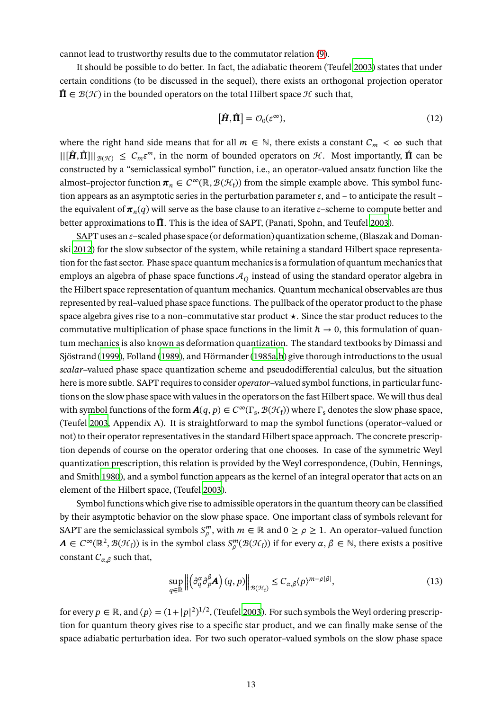cannot lead to trustworthy results due to the commutator relation [\(9\)](#page-11-0).

It should be possible to do better. In fact, the adiabatic theorem (Teufel [2003](#page-39-17)) states that under certain conditions (to be discussed in the sequel), there exists an orthogonal projection operator  $\hat{\Pi} \in \mathcal{B}(\mathcal{H})$  in the bounded operators on the total Hilbert space  $\mathcal{H}$  such that,

$$
[\hat{H}, \hat{\Pi}] = \mathcal{O}_0(\varepsilon^{\infty}),\tag{12}
$$

where the right hand side means that for all  $m \in \mathbb{N}$ , there exists a constant  $C_m < \infty$  such that  $||[\hat{H}, \hat{\Pi}]||_{\mathcal{B}(\mathcal{H})} \leq C_m \varepsilon^m$ , in the norm of bounded operators on  $\mathcal{H}$ . Most importantly,  $\hat{\Pi}$  can be constructed by a "semiclassical symbol" function, i.e., an operator–valued ansatz function like the almost–projector function  $\pi_n \in C^{\infty}(\mathbb{R}, \mathcal{B}(\mathcal{H}_f))$  from the simple example above. This symbol function appears as an asymptotic series in the perturbation parameter  $\varepsilon$ , and – to anticipate the result – the equivalent of  $\bm{\pi}_n(q)$  will serve as the base clause to an iterative  $\varepsilon$ –scheme to compute better and better approximations to  $\hat{\Pi}$ . This is the idea of SAPT, (Panati, Spohn, and Teufel [2003\)](#page-36-12).

SAPT uses an  $\varepsilon$ –scaled phase space (or deformation) quantization scheme, (Blaszak and Domanski [2012](#page-29-15)) for the slow subsector of the system, while retaining a standard Hilbert space representation for the fast sector. Phase space quantum mechanics is a formulation of quantum mechanics that employs an algebra of phase space functions  $A<sub>O</sub>$  instead of using the standard operator algebra in the Hilbert space representation of quantum mechanics. Quantum mechanical observables are thus represented by real–valued phase space functions. The pullback of the operator product to the phase space algebra gives rise to a non–commutative star product  $\star$ . Since the star product reduces to the commutative multiplication of phase space functions in the limit  $\hbar \rightarrow 0$ , this formulation of quantum mechanics is also known as deformation quantization. The standard textbooks by Dimassi and Sjöstrand [\(1999](#page-32-15)), Folland [\(1989\)](#page-33-19), and Hörmander [\(1985a](#page-34-16)[,b\)](#page-34-17) give thorough introductions to the usual *scalar*–valued phase space quantization scheme and pseudodifferential calculus, but the situation here is more subtle. SAPT requires to consider *operator*–valued symbol functions, in particular functions on the slow phase space with values in the operators on the fast Hilbert space. We will thus deal with symbol functions of the form  $\mathbf{A}(q, p) \in C^\infty(\Gamma_{\rm s}, \mathcal{B}(\mathcal{H}_{\rm f}))$  where  $\Gamma_{\rm s}$  denotes the slow phase space, (Teufel [2003,](#page-39-17) Appendix A). It is straightforward to map the symbol functions (operator–valued or not) to their operator representatives in the standard Hilbert space approach. The concrete prescription depends of course on the operator ordering that one chooses. In case of the symmetric Weyl quantization prescription, this relation is provided by the Weyl correspondence, (Dubin, Hennings, and Smith [1980](#page-32-16)), and a symbol function appears as the kernel of an integral operator that acts on an element of the Hilbert space, (Teufel [2003](#page-39-17)).

Symbol functions which give rise to admissible operators in the quantum theory can be classified by their asymptotic behavior on the slow phase space. One important class of symbols relevant for SAPT are the semiclassical symbols  $S_\rho^m$ , with  $m \in \mathbb{R}$  and  $0 \ge \rho \ge 1$ . An operator–valued function  $A \in C^{\infty}(\mathbb{R}^2, \mathcal{B}(\mathcal{H}_f))$  is in the symbol class  $S_{\rho}^{m}(\mathcal{B}(\mathcal{H}_f))$  if for every  $\alpha, \beta \in \mathbb{N}$ , there exists a positive constant  $C_{\alpha,\beta}$  such that,

$$
\sup_{q \in \mathbb{R}} \left\| \left( \partial_q^{\alpha} \partial_p^{\beta} \mathbf{A} \right) (q, p) \right\|_{\mathcal{B}(\mathcal{H}_f)} \leq C_{\alpha, \beta} \langle p \rangle^{m - \rho |\beta|},\tag{13}
$$

for every  $p \in \mathbb{R}$ , and  $\langle p \rangle = (1+|p|^2)^{1/2}$ , (Teufel [2003](#page-39-17)). For such symbols the Weyl ordering prescription for quantum theory gives rise to a specific star product, and we can finally make sense of the space adiabatic perturbation idea. For two such operator–valued symbols on the slow phase space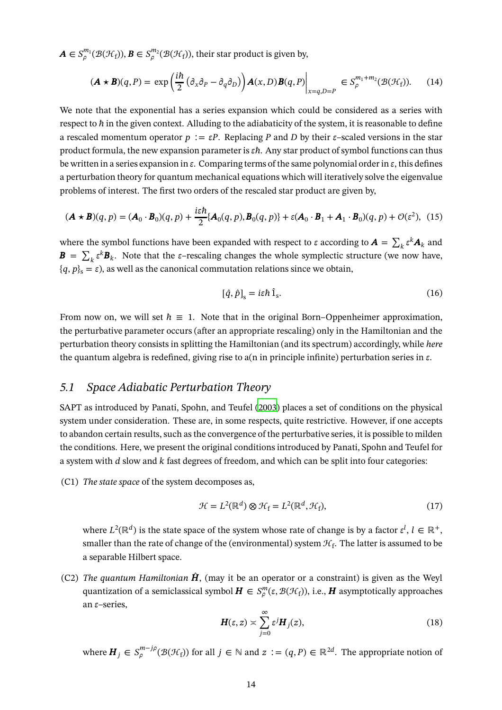$\boldsymbol{A}\in S^{m_1}_{\rho}(\mathcal{B}(\mathcal{H}_f)),\boldsymbol{B}\in S^{m_2}_{\rho}(\mathcal{B}(\mathcal{H}_f)),$  their star product is given by,

$$
(\mathbf{A} \star \mathbf{B})(q, P) = \exp\left(\frac{i\hbar}{2} \left(\partial_x \partial_P - \partial_q \partial_D\right)\right) \mathbf{A}(x, D) \mathbf{B}(q, P)\Big|_{x=q, D=P} \in S_{\rho}^{m_1 + m_2}(\mathcal{B}(\mathcal{H}_f)).\tag{14}
$$

We note that the exponential has a series expansion which could be considered as a series with respect to  $\hbar$  in the given context. Alluding to the adiabaticity of the system, it is reasonable to define a rescaled momentum operator  $p := \varepsilon P$ . Replacing P and D by their  $\varepsilon$ -scaled versions in the star product formula, the new expansion parameter is  $\varepsilon \hbar$ . Any star product of symbol functions can thus be written in a series expansion in  $\varepsilon$ . Comparing terms of the same polynomial order in  $\varepsilon$ , this defines a perturbation theory for quantum mechanical equations which will iteratively solve the eigenvalue problems of interest. The first two orders of the rescaled star product are given by,

$$
(\mathbf{A} \star \mathbf{B})(q, p) = (\mathbf{A}_0 \cdot \mathbf{B}_0)(q, p) + \frac{i\varepsilon\hbar}{2} \{\mathbf{A}_0(q, p), \mathbf{B}_0(q, p)\} + \varepsilon (\mathbf{A}_0 \cdot \mathbf{B}_1 + \mathbf{A}_1 \cdot \mathbf{B}_0)(q, p) + \mathcal{O}(\varepsilon^2), \tag{15}
$$

where the symbol functions have been expanded with respect to  $\varepsilon$  according to  $\bm{A} = \sum_k \varepsilon^k \bm{A}_k$  and  $\mathbf{B} = \sum_{k} \varepsilon^{k} \mathbf{B}_{k}$ . Note that the  $\varepsilon$ –rescaling changes the whole symplectic structure (we now have,  ${q, p}_s = \varepsilon$ ), as well as the canonical commutation relations since we obtain,

$$
[\hat{q}, \hat{p}]_{\rm s} = i\varepsilon \hbar \hat{1}_{\rm s}.
$$
 (16)

From now on, we will set  $\hbar \equiv 1$ . Note that in the original Born–Oppenheimer approximation, the perturbative parameter occurs (after an appropriate rescaling) only in the Hamiltonian and the perturbation theory consists in splitting the Hamiltonian (and its spectrum) accordingly, while *here* the quantum algebra is redefined, giving rise to a(n in principle infinite) perturbation series in  $\varepsilon$ .

### <span id="page-13-0"></span>*5.1 Space Adiabatic Perturbation Theory*

SAPT as introduced by Panati, Spohn, and Teufel [\(2003\)](#page-36-12) places a set of conditions on the physical system under consideration. These are, in some respects, quite restrictive. However, if one accepts to abandon certain results, such as the convergence of the perturbative series, it is possible to milden the conditions. Here, we present the original conditions introduced by Panati, Spohn and Teufel for a system with  $d$  slow and  $k$  fast degrees of freedom, and which can be split into four categories:

(C1) *The state space* of the system decomposes as,

$$
\mathcal{H} = L^2(\mathbb{R}^d) \otimes \mathcal{H}_f = L^2(\mathbb{R}^d, \mathcal{H}_f),\tag{17}
$$

where  $L^2(\mathbb{R}^d)$  is the state space of the system whose rate of change is by a factor  $\varepsilon^l$ ,  $l \in \mathbb{R}^+$ , smaller than the rate of change of the (environmental) system  $\mathcal{H}_{\text{f}}$ . The latter is assumed to be a separable Hilbert space.

(C2) *The quantum Hamiltonian*  $\hat{H}$ , (may it be an operator or a constraint) is given as the Weyl quantization of a semiclassical symbol  $\bm{H}\in S_\rho^m(\varepsilon,\mathcal{B}(\mathcal{H}_{\rm f})),$  i.e.,  $\bm{H}$  asymptotically approaches an  $\varepsilon$ –series,

$$
H(\varepsilon, z) \asymp \sum_{j=0}^{\infty} \varepsilon^{j} H_{j}(z),
$$
\n(18)

where  $\boldsymbol{H}_j \in S_{\rho}^{m-j\rho}$  $_{\rho}^{m-j\rho}(\mathcal{B}(\mathcal{H}_{f}))$  for all  $j \in \mathbb{N}$  and  $z := (q, P) \in \mathbb{R}^{2d}$ . The appropriate notion of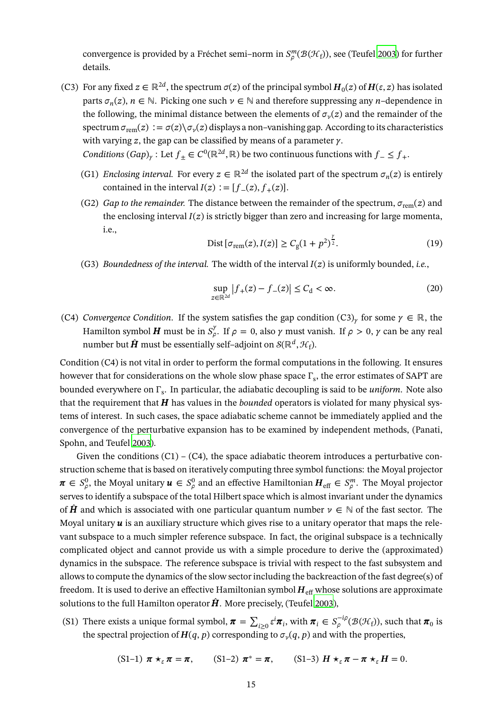convergence is provided by a Fréchet semi–norm in  $S_\rho^m(\mathcal{B}(\mathcal{H}_{\text{f}}))$ , see (Teufel [2003](#page-39-17)) for further details.

- (C3) For any fixed  $z \in \mathbb{R}^{2d}$ , the spectrum  $\sigma(z)$  of the principal symbol  $H_0(z)$  of  $H(\varepsilon, z)$  has isolated parts  $\sigma_n(z)$ ,  $n \in \mathbb{N}$ . Picking one such  $\nu \in \mathbb{N}$  and therefore suppressing any *n*-dependence in the following, the minimal distance between the elements of  $\sigma_{\nu}(z)$  and the remainder of the spectrum  $\sigma_{rem}(z) := \sigma(z) \setminus \sigma_{\nu}(z)$  displays a non–vanishing gap. According to its characteristics with varying z, the gap can be classified by means of a parameter  $\gamma$ .
	- *Conditions*  $(Gap)_{\gamma}$ : Let  $f_{\pm} \in C^{0}(\mathbb{R}^{2d}, \mathbb{R})$  be two continuous functions with  $f_{-} \leq f_{+}$ .
	- (G1) *Enclosing interval.* For every  $z \in \mathbb{R}^{2d}$  the isolated part of the spectrum  $\sigma_n(z)$  is entirely contained in the interval  $I(z) := [f_-(z), f_+(z)].$
	- (G2) *Gap to the remainder.* The distance between the remainder of the spectrum,  $\sigma_{rem}(z)$  and the enclosing interval  $I(z)$  is strictly bigger than zero and increasing for large momenta, i.e.,

Dist 
$$
[\sigma_{rem}(z), I(z)] \ge C_g (1 + p^2)^{\frac{y}{2}}
$$
. (19)

(G3) *Boundedness of the interval.* The width of the interval  $I(z)$  is uniformly bounded, *i.e.*,

$$
\sup_{z \in \mathbb{R}^{2d}} |f_+(z) - f_-(z)| \le C_d < \infty.
$$
 (20)

(C4) *Convergence Condition*. If the system satisfies the gap condition  $(C3)_\gamma$  for some  $\gamma \in \mathbb{R}$ , the Hamilton symbol **H** must be in  $S^{\gamma}_{\rho}$  $\int_{\rho}^{\gamma}$ . If  $\rho = 0$ , also  $\gamma$  must vanish. If  $\rho > 0$ ,  $\gamma$  can be any real number but  $\hat{H}$  must be essentially self–adjoint on  $\mathcal{S}(\mathbb{R}^d, \mathcal{H}_f)$ .

Condition (C4) is not vital in order to perform the formal computations in the following. It ensures however that for considerations on the whole slow phase space  $\Gamma_{\rm s}$ , the error estimates of SAPT are bounded everywhere on Γ<sup>s</sup> . In particular, the adiabatic decoupling is said to be *uniform*. Note also that the requirement that  $H$  has values in the *bounded* operators is violated for many physical systems of interest. In such cases, the space adiabatic scheme cannot be immediately applied and the convergence of the perturbative expansion has to be examined by independent methods, (Panati, Spohn, and Teufel [2003](#page-36-12)).

Given the conditions  $(C1) - (C4)$ , the space adiabatic theorem introduces a perturbative construction scheme that is based on iteratively computing three symbol functions: the Moyal projector  $\pmb{\pi}\in S^0_\rho$  $_{\rho}^{0}$ , the Moyal unitary  $\boldsymbol{u} \in S_{\rho}^{0}$  $_{\rho}^0$  and an effective Hamiltonian  $\boldsymbol{H}_{{\rm eff}}\in S^m_{\rho}$ . The Moyal projector serves to identify a subspace of the total Hilbert space which is almost invariant under the dynamics of  $\hat{H}$  and which is associated with one particular quantum number  $\nu \in \mathbb{N}$  of the fast sector. The Moyal unitary  $\boldsymbol{u}$  is an auxiliary structure which gives rise to a unitary operator that maps the relevant subspace to a much simpler reference subspace. In fact, the original subspace is a technically complicated object and cannot provide us with a simple procedure to derive the (approximated) dynamics in the subspace. The reference subspace is trivial with respect to the fast subsystem and allows to compute the dynamics of the slow sector including the backreaction of the fast degree(s) of freedom. It is used to derive an effective Hamiltonian symbol  $H_{\text{eff}}$  whose solutions are approximate solutions to the full Hamilton operator  $\hat{H}$ . More precisely, (Teufel [2003\)](#page-39-17),

(S1) There exists a unique formal symbol,  $\pi = \sum$  $\sum_{i\geq 0} \varepsilon^i \pi_i$ , with  $\pi_i \in S_\rho^{-i\rho}$  $\int_{\rho}^{-\iota\rho}(\mathcal{B}(\mathcal{H}_{\mathrm{f}}))$ , such that  $\pi_0$  is the spectral projection of  $\boldsymbol{H}(q,p)$  corresponding to  $\sigma_{\nu}(q,p)$  and with the properties,

$$
(S1-1) \boldsymbol{\pi} \star_{\varepsilon} \boldsymbol{\pi} = \boldsymbol{\pi}, \qquad (S1-2) \boldsymbol{\pi}^* = \boldsymbol{\pi}, \qquad (S1-3) \boldsymbol{H} \star_{\varepsilon} \boldsymbol{\pi} - \boldsymbol{\pi} \star_{\varepsilon} \boldsymbol{H} = 0.
$$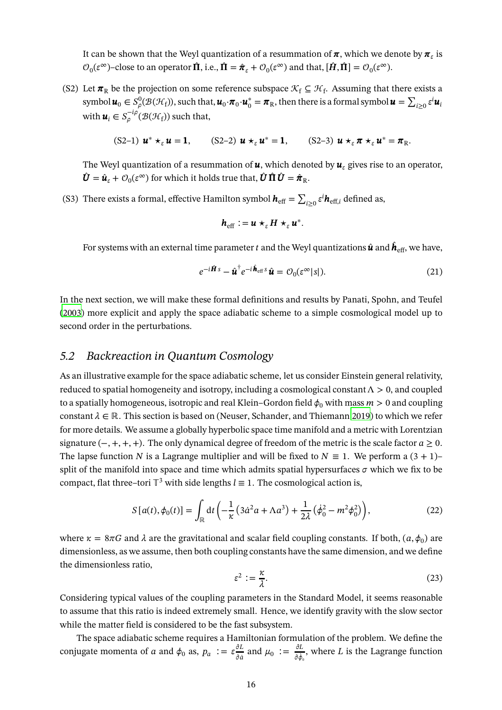It can be shown that the Weyl quantization of a resummation of  $\pi,$  which we denote by  $\pi_{\varepsilon}$  is  $\mathcal{O}_0(\varepsilon^{\infty})$ –close to an operator  $\hat{\Pi}$ , i.e.,  $\hat{\Pi} = \hat{\pi}_{\varepsilon} + \mathcal{O}_0(\varepsilon^{\infty})$  and that,  $[\hat{H}, \hat{\Pi}] = \mathcal{O}_0(\varepsilon^{\infty})$ .

(S2) Let  $\pi_R$  be the projection on some reference subspace  $\mathcal{K}_f \subseteq \mathcal{H}_f$ . Assuming that there exists a symbol  $\boldsymbol{u}_0 \in S^0_{\rho}(\mathcal{B}(\mathcal{H}_f))$ , such that,  $\boldsymbol{u}_0 \cdot \boldsymbol{\pi}_0 \cdot \boldsymbol{u}_0^* = \boldsymbol{\pi}_R$ , then there is a formal symbol  $\boldsymbol{u} = \sum$  $_{i\geq 0}$  ε<sup>ι</sup> $u_i$ with  $\boldsymbol{u}_i \in S_{\rho}^{-i\rho}$  $\int_{\rho}^{-t\rho}(\mathcal{B}(\mathcal{H}_{\mathrm{f}}))$  such that,

$$
(S2-1) \mathbf{u}^* \star_{\varepsilon} \mathbf{u} = 1, \qquad (S2-2) \mathbf{u} \star_{\varepsilon} \mathbf{u}^* = 1, \qquad (S2-3) \mathbf{u} \star_{\varepsilon} \pi \star_{\varepsilon} \mathbf{u}^* = \pi_R.
$$

The Weyl quantization of a resummation of  $\boldsymbol{u}$ , which denoted by  $\boldsymbol{u}_s$  gives rise to an operator,  $\hat{\bm{U}} = \hat{\bm{u}}_{\varepsilon} + \mathcal{O}_0(\varepsilon^{\infty})$  for which it holds true that,  $\hat{\bm{U}} \hat{\bm{\Pi}} \hat{\bm{U}} = \hat{\bm{\pi}}_{\text{R}}$ .

(S3) There exists a formal, effective Hamilton symbol  $\boldsymbol{h}_{\text{eff}} = \sum \limits$  $\sum_{i\geq 0} \varepsilon^i \bm{h}_{\text{eff},i}$  defined as,

$$
\boldsymbol{h}_{\rm eff} := \boldsymbol{u} \star_{\varepsilon} \boldsymbol{H} \star_{\varepsilon} \boldsymbol{u}^*.
$$

For systems with an external time parameter  $t$  and the Weyl quantizations  $\hat{\bm{u}}$  and  $\hat{\bm{h}}_{\text{eff}},$  we have,

$$
e^{-i\hat{\mathbf{H}}s} - \hat{\mathbf{u}}^{\dagger} e^{-i\hat{\mathbf{h}}_{\text{eff}}s} \hat{\mathbf{u}} = \mathcal{O}_0(\varepsilon^{\infty} |s|).
$$
 (21)

<span id="page-15-0"></span>In the next section, we will make these formal definitions and results by Panati, Spohn, and Teufel [\(2003](#page-36-12)) more explicit and apply the space adiabatic scheme to a simple cosmological model up to second order in the perturbations.

#### *5.2 Backreaction in Quantum Cosmology*

As an illustrative example for the space adiabatic scheme, let us consider Einstein general relativity, reduced to spatial homogeneity and isotropy, including a cosmological constant  $\Lambda > 0$ , and coupled to a spatially homogeneous, isotropic and real Klein–Gordon field  $\phi_0$  with mass  $m > 0$  and coupling constant  $\lambda \in \mathbb{R}$ . This section is based on (Neuser, Schander, and Thiemann [2019\)](#page-36-13) to which we refer for more details. We assume a globally hyperbolic space time manifold and a metric with Lorentzian signature  $(-, +, +, +)$ . The only dynamical degree of freedom of the metric is the scale factor  $a \ge 0$ . The lapse function N is a Lagrange multiplier and will be fixed to  $N \equiv 1$ . We perform a  $(3 + 1)$ – split of the manifold into space and time which admits spatial hypersurfaces  $\sigma$  which we fix to be compact, flat three–tori  $\mathbb{T}^3$  with side lengths  $l \equiv 1$ . The cosmological action is,

$$
S[a(t), \phi_0(t)] = \int_{\mathbb{R}} dt \left( -\frac{1}{\kappa} \left( 3\dot{a}^2 a + \Lambda a^3 \right) + \frac{1}{2\lambda} \left( \dot{\phi}_0^2 - m^2 \phi_0^2 \right) \right),\tag{22}
$$

where  $\kappa = 8\pi G$  and  $\lambda$  are the gravitational and scalar field coupling constants. If both,  $(a, \phi_0)$  are dimensionless, as we assume, then both coupling constants have the same dimension, and we define the dimensionless ratio,

$$
\varepsilon^2 := \frac{\kappa}{\lambda}.\tag{23}
$$

Considering typical values of the coupling parameters in the Standard Model, it seems reasonable to assume that this ratio is indeed extremely small. Hence, we identify gravity with the slow sector while the matter field is considered to be the fast subsystem.

The space adiabatic scheme requires a Hamiltonian formulation of the problem. We define the conjugate momenta of  $a$  and  $\phi_0$  as,  $p_a := \varepsilon \frac{\partial L}{\partial \dot{a}}$  $\frac{\partial L}{\partial \dot{a}}$  and  $\mu_0 := \frac{\partial L}{\partial \dot{\phi}_0}$ дф 0 , where  $L$  is the Lagrange function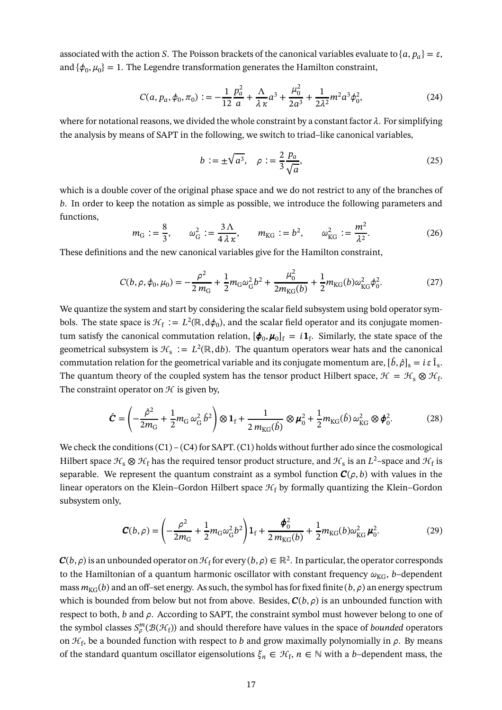associated with the action S. The Poisson brackets of the canonical variables evaluate to  $\{a, p_a\} = \varepsilon$ , and  $\{\phi_0, \mu_0\} = 1$ . The Legendre transformation generates the Hamilton constraint,

$$
C(a, p_a, \phi_0, \pi_0) := -\frac{1}{12} \frac{p_a^2}{a} + \frac{\Lambda}{\lambda \kappa} a^3 + \frac{\mu_0^2}{2a^3} + \frac{1}{2\lambda^2} m^2 a^3 \phi_0^2,
$$
 (24)

where for notational reasons, we divided the whole constraint by a constant factor  $\lambda$ . For simplifying the analysis by means of SAPT in the following, we switch to triad–like canonical variables,

$$
b := \pm \sqrt{a^3}, \quad \rho := \frac{2}{3} \frac{p_a}{\sqrt{a}},\tag{25}
$$

which is a double cover of the original phase space and we do not restrict to any of the branches of b. In order to keep the notation as simple as possible, we introduce the following parameters and functions,

$$
m_G := \frac{8}{3}, \qquad \omega_G^2 := \frac{3\,\Lambda}{4\,\lambda\,\kappa}, \qquad m_{KG} := b^2, \qquad \omega_{KG}^2 := \frac{m^2}{\lambda^2}.
$$
 (26)

These definitions and the new canonical variables give for the Hamilton constraint,

$$
C(b, \rho, \phi_0, \mu_0) = -\frac{\rho^2}{2m_G} + \frac{1}{2}m_G\omega_G^2b^2 + \frac{\mu_0^2}{2m_{\text{KG}}(b)} + \frac{1}{2}m_{\text{KG}}(b)\omega_{\text{KG}}^2\phi_0^2.
$$
 (27)

We quantize the system and start by considering the scalar field subsystem using bold operator symbols. The state space is  $\mathcal{H}_{\rm f} := L^2(\mathbb{R}, d\phi_0)$ , and the scalar field operator and its conjugate momentum satisfy the canonical commutation relation,  $[\phi_0, \mu_0]_f = i \mathbf{1}_f$ . Similarly, the state space of the geometrical subsystem is  $\mathcal{H}_s := L^2(\mathbb{R}, db)$ . The quantum operators wear hats and the canonical commutation relation for the geometrical variable and its conjugate momentum are,  $[\hat{b}, \hat{\rho}]_s = i \, \varepsilon \, \hat{1}_s.$ The quantum theory of the coupled system has the tensor product Hilbert space,  $\mathcal{H} = \mathcal{H}_s \otimes \mathcal{H}_f$ . The constraint operator on  $H$  is given by,

$$
\hat{\mathbf{C}} = \left(-\frac{\hat{\rho}^2}{2m_\text{G}} + \frac{1}{2}m_\text{G}\,\omega_\text{G}^2\,\hat{b}^2\right) \otimes \mathbf{1}_{\text{f}} + \frac{1}{2\,m_\text{KG}(\hat{b})} \otimes \boldsymbol{\mu}_0^2 + \frac{1}{2}m_\text{KG}(\hat{b})\,\omega_\text{KG}^2 \otimes \boldsymbol{\phi}_0^2. \tag{28}
$$

We check the conditions  $(C1) - (C4)$  for SAPT.  $(C1)$  holds without further ado since the cosmological Hilbert space  $\mathcal{H}_s\otimes\mathcal{H}_f$  has the required tensor product structure, and  $\mathcal{H}_s$  is an  $L^2$ –space and  $\mathcal{H}_f$  is separable. We represent the quantum constraint as a symbol function  $C(\rho, b)$  with values in the linear operators on the Klein–Gordon Hilbert space  $\mathcal{H}_f$  by formally quantizing the Klein–Gordon subsystem only,

$$
\mathbf{C}(b,\rho) = \left(-\frac{\rho^2}{2m_G} + \frac{1}{2}m_G\omega_G^2b^2\right)\mathbf{1}_f + \frac{\phi_0^2}{2m_{\text{KG}}(b)} + \frac{1}{2}m_{\text{KG}}(b)\omega_{\text{KG}}^2\mu_0^2.
$$
 (29)

 $\bm{C}(b,\rho)$  is an unbounded operator on  $\mathcal{H}_{\text{f}}$  for every  $(b,\rho)\in\mathbb{R}^2$ . In particular, the operator corresponds to the Hamiltonian of a quantum harmonic oscillator with constant frequency  $\omega_{KG}$ , b-dependent mass  $m_{KG}(b)$  and an off–set energy. As such, the symbol has for fixed finite  $(b, \rho)$  an energy spectrum which is bounded from below but not from above. Besides,  $\mathcal{C}(b, \rho)$  is an unbounded function with respect to both,  $b$  and  $\rho$ . According to SAPT, the constraint symbol must however belong to one of the symbol classes  $S_\rho^m(\mathcal B(\mathcal H_{\mathrm f}))$  and should therefore have values in the space of *bounded* operators on  $\mathcal{H}_{\text{f}}$ , be a bounded function with respect to  $b$  and grow maximally polynomially in  $\rho$ . By means of the standard quantum oscillator eigensolutions  $\xi_n \in \mathcal{H}_f$ ,  $n \in \mathbb{N}$  with a b–dependent mass, the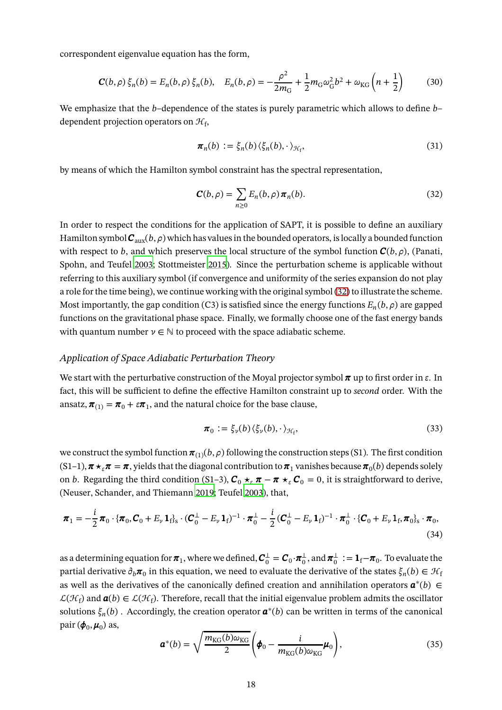correspondent eigenvalue equation has the form,

$$
\mathbf{C}(b,\rho)\xi_n(b) = E_n(b,\rho)\xi_n(b), \quad E_n(b,\rho) = -\frac{\rho^2}{2m_G} + \frac{1}{2}m_G\omega_G^2b^2 + \omega_{KG}\left(n + \frac{1}{2}\right) \tag{30}
$$

We emphasize that the b-dependence of the states is purely parametric which allows to define  $b$ dependent projection operators on  $\mathcal{H}_{\mathbf{f}},$ 

$$
\boldsymbol{\pi}_n(b) := \xi_n(b) \langle \xi_n(b), \cdot \rangle_{\mathcal{H}_f},\tag{31}
$$

by means of which the Hamilton symbol constraint has the spectral representation,

<span id="page-17-0"></span>
$$
\mathbf{C}(b,\rho) = \sum_{n\geq 0} E_n(b,\rho) \pi_n(b). \tag{32}
$$

In order to respect the conditions for the application of SAPT, it is possible to define an auxiliary Hamilton symbol  $C_{\text{aux}}(b, \rho)$  which has values in the bounded operators, is locally a bounded function with respect to b, and which preserves the local structure of the symbol function  $C(b, \rho)$ , (Panati, Spohn, and Teufel [2003](#page-36-12); Stottmeister [2015](#page-38-15)). Since the perturbation scheme is applicable without referring to this auxiliary symbol (if convergence and uniformity of the series expansion do not play a role for the time being), we continue working with the original symbol [\(32\)](#page-17-0) to illustrate the scheme. Most importantly, the gap condition (C3) is satisfied since the energy functions  $E_n(b,\rho)$  are gapped functions on the gravitational phase space. Finally, we formally choose one of the fast energy bands with quantum number  $\nu \in \mathbb{N}$  to proceed with the space adiabatic scheme.

#### *Application of Space Adiabatic Perturbation Theory*

We start with the perturbative construction of the Moyal projector symbol  $\pi$  up to first order in  $\varepsilon$ . In fact, this will be sufficient to define the effective Hamilton constraint up to *second* order. With the ansatz,  $\pi_{(1)} = \pi_0 + \varepsilon \pi_1$ , and the natural choice for the base clause,

$$
\boldsymbol{\pi}_0 := \xi_{\nu}(b) \langle \xi_{\nu}(b), \cdot \rangle_{\mathcal{H}_f},\tag{33}
$$

we construct the symbol function  $\pi_{(1)}(b,\rho)$  following the construction steps (S1). The first condition  $(S1-1)$ ,  $\pi\star_{\varepsilon}\pi=\pi$ , yields that the diagonal contribution to  $\pi_1$  vanishes because  $\pi_0(b)$  depends solely on *b*. Regarding the third condition (S1–3),  $C_0 \star_{\varepsilon} \pi - \pi \star_{\varepsilon} C_0 = 0$ , it is straightforward to derive, (Neuser, Schander, and Thiemann [2019;](#page-36-13) Teufel [2003\)](#page-39-17), that,

$$
\boldsymbol{\pi}_1 = -\frac{i}{2}\boldsymbol{\pi}_0 \cdot \{ \boldsymbol{\pi}_0, \boldsymbol{C}_0 + \boldsymbol{E}_{\nu} \boldsymbol{1}_{\text{f}} \} _{\text{s}} \cdot (\boldsymbol{C}_0^{\perp} - \boldsymbol{E}_{\nu} \boldsymbol{1}_{\text{f}})^{-1} \cdot \boldsymbol{\pi}_0^{\perp} - \frac{i}{2} (\boldsymbol{C}_0^{\perp} - \boldsymbol{E}_{\nu} \boldsymbol{1}_{\text{f}})^{-1} \cdot \boldsymbol{\pi}_0^{\perp} \cdot \{ \boldsymbol{C}_0 + \boldsymbol{E}_{\nu} \boldsymbol{1}_{\text{f}}, \boldsymbol{\pi}_0 \} _{\text{s}} \cdot \boldsymbol{\pi}_0, \tag{34}
$$

as a determining equation for  $\pi_1$ , where we defined,  $C_0^{\perp} = C_0 \cdot \pi_0^{\perp}$ , and  $\pi_0^{\perp} := 1_f - \pi_0$ . To evaluate the partial derivative  $\partial_b\pi_0$  in this equation, we need to evaluate the derivative of the states  $\xi_n(b)\in\mathcal{H}_\mathrm{f}$ as well as the derivatives of the canonically defined creation and annihilation operators  $\mathbf{a}^*(b) \in$  $\mathcal{L}(\mathcal{H}_{f})$  and  $\boldsymbol{a}(b) \in \mathcal{L}(\mathcal{H}_{f})$ . Therefore, recall that the initial eigenvalue problem admits the oscillator solutions  $\xi_n(b)$  . Accordingly, the creation operator  $\boldsymbol{a}^*(b)$  can be written in terms of the canonical pair  $(\boldsymbol{\phi}_0, \boldsymbol{\mu}_0)$  as,

$$
\boldsymbol{a}^*(b) = \sqrt{\frac{m_{\text{KG}}(b)\omega_{\text{KG}}}{2}} \left(\boldsymbol{\phi}_0 - \frac{i}{m_{\text{KG}}(b)\omega_{\text{KG}}}\boldsymbol{\mu}_0\right),\tag{35}
$$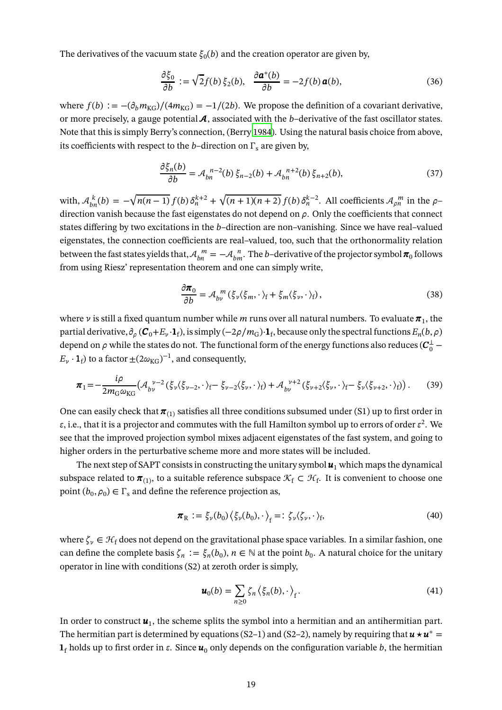The derivatives of the vacuum state  $\xi_0(b)$  and the creation operator are given by,

$$
\frac{\partial \xi_0}{\partial b} := \sqrt{2} f(b) \xi_2(b), \quad \frac{\partial \boldsymbol{a}^*(b)}{\partial b} = -2 f(b) \boldsymbol{a}(b), \tag{36}
$$

where  $f(b) := -(\partial_b m_{KG})/(4m_{KG}) = -1/(2b)$ . We propose the definition of a covariant derivative, or more precisely, a gauge potential  $\mathcal{A}$ , associated with the b-derivative of the fast oscillator states. Note that this is simply Berry's connection, (Berry [1984\)](#page-29-16). Using the natural basis choice from above, its coefficients with respect to the *b*–direction on  $\Gamma_s$  are given by,

$$
\frac{\partial \xi_n(b)}{\partial b} = \mathcal{A}_{bn}^{n-2}(b)\xi_{n-2}(b) + \mathcal{A}_{bn}^{n+2}(b)\xi_{n+2}(b),\tag{37}
$$

with,  $A_{bn}^{k}(b) = -\sqrt{n(n-1)} f(b) \delta_{n}^{k+2} +$  $\sqrt{(n+1)(n+2)} f(b) \delta_n^{k-2}$ . All coefficients  $A_{\rho n}^m$  in the  $\rho$ direction vanish because the fast eigenstates do not depend on  $\rho$ . Only the coefficients that connect states differing by two excitations in the  $b$ –direction are non–vanishing. Since we have real–valued eigenstates, the connection coefficients are real–valued, too, such that the orthonormality relation between the fast states yields that,  $\mathcal{A}_{bn}^{\ \ m} = -\mathcal{A}_{bm}^{\ \ n}$ . The  $b$ –derivative of the projector symbol  $\pi_0$  follows from using Riesz' representation theorem and one can simply write,

$$
\frac{\partial \pi_0}{\partial b} = \mathcal{A}_{bv}^m (\xi_v \langle \xi_m, \cdot \rangle_f + \xi_m \langle \xi_v, \cdot \rangle_f), \tag{38}
$$

where  $\nu$  is still a fixed quantum number while  $m$  runs over all natural numbers. To evaluate  $\pmb{\pi}_1$ , the partial derivative,  $\partial_{\rho}$  ( $C_0 + E_{\nu} \cdot \mathbf{1}_{f}$ ), is simply ( $-2\rho/m_G$ ) $\cdot \mathbf{1}_{f}$ , because only the spectral functions  $E_n(b,\rho)$ depend on  $\rho$  while the states do not. The functional form of the energy functions also reduces ( $\mathcal{C}^\perp_0$  –  $E_{\nu} \cdot \mathbf{1}_{\text{f}}$ ) to a factor  $\pm (2\omega_{\text{KG}})^{-1}$ , and consequently,

$$
\boldsymbol{\pi}_{1} = -\frac{i\rho}{2m_{\rm G}\omega_{\rm KG}} \left( \mathcal{A}_{bv}^{\ \nu-2} (\xi_{\nu} \langle \xi_{\nu-2}, \cdot \rangle_{\rm f} - \xi_{\nu-2} \langle \xi_{\nu}, \cdot \rangle_{\rm f}) + \mathcal{A}_{bv}^{\ \nu+2} (\xi_{\nu+2} \langle \xi_{\nu}, \cdot \rangle_{\rm f} - \xi_{\nu} \langle \xi_{\nu+2}, \cdot \rangle_{\rm f}) \right).
$$
 (39)

One can easily check that  $\pi_{(1)}$  satisfies all three conditions subsumed under (S1) up to first order in  $\varepsilon,$  i.e., that it is a projector and commutes with the full Hamilton symbol up to errors of order  $\varepsilon^2.$  We see that the improved projection symbol mixes adjacent eigenstates of the fast system, and going to higher orders in the perturbative scheme more and more states will be included.

The next step of SAPT consists in constructing the unitary symbol  $\boldsymbol{u}_1$  which maps the dynamical subspace related to  $\pmb{\pi}_{(1)}$ , to a suitable reference subspace  $\mathcal{K}_{\rm f}\subset\mathcal{H}_{\rm f}.$  It is convenient to choose one point  $(b_0, \rho_0) \in \Gamma_s$  and define the reference projection as,

$$
\boldsymbol{\pi}_{\mathrm{R}} := \xi_{\nu}(b_0) \left\langle \xi_{\nu}(b_0), \cdot \right\rangle_f =: \zeta_{\nu} \left\langle \zeta_{\nu}, \cdot \right\rangle_f, \tag{40}
$$

where  $\zeta_{\nu} \in \mathcal{H}_{f}$  does not depend on the gravitational phase space variables. In a similar fashion, one can define the complete basis  $\zeta_n := \xi_n(b_0)$ ,  $n \in \mathbb{N}$  at the point  $b_0$ . A natural choice for the unitary operator in line with conditions (S2) at zeroth order is simply,

$$
\boldsymbol{u}_0(b) = \sum_{n\geq 0} \zeta_n \left\langle \xi_n(b), \cdot \right\rangle_f. \tag{41}
$$

In order to construct  $\pmb{u}_1$ , the scheme splits the symbol into a hermitian and an antihermitian part. The hermitian part is determined by equations (S2–1) and (S2–2), namely by requiring that  $u \star u^* =$  $\mathbf{1}_f$  holds up to first order in  $\varepsilon$ . Since  $\mathbf{u}_0$  only depends on the configuration variable b, the hermitian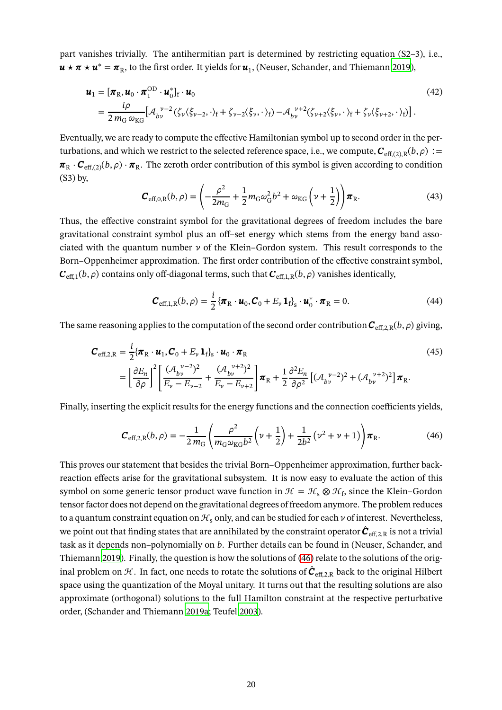part vanishes trivially. The antihermitian part is determined by restricting equation (S2–3), i.e.,  $\bm{u} \star \bm{\pi} \star \bm{u}^* = \bm{\pi}_{R}$ , to the first order. It yields for  $\bm{u}_1$ , (Neuser, Schander, and Thiemann [2019\)](#page-36-13),

$$
\mathbf{u}_1 = [\boldsymbol{\pi}_{\mathcal{R}}, \boldsymbol{u}_0 \cdot \boldsymbol{\pi}_1^{\text{OD}} \cdot \boldsymbol{u}_0^*]_f \cdot \mathbf{u}_0
$$
\n
$$
= \frac{i\rho}{2m_G \omega_{\text{KG}}} [\mathcal{A}_{bv}^{\ \nu-2} (\zeta_v \langle \xi_{v-2}, \cdot \rangle_f + \zeta_{v-2} \langle \xi_v, \cdot \rangle_f) - \mathcal{A}_{bv}^{\ \nu+2} (\zeta_{v+2} \langle \xi_v, \cdot \rangle_f + \zeta_v \langle \xi_{v+2}, \cdot \rangle_f)].
$$
\n(42)

Eventually, we are ready to compute the effective Hamiltonian symbol up to second order in the perturbations, and which we restrict to the selected reference space, i.e., we compute,  $C_{\text{eff.}(2),\text{R}}(b,\rho) :=$  $\pi_R \cdot C_{\text{eff.}(2)}(b,\rho) \cdot \pi_R$ . The zeroth order contribution of this symbol is given according to condition (S3) by,

$$
\mathbf{C}_{\text{eff},0,\text{R}}(b,\rho) = \left(-\frac{\rho^2}{2m_{\text{G}}} + \frac{1}{2}m_{\text{G}}\omega_{\text{G}}^2b^2 + \omega_{\text{KG}}\left(\nu + \frac{1}{2}\right)\right)\pi_{\text{R}}.\tag{43}
$$

Thus, the effective constraint symbol for the gravitational degrees of freedom includes the bare gravitational constraint symbol plus an off–set energy which stems from the energy band associated with the quantum number  $\nu$  of the Klein–Gordon system. This result corresponds to the Born–Oppenheimer approximation. The first order contribution of the effective constraint symbol,  $\bm{C}_{\text{eff},1}(b,\rho)$  contains only off-diagonal terms, such that  $\bm{C}_{\text{eff},1,\text{R}}(b,\rho)$  vanishes identically,

$$
\boldsymbol{C}_{\text{eff},1,R}(b,\rho) = \frac{i}{2} \left\{ \boldsymbol{\pi}_{\text{R}} \cdot \boldsymbol{u}_0, \boldsymbol{C}_0 + E_{\nu} \mathbf{1}_{\text{f}} \right\}_{\text{s}} \cdot \boldsymbol{u}_0^* \cdot \boldsymbol{\pi}_{\text{R}} = 0. \tag{44}
$$

The same reasoning applies to the computation of the second order contribution  $C_{\text{eff,2,R}}(b,\rho)$  giving,

$$
\mathbf{C}_{\text{eff,2,R}} = \frac{i}{2} \{ \boldsymbol{\pi}_{\text{R}} \cdot \boldsymbol{u}_{1}, \mathbf{C}_{0} + E_{\nu} \mathbf{1}_{f} \}_{s} \cdot \boldsymbol{u}_{0} \cdot \boldsymbol{\pi}_{\text{R}}
$$
\n
$$
= \left[ \frac{\partial E_{n}}{\partial \rho} \right]^{2} \left[ \frac{(\mathcal{A}_{b\nu}^{\ \nu-2})^{2}}{E_{\nu} - E_{\nu-2}} + \frac{(\mathcal{A}_{b\nu}^{\ \nu+2})^{2}}{E_{\nu} - E_{\nu+2}} \right] \boldsymbol{\pi}_{\text{R}} + \frac{1}{2} \frac{\partial^{2} E_{n}}{\partial \rho^{2}} \left[ (\mathcal{A}_{b\nu}^{\ \nu-2})^{2} + (\mathcal{A}_{b\nu}^{\ \nu+2})^{2} \right] \boldsymbol{\pi}_{\text{R}}.
$$
\n(45)

Finally, inserting the explicit results for the energy functions and the connection coefficients yields,

<span id="page-19-1"></span>
$$
\mathbf{C}_{\text{eff},2,\text{R}}(b,\rho) = -\frac{1}{2\,m_{\text{G}}}\left(\frac{\rho^2}{m_{\text{G}}\omega_{\text{KG}}b^2}\left(\nu + \frac{1}{2}\right) + \frac{1}{2b^2}\left(\nu^2 + \nu + 1\right)\right)\pi_{\text{R}}.\tag{46}
$$

<span id="page-19-0"></span>This proves our statement that besides the trivial Born–Oppenheimer approximation, further backreaction effects arise for the gravitational subsystem. It is now easy to evaluate the action of this symbol on some generic tensor product wave function in  $\mathcal{H} = \mathcal{H}_s \otimes \mathcal{H}_f$ , since the Klein–Gordon tensor factor does not depend on the gravitational degrees of freedom anymore. The problem reduces to a quantum constraint equation on  $\mathcal{H}_s$  only, and can be studied for each  $\nu$  of interest. Nevertheless, we point out that finding states that are annihilated by the constraint operator  $\hat{\bm{C}}_{\text{eff},2,\text{R}}$  is not a trivial task as it depends non–polynomially on b. Further details can be found in (Neuser, Schander, and Thiemann [2019\)](#page-36-13). Finally, the question is how the solutions of [\(46\)](#page-19-1) relate to the solutions of the original problem on  $\mathcal H.$  In fact, one needs to rotate the solutions of  $\hat{\bm{C}}_{\text{eff},2,\text{R}}$  back to the original Hilbert space using the quantization of the Moyal unitary. It turns out that the resulting solutions are also approximate (orthogonal) solutions to the full Hamilton constraint at the respective perturbative order, (Schander and Thiemann [2019a](#page-38-1); Teufel [2003](#page-39-17)).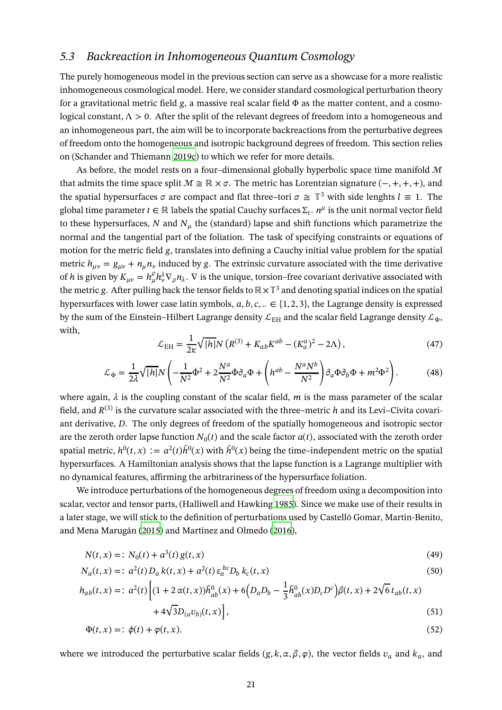### *5.3 Backreaction in Inhomogeneous Quantum Cosmology*

The purely homogeneous model in the previous section can serve as a showcase for a more realistic inhomogeneous cosmological model. Here, we consider standard cosmological perturbation theory for a gravitational metric field  $g$ , a massive real scalar field  $\Phi$  as the matter content, and a cosmological constant,  $\Lambda > 0$ . After the split of the relevant degrees of freedom into a homogeneous and an inhomogeneous part, the aim will be to incorporate backreactions from the perturbative degrees of freedom onto the homogeneous and isotropic background degrees of freedom. This section relies on (Schander and Thiemann [2019c](#page-38-9)) to which we refer for more details.

As before, the model rests on a four-dimensional globally hyperbolic space time manifold  $M$ that admits the time space split  $M \cong \mathbb{R} \times \sigma$ . The metric has Lorentzian signature (-, +, +, +), and the spatial hypersurfaces  $\sigma$  are compact and flat three–tori  $\sigma \cong \mathbb{T}^3$  with side lenghts  $l \equiv 1$ . The global time parameter  $t \in \mathbb{R}$  labels the spatial Cauchy surfaces  $\Sigma_t$ .  $n^\mu$  is the unit normal vector field to these hypersurfaces, N and  $N_{\mu}$  the (standard) lapse and shift functions which parametrize the normal and the tangential part of the foliation. The task of specifying constraints or equations of motion for the metric field g, translates into defining a Cauchy initial value problem for the spatial metric  $h_{\mu\nu} = g_{\mu\nu} + n_{\mu}n_{\nu}$  induced by g. The extrinsic curvature associated with the time derivative of h is given by  $K_{\mu\nu} = h_{\mu}^{\rho} h_{\nu}^{\lambda} \nabla_{\rho} n_{\lambda}$ .  $\nabla$  is the unique, torsion–free covariant derivative associated with the metric g. After pulling back the tensor fields to  $\mathbb{R} \times \mathbb{T}^3$  and denoting spatial indices on the spatial hypersurfaces with lower case latin symbols,  $a, b, c, \ldots \in \{1, 2, 3\}$ , the Lagrange density is expressed by the sum of the Einstein–Hilbert Lagrange density  $\mathcal{L}_{EH}$  and the scalar field Lagrange density  $\mathcal{L}_{\Phi}$ , with,

<span id="page-20-2"></span><span id="page-20-0"></span>
$$
\mathcal{L}_{\rm EH} = \frac{1}{2\kappa} \sqrt{|h|} N \left( R^{(3)} + K_{ab} K^{ab} - (K_a^a)^2 - 2\Lambda \right),\tag{47}
$$

<span id="page-20-3"></span>
$$
\mathcal{L}_{\Phi} = \frac{1}{2\lambda} \sqrt{|h|} N \left( -\frac{1}{N^2} \dot{\Phi}^2 + 2\frac{N^a}{N^2} \dot{\Phi} \partial_a \Phi + \left( h^{ab} - \frac{N^a N^b}{N^2} \right) \partial_a \Phi \partial_b \Phi + m^2 \Phi^2 \right). \tag{48}
$$

where again,  $\lambda$  is the coupling constant of the scalar field, m is the mass parameter of the scalar field, and  $R^{(3)}$  is the curvature scalar associated with the three–metric h and its Levi–Civita covariant derivative, D. The only degrees of freedom of the spatially homogeneous and isotropic sector are the zeroth order lapse function  $N_0(t)$  and the scale factor  $a(t)$ , associated with the zeroth order spatial metric,  $h^0(t, x) := a^2(t)\tilde{h}^0(x)$  with  $\tilde{h}^0(x)$  being the time–independent metric on the spatial hypersurfaces. A Hamiltonian analysis shows that the lapse function is a Lagrange multiplier with no dynamical features, affirming the arbitrariness of the hypersurface foliation.

We introduce perturbations of the homogeneous degrees of freedom using a decomposition into scalar, vector and tensor parts, (Halliwell and Hawking [1985](#page-34-15)). Since we make use of their results in a later stage, we will stick to the definition of perturbations used by Castelló Gomar, Martín-Benito, and Mena Marugán [\(2015\)](#page-31-16) and Martínez and Olmedo [\(2016](#page-36-14)),

$$
N(t, x) =: N_0(t) + a^3(t) g(t, x)
$$
\n(49)

$$
N_a(t, x) =: a^2(t) D_a k(t, x) + a^2(t) \epsilon_a^{bc} D_b k_c(t, x)
$$
\n(50)

$$
h_{ab}(t,x) =: a^2(t) \left[ (1 + 2\alpha(t,x))\tilde{h}_{ab}^0(x) + 6\left(D_a D_b - \frac{1}{3} \tilde{h}_{ab}^0(x)D_c D^c\right) \beta(t,x) + 2\sqrt{6} t_{ab}(t,x) + 4\sqrt{3}D_{(a}v_{b)}(t,x) \right],
$$
\n(51)

<span id="page-20-1"></span>
$$
\Phi(t, x) = \dot{\phi}(t) + \varphi(t, x). \tag{52}
$$

where we introduced the perturbative scalar fields  $(g, k, \alpha, \beta, \varphi)$ , the vector fields  $v_a$  and  $k_a$ , and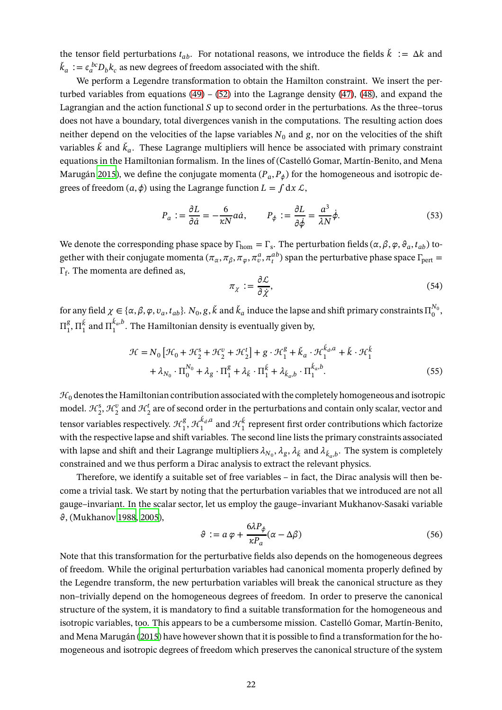the tensor field perturbations  $t_{ab}$ . For notational reasons, we introduce the fields  $\check{k} := \Delta k$  and  $k_a := \epsilon_a^{bc} D_b k_c$  as new degrees of freedom associated with the shift.

We perform a Legendre transformation to obtain the Hamilton constraint. We insert the perturbed variables from equations  $(49) - (52)$  $(49) - (52)$  into the Lagrange density  $(47)$ ,  $(48)$ , and expand the Lagrangian and the action functional  $S$  up to second order in the perturbations. As the three–torus does not have a boundary, total divergences vanish in the computations. The resulting action does neither depend on the velocities of the lapse variables  $N_0$  and  $g$ , nor on the velocities of the shift variables  $k$  and  $k_a$ . These Lagrange multipliers will hence be associated with primary constraint equations in the Hamiltonian formalism. In the lines of (Castelló Gomar, Martín-Benito, and Mena Marugán [2015](#page-31-16)), we define the conjugate momenta  $(P_a, P_\phi)$  for the homogeneous and isotropic degrees of freedom  $(a, \phi)$  using the Lagrange function  $L = \int dx \mathcal{L}$ ,

$$
P_a := \frac{\partial L}{\partial \dot{a}} = -\frac{6}{\kappa N} a \dot{a}, \qquad P_\phi := \frac{\partial L}{\partial \dot{\phi}} = \frac{a^3}{\lambda N} \dot{\phi}.
$$
 (53)

We denote the corresponding phase space by  $\Gamma_{\text{hom}} = \Gamma_{s}$ . The perturbation fields  $(\alpha, \beta, \varphi, \vartheta_a, t_{ab})$  together with their conjugate momenta  $(\pi_\alpha,\pi_\beta,\pi_\varphi,\pi^a_v,\pi^a_v)$  span the perturbative phase space  $\Gamma_{\rm pert}=$  $\Gamma_{\text{f}}$ . The momenta are defined as,

$$
\pi_{\chi} := \frac{\partial \mathcal{L}}{\partial \dot{\chi}},\tag{54}
$$

for any field  $\chi \in \{\alpha, \beta, \varphi, v_a, t_{ab}\}$ .  $N_0, g, k$  and  $k_a$  induce the lapse and shift primary constraints  $\Pi_0^{N_0}$  $_{0}^{\prime \mathrm{v_{0}}}$  $\Pi^g_1$  $\prod_1^g$ ,  $\Pi_1^{\dot{k}}$  and  $\Pi_1^{k_a,b}$  $\int_1^{\kappa_a, b}$ . The Hamiltonian density is eventually given by,

$$
\mathcal{H} = N_0 \left[ \mathcal{H}_0 + \mathcal{H}_2^s + \mathcal{H}_2^v + \mathcal{H}_2^t \right] + g \cdot \mathcal{H}_1^g + \check{k}_a \cdot \mathcal{H}_1^{\check{k}_a, a} + \check{k} \cdot \mathcal{H}_1^{\check{k}}
$$

$$
+ \lambda_{N_0} \cdot \Pi_0^{N_0} + \lambda_g \cdot \Pi_1^g + \lambda_{\check{k}} \cdot \Pi_1^{\check{k}} + \lambda_{\check{k}_a, b} \cdot \Pi_1^{\check{k}_a, b}.
$$
(55)

 $\mathcal{H}_0$  denotes the Hamiltonian contribution associated with the completely homogeneous and isotropic model.  $\mathcal{H}_2^s$ ,  $\mathcal{H}_2^v$  and  $\mathcal{H}_2^t$  are of second order in the perturbations and contain only scalar, vector and  $2^{2}$   $2^{2}$   $2^{2}$ tensor variables respectively.  $\mathcal{H}^g_1$  $\mathcal{L}_1^g, \mathcal{H}_1^{k_d,a}$  $\mathcal{H}_1^{k_d, a}$  and  $\mathcal{H}_1^k$  represent first order contributions which factorize with the respective lapse and shift variables. The second line lists the primary constraints associated with lapse and shift and their Lagrange multipliers  $\lambda_{N_0},$   $\lambda_g,$   $\lambda_{\v k}$  and  $\lambda_{\v k_a,b}$ . The system is completely constrained and we thus perform a Dirac analysis to extract the relevant physics.

Therefore, we identify a suitable set of free variables – in fact, the Dirac analysis will then become a trivial task. We start by noting that the perturbation variables that we introduced are not all gauge–invariant. In the scalar sector, let us employ the gauge–invariant Mukhanov-Sasaki variable  $\vartheta$ , (Mukhanov [1988](#page-36-15), [2005](#page-36-0)),

$$
\vartheta := a \varphi + \frac{6\lambda P_{\phi}}{\kappa P_{a}} (\alpha - \Delta \beta)
$$
\n(56)

Note that this transformation for the perturbative fields also depends on the homogeneous degrees of freedom. While the original perturbation variables had canonical momenta properly defined by the Legendre transform, the new perturbation variables will break the canonical structure as they non–trivially depend on the homogeneous degrees of freedom. In order to preserve the canonical structure of the system, it is mandatory to find a suitable transformation for the homogeneous and isotropic variables, too. This appears to be a cumbersome mission. Castelló Gomar, Martín-Benito, and Mena Marugán [\(2015\)](#page-31-16) have however shown that it is possible to find a transformation for the homogeneous and isotropic degrees of freedom which preserves the canonical structure of the system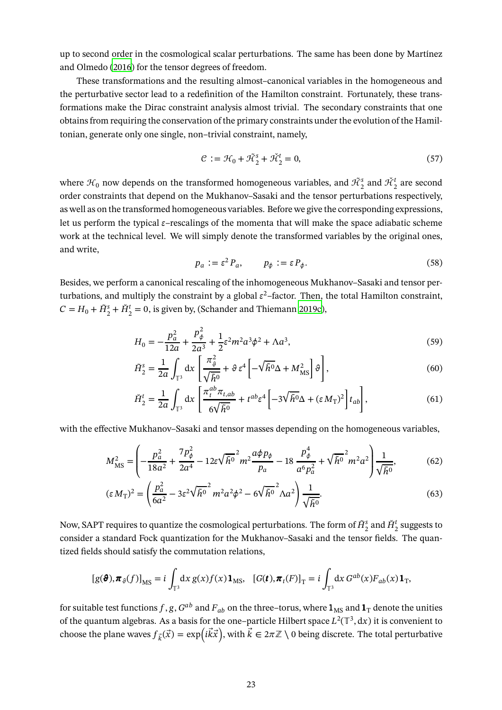up to second order in the cosmological scalar perturbations. The same has been done by Martínez and Olmedo [\(2016\)](#page-36-14) for the tensor degrees of freedom.

These transformations and the resulting almost–canonical variables in the homogeneous and the perturbative sector lead to a redefinition of the Hamilton constraint. Fortunately, these transformations make the Dirac constraint analysis almost trivial. The secondary constraints that one obtains from requiring the conservation of the primary constraints under the evolution of the Hamiltonian, generate only one single, non–trivial constraint, namely,

$$
\mathcal{C} := \mathcal{H}_0 + \tilde{\mathcal{H}}_2^s + \tilde{\mathcal{H}}_2^t = 0,\tag{57}
$$

where  $\mathcal{H}_0$  now depends on the transformed homogeneous variables, and  $\tilde{\mathcal{H}}_2^s$  and  $\tilde{\mathcal{H}}_2^t$  are second order constraints that depend on the Mukhanov–Sasaki and the tensor perturbations respectively, as well as on the transformed homogeneous variables. Before we give the corresponding expressions, let us perform the typical  $\varepsilon$ –rescalings of the momenta that will make the space adiabatic scheme work at the technical level. We will simply denote the transformed variables by the original ones, and write,

$$
p_a := \varepsilon^2 P_a, \qquad p_\phi := \varepsilon P_\phi. \tag{58}
$$

Besides, we perform a canonical rescaling of the inhomogeneous Mukhanov–Sasaki and tensor perturbations, and multiply the constraint by a global  $\varepsilon^2$ –factor. Then, the total Hamilton constraint,  $C = H_0 + \tilde{H}_2^s + \tilde{H}_2^t = 0$ , is given by, (Schander and Thiemann [2019c\)](#page-38-9),

$$
H_0 = -\frac{p_a^2}{12a} + \frac{p_\phi^2}{2a^3} + \frac{1}{2}\varepsilon^2 m^2 a^3 \phi^2 + \Lambda a^3,\tag{59}
$$

$$
\tilde{H}_2^s = \frac{1}{2a} \int_{\mathbb{T}^3} dx \left[ \frac{\pi_{\vartheta}^2}{\sqrt{\tilde{h}^0}} + \vartheta \, \varepsilon^4 \left[ -\sqrt{\tilde{h}^0} \Delta + M_{\rm MS}^2 \right] \vartheta \right],\tag{60}
$$

<span id="page-22-1"></span><span id="page-22-0"></span>
$$
\check{H}_2^t = \frac{1}{2a} \int_{\mathbb{T}^3} dx \left[ \frac{\pi_t^{ab} \pi_{t,ab}}{6\sqrt{\tilde{h}^0}} + t^{ab} \varepsilon^4 \left[ -3\sqrt{\tilde{h}^0} \Delta + (\varepsilon M_\text{T})^2 \right] t_{ab} \right],\tag{61}
$$

with the effective Mukhanov–Sasaki and tensor masses depending on the homogeneous variables,

$$
M_{\text{MS}}^2 = \left( -\frac{p_a^2}{18a^2} + \frac{7p_\phi^2}{2a^4} - 12\varepsilon\sqrt{\tilde{h}^0}^2 m^2 \frac{a\phi p_\phi}{p_a} - 18 \frac{p_\phi^4}{a^6 p_a^2} + \sqrt{\tilde{h}^0}^2 m^2 a^2 \right) \frac{1}{\sqrt{\tilde{h}^0}},\tag{62}
$$

$$
(\varepsilon M_{\rm T})^2 = \left(\frac{p_a^2}{6a^2} - 3\varepsilon^2 \sqrt{\tilde{h}^0}^2 m^2 a^2 \phi^2 - 6\sqrt{\tilde{h}^0}^2 \Lambda a^2\right) \frac{1}{\sqrt{\tilde{h}^0}}.
$$
\n(63)

Now, SAPT requires to quantize the cosmological perturbations. The form of  $\tilde{H}^s_2$  and  $\check{H}^t_2$  suggests to consider a standard Fock quantization for the Mukhanov–Sasaki and the tensor fields. The quantized fields should satisfy the commutation relations,

$$
[g(\boldsymbol{\theta}), \boldsymbol{\pi}_{\vartheta}(f)]_{\text{MS}} = i \int_{\mathbb{T}^3} dx \, g(x) f(x) \mathbf{1}_{\text{MS}}, \quad [G(\boldsymbol{t}), \boldsymbol{\pi}_t(F)]_{\text{T}} = i \int_{\mathbb{T}^3} dx \, G^{ab}(x) F_{ab}(x) \mathbf{1}_{\text{T}},
$$

for suitable test functions  $f,g,G^{ab}$  and  $F_{ab}$  on the three–torus, where  $\mathbf{1}_{\rm MS}$  and  $\mathbf{1}_{\rm T}$  denote the unities of the quantum algebras. As a basis for the one–particle Hilbert space  $L^2(\mathbb{T}^3, dx)$  it is convenient to choose the plane waves  $f_{\vec{k}}(\vec{x}) = \exp(i\vec{k}\vec{x})$ , with  $\vec{k} \in 2\pi\mathbb{Z} \setminus 0$  being discrete. The total perturbative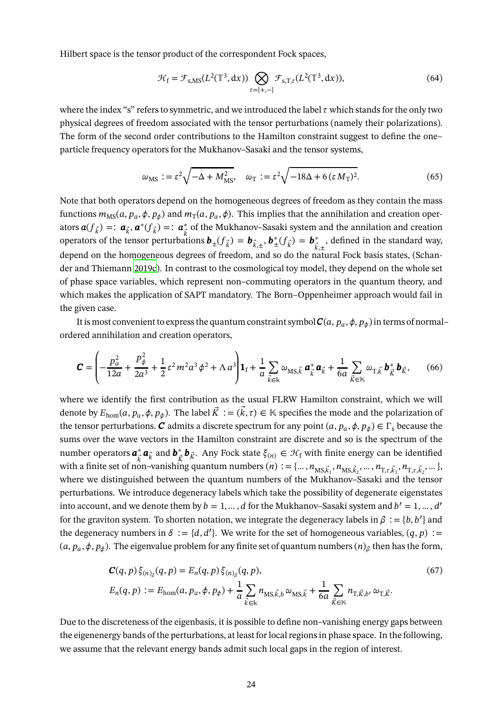Hilbert space is the tensor product of the correspondent Fock spaces,

$$
\mathcal{H}_{\mathbf{f}} = \mathcal{F}_{\mathbf{s},\mathbf{M}\mathbf{s}}(L^2(\mathbb{T}^3,\mathrm{d}x)) \bigotimes_{\tau=\{+,-\}} \mathcal{F}_{\mathbf{s},\mathbf{T},\tau}(L^2(\mathbb{T}^3,\mathrm{d}x)),\tag{64}
$$

where the index "s" refers to symmetric, and we introduced the label  $\tau$  which stands for the only two physical degrees of freedom associated with the tensor perturbations (namely their polarizations). The form of the second order contributions to the Hamilton constraint suggest to define the one– particle frequency operators for the Mukhanov–Sasaki and the tensor systems,

$$
\omega_{\rm MS} := \varepsilon^2 \sqrt{-\Delta + M_{\rm MS}^2}, \quad \omega_{\rm T} := \varepsilon^2 \sqrt{-18\Delta + 6\left(\varepsilon M_{\rm T}\right)^2}.
$$
\n(65)

Note that both operators depend on the homogeneous degrees of freedom as they contain the mass functions  $m_{\rm MS}(a,p_a,\phi,p_\phi)$  and  $m_{\rm T}(a,p_a,\phi)$ . This implies that the annihilation and creation operators  $\boldsymbol{a}(f_{\vec{k}}) =: \boldsymbol{a}_{\vec{k}} \cdot \boldsymbol{a}^*(f_{\vec{k}}) =: \boldsymbol{a}_{\vec{k}}^*$  of the Mukhanov–Sasaki system and the annilation and creation operators of the tensor perturbations  $\mathbf{b}_{\pm}(f_{\vec{k}}) = \mathbf{b}_{\vec{k},\pm}$ ,  $\mathbf{b}_{\pm}^*(f_{\vec{k}}) = \mathbf{b}_{\vec{k}}^*$  $k, \pm$ , defined in the standard way, depend on the homogeneous degrees of freedom, and so do the natural Fock basis states, (Schander and Thiemann [2019c\)](#page-38-9). In contrast to the cosmological toy model, they depend on the whole set of phase space variables, which represent non–commuting operators in the quantum theory, and which makes the application of SAPT mandatory. The Born–Oppenheimer approach would fail in the given case.

It is most convenient to express the quantum constraint symbol  $\bm{C}(a,p_a,\phi,p_\phi)$  in terms of normal– ordered annihilation and creation operators,

$$
\mathbf{C} = \left( -\frac{p_a^2}{12a} + \frac{p_\phi^2}{2a^3} + \frac{1}{2}\varepsilon^2 m^2 a^3 \phi^2 + \Lambda a^3 \right) \mathbf{1}_f + \frac{1}{a} \sum_{\vec{k} \in \mathbb{k}} \omega_{\text{MS},\vec{k}} \, \mathbf{a}_{\vec{k}}^* \mathbf{a}_{\vec{k}} + \frac{1}{6a} \sum_{\vec{k} \in \mathbb{k}} \omega_{\text{T},\vec{k}} \, \mathbf{b}_{\vec{k}}^* \mathbf{b}_{\vec{k}}, \qquad (66)
$$

where we identify the first contribution as the usual FLRW Hamilton constraint, which we will denote by  $E_{\text{hom}}(a, p_a, \phi, p_\phi)$ . The label  $K := (k, \tau) \in \mathbb{K}$  specifies the mode and the polarization of the tensor perturbations.  $C$  admits a discrete spectrum for any point  $(a, p_a, \phi, p_\phi) \in \Gamma_{\rm s}$  because the sums over the wave vectors in the Hamilton constraint are discrete and so is the spectrum of the number operators  $a^*_{\vec{k}} a_{\vec{k}}$  and  $b^*_{\vec{k}} b_{\vec{k}}$ . Any Fock state  $\xi_{(n)} \in \mathcal{H}_f$  with finite energy can be identified with a finite set of non–vanishing quantum numbers  $(n) := \{..., n_{MS, \vec{k}_1}, n_{MS, \vec{k}_2}, ..., n_{T, \tau, \vec{k}_1}, n_{T, \tau, \vec{k}_2}, ...\}$ where we distinguished between the quantum numbers of the Mukhanov–Sasaki and the tensor perturbations. We introduce degeneracy labels which take the possibility of degenerate eigenstates into account, and we denote them by  $b = 1, ..., d$  for the Mukhanov–Sasaki system and  $b' = 1, ..., d'$ for the graviton system. To shorten notation, we integrate the degeneracy labels in  $\beta := \{b, b'\}$  and the degeneracy numbers in  $\delta := \{d, d'\}$ . We write for the set of homogeneous variables,  $(q, p) :=$  $(a, p_a, \phi, p_\phi)$ . The eigenvalue problem for any finite set of quantum numbers  $(n)_\beta$  then has the form,

$$
C(q, p) \xi_{(n)\beta}(q, p) = E_n(q, p) \xi_{(n)\beta}(q, p),
$$
  
\n
$$
E_n(q, p) := E_{\text{hom}}(a, p_a, \phi, p_{\phi}) + \frac{1}{a} \sum_{\vec{k} \in \mathbb{k}} n_{\text{MS}, \vec{k}, b} \omega_{\text{MS}, \vec{k}} + \frac{1}{6a} \sum_{\vec{k} \in \mathbb{k}} n_{\text{T}, \vec{k}, b'} \omega_{\text{T}, \vec{k}}.
$$
\n(67)

Due to the discreteness of the eigenbasis, it is possible to define non–vanishing energy gaps between the eigenenergy bands of the perturbations, at least for local regions in phase space. In the following, we assume that the relevant energy bands admit such local gaps in the region of interest.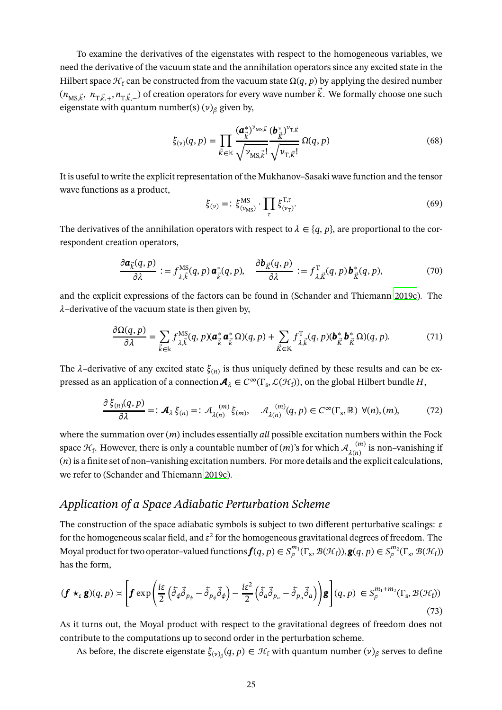To examine the derivatives of the eigenstates with respect to the homogeneous variables, we need the derivative of the vacuum state and the annihilation operators since any excited state in the Hilbert space  $\mathcal{H}_f$  can be constructed from the vacuum state  $\Omega(q, p)$  by applying the desired number  $(n_{\rm MS},\vec{k}, n_{\rm T},\vec{k},+n_{\rm T},\vec{k},-)$  of creation operators for every wave number  $k$ . We formally choose one such eigenstate with quantum number(s)  $(v)_{\beta}$  given by,

$$
\xi_{(\nu)}(q,p) = \prod_{\vec{k}\in\mathbb{K}} \frac{(\boldsymbol{a}_{\vec{k}}^*)^{\nu_{\text{MS},\vec{k}}}}{\sqrt{\nu_{\text{MS},\vec{k}}!}} \frac{(\boldsymbol{b}_{\vec{k}}^*)^{\nu_{\text{T},\vec{k}}}}{\sqrt{\nu_{\text{T},\vec{k}}!}} \Omega(q,p) \tag{68}
$$

It is useful to write the explicit representation of the Mukhanov–Sasaki wave function and the tensor wave functions as a product,

$$
\xi_{(\nu)} = \mathrel{\mathop:} \xi^{\text{MS}}_{(\nu_{\text{MS}})} \cdot \prod_{\tau} \xi^{\text{T}, \tau}_{(\nu_{\text{T}})}.
$$
\n
$$
\tag{69}
$$

The derivatives of the annihilation operators with respect to  $\lambda \in \{q, p\}$ , are proportional to the correspondent creation operators,

$$
\frac{\partial \mathbf{a}_{\vec{k}}(q,p)}{\partial \lambda} := f_{\lambda, \vec{k}}^{\text{MS}}(q,p) \mathbf{a}_{\vec{k}}^*(q,p), \quad \frac{\partial \mathbf{b}_{\vec{k}}(q,p)}{\partial \lambda} := f_{\lambda, \vec{k}}^{\text{T}}(q,p) \mathbf{b}_{\vec{k}}^*(q,p), \tag{70}
$$

and the explicit expressions of the factors can be found in (Schander and Thiemann [2019c](#page-38-9)). The  $\lambda$ –derivative of the vacuum state is then given by,

$$
\frac{\partial \Omega(q,p)}{\partial \lambda} = \sum_{\vec{k} \in \mathbb{k}} f_{\lambda, \vec{k}}^{\text{MS}}(q,p) (\mathbf{a}_{\vec{k}}^* \mathbf{a}_{\vec{k}}^* \Omega)(q,p) + \sum_{\vec{k} \in \mathbb{K}} f_{\lambda, \vec{k}}^{\text{T}}(q,p) (\mathbf{b}_{\vec{k}}^* \mathbf{b}_{\vec{k}}^* \Omega)(q,p). \tag{71}
$$

The  $\lambda$ –derivative of any excited state  $\xi_{(n)}$  is thus uniquely defined by these results and can be expressed as an application of a connection  $\bm{A}_\lambda\in C^\infty(\Gamma_{\rm s},\mathcal{L}(\mathcal{H}_{\rm f}))$ , on the global Hilbert bundle  $H,$ 

$$
\frac{\partial \xi_{(n)}(q,p)}{\partial \lambda} =: \mathcal{A}_{\lambda} \xi_{(n)} =: \mathcal{A}_{\lambda(n)}^{(m)} \xi_{(m)}, \quad \mathcal{A}_{\lambda(n)}^{(m)}(q,p) \in C^{\infty}(\Gamma_{\mathrm{s}},\mathbb{R}) \ \forall (n),(m), \tag{72}
$$

where the summation over  $(m)$  includes essentially *all* possible excitation numbers within the Fock space  $\mathcal{H}_{\text{f}}.$  However, there is only a countable number of  $(m)$ 's for which  $\mathcal{A}_{\lambda(n)}^{-(m)}$  $\lambda(n)$  is non–vanishing if  $(n)$  is a finite set of non–vanishing excitation numbers. For more details and the explicit calculations, we refer to (Schander and Thiemann [2019c](#page-38-9)).

### *Application of a Space Adiabatic Perturbation Scheme*

The construction of the space adiabatic symbols is subject to two different perturbative scalings:  $\varepsilon$ for the homogeneous scalar field, and  $\varepsilon^2$  for the homogeneous gravitational degrees of freedom. The Moyal product for two operator–valued functions  $\bm{f}(q, p) \in S^{m_1}_\rho(\Gamma_s, \mathcal{B}(\mathcal{H}_{\rm f}))$ ,  $\bm{g}(q, p) \in S^{m_2}_\rho(\Gamma_s, \mathcal{B}(\mathcal{H}_{\rm f}))$ has the form,

$$
(\boldsymbol{f} \star_{\varepsilon} \boldsymbol{g})(q, p) \asymp \left[ \boldsymbol{f} \exp\left(\frac{i\varepsilon}{2} \left( \tilde{\partial}_{\phi} \tilde{\partial}_{p_{\phi}} - \tilde{\partial}_{p_{\phi}} \tilde{\partial}_{\phi}\right) - \frac{i\varepsilon^{2}}{2} \left( \tilde{\partial}_{a} \tilde{\partial}_{p_{a}} - \tilde{\partial}_{p_{a}} \tilde{\partial}_{a}\right) \right) \boldsymbol{g} \right] (q, p) \in S_{\rho}^{m_{1}+m_{2}}(\Gamma_{s}, \mathcal{B}(\mathcal{H}_{f}))
$$
\n(73)

As it turns out, the Moyal product with respect to the gravitational degrees of freedom does not contribute to the computations up to second order in the perturbation scheme.

As before, the discrete eigenstate  $\xi_{(\nu)_\beta}(q,p)\in\mathcal H_{\rm f}$  with quantum number  $(\nu)_\beta$  serves to define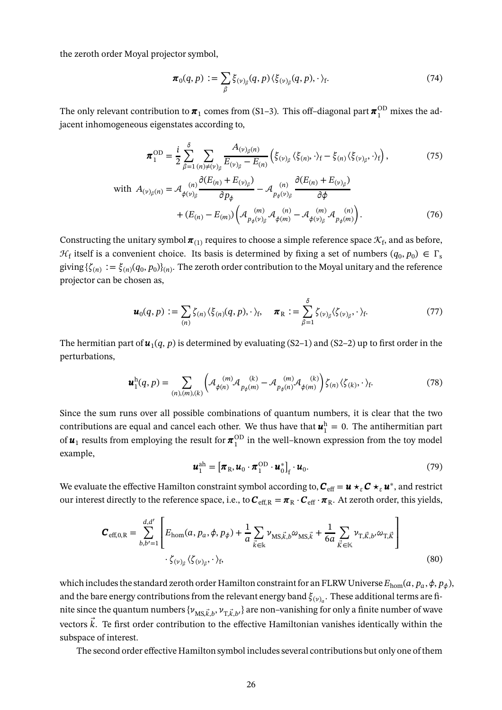the zeroth order Moyal projector symbol,

$$
\boldsymbol{\pi}_0(q,p) := \sum_{\beta} \xi_{(\nu)_{\beta}}(q,p) \langle \xi_{(\nu)_{\beta}}(q,p), \cdot \rangle_{\text{f}}.
$$
\n(74)

The only relevant contribution to  $\pi_1$  comes from (S1–3). This off–diagonal part  $\pi_1^{\rm OD}$  mixes the adjacent inhomogeneous eigenstates according to,

$$
\boldsymbol{\pi}_{1}^{\text{OD}} = \frac{i}{2} \sum_{\beta=1}^{\delta} \sum_{(n) \neq (v)_{\beta}} \frac{A_{(v)_{\beta}(n)}}{E_{(v)_{\beta}} - E_{(n)}} \left( \xi_{(v)_{\beta}} \langle \xi_{(n)}, \cdot \rangle_{\text{f}} - \xi_{(n)} \langle \xi_{(v)_{\beta}}, \cdot \rangle_{\text{f}} \right), \tag{75}
$$

with 
$$
A_{(\nu)_{\beta}(n)} = \mathcal{A}_{\phi(\nu)_{\beta}} \frac{\partial (E_{(n)} + E_{(\nu)_{\beta}})}{\partial p_{\phi}} - \mathcal{A}_{p_{\phi}(\nu)_{\beta}} \frac{\partial (E_{(n)} + E_{(\nu)_{\beta}})}{\partial \phi} + (E_{(n)} - E_{(m)}) \left( \mathcal{A}_{p_{\phi}(\nu)_{\beta}} \mathcal{A}_{\phi(m)} - \mathcal{A}_{\phi(\nu)_{\beta}} \mathcal{A}_{p_{\phi}(m)} \right).
$$
(76)

Constructing the unitary symbol  $\pmb{\pi}_{(1)}$  requires to choose a simple reference space  $\mathcal{K}_{\text{f}}$ , and as before,  $\mathcal{H}_f$  itself is a convenient choice. Its basis is determined by fixing a set of numbers  $(q_0, p_0) \in \Gamma_s$ giving  $\{\zeta_{(n)}:=\xi_{(n)}(q_0,p_0)\}_{(n)}$ . The zeroth order contribution to the Moyal unitary and the reference projector can be chosen as,

$$
\boldsymbol{u}_0(q,p) := \sum_{(n)} \zeta_{(n)} \langle \xi_{(n)}(q,p), \cdot \rangle_f, \quad \boldsymbol{\pi}_R := \sum_{\beta=1}^{\delta} \zeta_{(\nu)_{\beta}} \langle \zeta_{(\nu)_{\beta}}, \cdot \rangle_f. \tag{77}
$$

The hermitian part of  $\bm u_1(q,p)$  is determined by evaluating (S2–1) and (S2–2) up to first order in the perturbations,

$$
\boldsymbol{u}_1^{\mathrm{h}}(q,p) = \sum_{(n),(m),(k)} \left( \mathcal{A}_{\phi(n)}^{(m)} \mathcal{A}_{p_{\phi}(m)}^{(k)} - \mathcal{A}_{p_{\phi}(n)}^{(m)} \mathcal{A}_{\phi(m)}^{(k)} \right) \zeta_{(n)} \langle \zeta_{(k)}, \cdot \rangle_{\mathrm{f}}.
$$
(78)

Since the sum runs over all possible combinations of quantum numbers, it is clear that the two contributions are equal and cancel each other. We thus have that  $\boldsymbol{u}_1^{\text{h}} = 0$ . The antihermitian part 1 of  $\pmb{u}_1$  results from employing the result for  $\pmb{\pi}_1^{\rm OD}$  $\frac{1}{1}$  in the well–known expression from the toy model example,

<span id="page-25-0"></span>
$$
\boldsymbol{u}_1^{\text{ah}} = \left[\boldsymbol{\pi}_{\text{R}}, \boldsymbol{u}_0 \cdot \boldsymbol{\pi}_1^{\text{OD}} \cdot \boldsymbol{u}_0^*\right]_f \cdot \boldsymbol{u}_0. \tag{79}
$$

We evaluate the effective Hamilton constraint symbol according to,  $\bm C_{\rm eff} = \bm u \star_\varepsilon \bm C \star_\varepsilon \bm u^*$ , and restrict our interest directly to the reference space, i.e., to  $C_{\text{eff,R}} = \pi_R \cdot C_{\text{eff}} \cdot \pi_R$ . At zeroth order, this yields,

$$
\mathbf{C}_{\text{eff},0,R} = \sum_{b,b'=1}^{d,d'} \left[ E_{\text{hom}}(a, p_a, \phi, p_{\phi}) + \frac{1}{a} \sum_{\vec{k} \in \mathbb{k}} \nu_{\text{MS},\vec{k},b} \omega_{\text{MS},\vec{k}} + \frac{1}{6a} \sum_{\vec{k} \in \mathbb{k}} \nu_{\text{T},\vec{k},b'} \omega_{\text{T},\vec{k}} \right] \tag{80}
$$

which includes the standard zeroth order Hamilton constraint for an FLRW Universe  $E_{\rm hom}(a,p_a,\phi,p_\phi)$ , and the bare energy contributions from the relevant energy band  $\xi_{(\nu)_a}.$  These additional terms are finite since the quantum numbers  $\{\nu_{\rm MS,}\vec{k}, b}, \nu_{\rm T, \vec{k}, b'}\}$  are non–vanishing for only a finite number of wave vectors  $\vec{k}$ . Te first order contribution to the effective Hamiltonian vanishes identically within the subspace of interest.

The second order effective Hamilton symbol includes several contributions but only one of them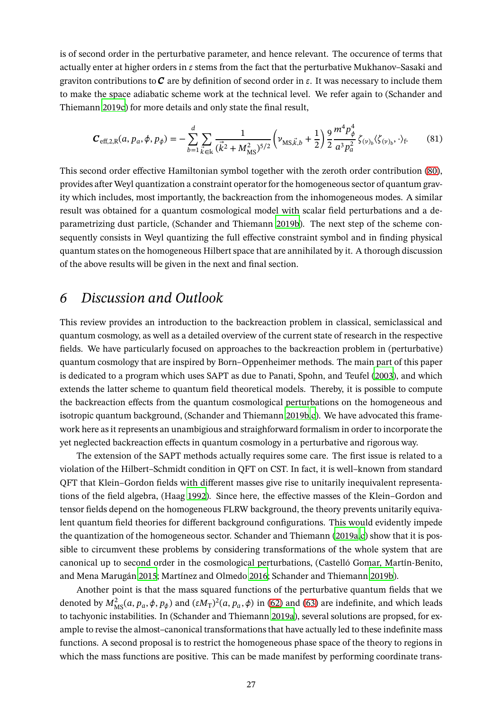is of second order in the perturbative parameter, and hence relevant. The occurence of terms that actually enter at higher orders in  $\varepsilon$  stems from the fact that the perturbative Mukhanov–Sasaki and graviton contributions to  $\bm{C}$  are by definition of second order in  $\bm{\varepsilon}$ . It was necessary to include them to make the space adiabatic scheme work at the technical level. We refer again to (Schander and Thiemann [2019c](#page-38-9)) for more details and only state the final result,

<span id="page-26-1"></span>
$$
\mathbf{C}_{\text{eff},2,\text{R}}(a, p_a, \phi, p_\phi) = -\sum_{b=1}^d \sum_{\vec{k} \in \mathbb{k}} \frac{1}{(\vec{k}^2 + M_{\text{MS}}^2)^{5/2}} \left( \nu_{\text{MS}, \vec{k}, b} + \frac{1}{2} \right) \frac{9}{2} \frac{m^4 p_\phi^4}{a^3 p_a^2} \zeta_{(\nu)_b} \langle \zeta_{(\nu)_b}, \cdot \rangle_{\text{f}}.\tag{81}
$$

This second order effective Hamiltonian symbol together with the zeroth order contribution [\(80\)](#page-25-0), provides after Weyl quantization a constraint operator for the homogeneous sector of quantum gravity which includes, most importantly, the backreaction from the inhomogeneous modes. A similar result was obtained for a quantum cosmological model with scalar field perturbations and a deparametrizing dust particle, (Schander and Thiemann [2019b\)](#page-38-14). The next step of the scheme consequently consists in Weyl quantizing the full effective constraint symbol and in finding physical quantum states on the homogeneous Hilbert space that are annihilated by it. A thorough discussion of the above results will be given in the next and final section.

## <span id="page-26-0"></span>*6 Discussion and Outlook*

This review provides an introduction to the backreaction problem in classical, semiclassical and quantum cosmology, as well as a detailed overview of the current state of research in the respective fields. We have particularly focused on approaches to the backreaction problem in (perturbative) quantum cosmology that are inspired by Born–Oppenheimer methods. The main part of this paper is dedicated to a program which uses SAPT as due to Panati, Spohn, and Teufel [\(2003\)](#page-36-12), and which extends the latter scheme to quantum field theoretical models. Thereby, it is possible to compute the backreaction effects from the quantum cosmological perturbations on the homogeneous and isotropic quantum background, (Schander and Thiemann [2019b](#page-38-14)[,c\)](#page-38-9). We have advocated this framework here as it represents an unambigious and straighforward formalism in order to incorporate the yet neglected backreaction effects in quantum cosmology in a perturbative and rigorous way.

The extension of the SAPT methods actually requires some care. The first issue is related to a violation of the Hilbert–Schmidt condition in QFT on CST. In fact, it is well–known from standard QFT that Klein–Gordon fields with different masses give rise to unitarily inequivalent representations of the field algebra, (Haag [1992](#page-34-7)). Since here, the effective masses of the Klein–Gordon and tensor fields depend on the homogeneous FLRW background, the theory prevents unitarily equivalent quantum field theories for different background configurations. This would evidently impede the quantization of the homogeneous sector. Schander and Thiemann [\(2019a](#page-38-1)[,c](#page-38-9)) show that it is possible to circumvent these problems by considering transformations of the whole system that are canonical up to second order in the cosmological perturbations, (Castelló Gomar, Martín-Benito, and Mena Marugán [2015](#page-31-16); Martínez and Olmedo [2016](#page-36-14); Schander and Thiemann [2019b](#page-38-14)).

Another point is that the mass squared functions of the perturbative quantum fields that we denoted by  $M_{\rm MS}^2(a, p_a, \phi, p_\phi)$  and  $(\varepsilon M_{\rm T})^2(a, p_a, \phi)$  in [\(62\)](#page-22-0) and [\(63\)](#page-22-1) are indefinite, and which leads to tachyonic instabilities. In (Schander and Thiemann [2019a\)](#page-38-1), several solutions are propsed, for example to revise the almost–canonical transformations that have actually led to these indefinite mass functions. A second proposal is to restrict the homogeneous phase space of the theory to regions in which the mass functions are positive. This can be made manifest by performing coordinate trans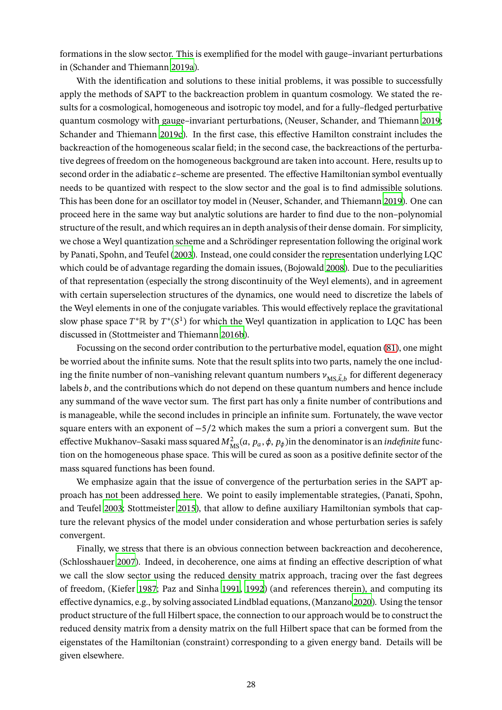formations in the slow sector. This is exemplified for the model with gauge–invariant perturbations in (Schander and Thiemann [2019a\)](#page-38-1).

With the identification and solutions to these initial problems, it was possible to successfully apply the methods of SAPT to the backreaction problem in quantum cosmology. We stated the results for a cosmological, homogeneous and isotropic toy model, and for a fully–fledged perturbative quantum cosmology with gauge–invariant perturbations, (Neuser, Schander, and Thiemann [2019;](#page-36-13) Schander and Thiemann [2019c](#page-38-9)). In the first case, this effective Hamilton constraint includes the backreaction of the homogeneous scalar field; in the second case, the backreactions of the perturbative degrees of freedom on the homogeneous background are taken into account. Here, results up to second order in the adiabatic  $\varepsilon$ –scheme are presented. The effective Hamiltonian symbol eventually needs to be quantized with respect to the slow sector and the goal is to find admissible solutions. This has been done for an oscillator toy model in (Neuser, Schander, and Thiemann [2019\)](#page-36-13). One can proceed here in the same way but analytic solutions are harder to find due to the non–polynomial structure of the result, and which requires an in depth analysis of their dense domain. For simplicity, we chose a Weyl quantization scheme and a Schrödinger representation following the original work by Panati, Spohn, and Teufel [\(2003\)](#page-36-12). Instead, one could consider the representation underlying LQC which could be of advantage regarding the domain issues, (Bojowald [2008\)](#page-29-14). Due to the peculiarities of that representation (especially the strong discontinuity of the Weyl elements), and in agreement with certain superselection structures of the dynamics, one would need to discretize the labels of the Weyl elements in one of the conjugate variables. This would effectively replace the gravitational slow phase space  $T^*\mathbb{R}$  by  $T^*(S^1)$  for which the Weyl quantization in application to LQC has been discussed in (Stottmeister and Thiemann [2016b](#page-38-12)).

Focussing on the second order contribution to the perturbative model, equation [\(81\)](#page-26-1), one might be worried about the infinite sums. Note that the result splits into two parts, namely the one including the finite number of non–vanishing relevant quantum numbers  $\nu_{\text{MS},\vec{k},b}$  for different degeneracy labels  $b$ , and the contributions which do not depend on these quantum numbers and hence include any summand of the wave vector sum. The first part has only a finite number of contributions and is manageable, while the second includes in principle an infinite sum. Fortunately, the wave vector square enters with an exponent of  $-5/2$  which makes the sum a priori a convergent sum. But the effective Mukhanov–Sasaki mass squared  $M_{\rm MS}^2(a,p_a,\phi,p_\phi)$ in the denominator is an *indefinite* function on the homogeneous phase space. This will be cured as soon as a positive definite sector of the mass squared functions has been found.

We emphasize again that the issue of convergence of the perturbation series in the SAPT approach has not been addressed here. We point to easily implementable strategies, (Panati, Spohn, and Teufel [2003;](#page-36-12) Stottmeister [2015\)](#page-38-15), that allow to define auxiliary Hamiltonian symbols that capture the relevant physics of the model under consideration and whose perturbation series is safely convergent.

Finally, we stress that there is an obvious connection between backreaction and decoherence, (Schlosshauer [2007](#page-38-16)). Indeed, in decoherence, one aims at finding an effective description of what we call the slow sector using the reduced density matrix approach, tracing over the fast degrees of freedom, (Kiefer [1987;](#page-35-17) Paz and Sinha [1991,](#page-37-14) [1992\)](#page-37-15) (and references therein), and computing its effective dynamics, e.g., by solving associated Lindblad equations, (Manzano [2020](#page-36-16)). Using the tensor product structure of the full Hilbert space, the connection to our approach would be to construct the reduced density matrix from a density matrix on the full Hilbert space that can be formed from the eigenstates of the Hamiltonian (constraint) corresponding to a given energy band. Details will be given elsewhere.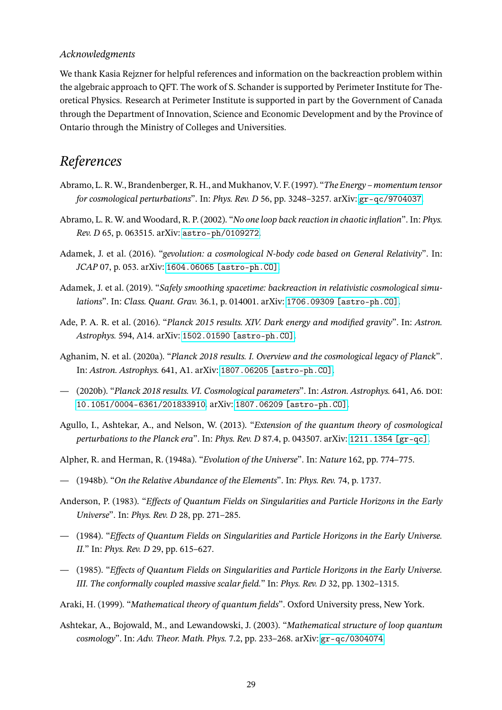#### *Acknowledgments*

We thank Kasia Rejzner for helpful references and information on the backreaction problem within the algebraic approach to QFT. The work of S. Schander is supported by Perimeter Institute for Theoretical Physics. Research at Perimeter Institute is supported in part by the Government of Canada through the Department of Innovation, Science and Economic Development and by the Province of Ontario through the Ministry of Colleges and Universities.

## *References*

- <span id="page-28-7"></span>Abramo, L. R. W., Brandenberger, R. H., and Mukhanov, V. F. (1997). "*The Energy – momentum tensor for cosmological perturbations*". In: *Phys. Rev. D* 56, pp. 3248–3257. arXiv: [gr-qc/9704037](https://arxiv.org/abs/gr-qc/9704037).
- <span id="page-28-8"></span>Abramo, L. R. W. and Woodard, R. P. (2002). "*No one loop back reaction in chaotic inflation*". In: *Phys. Rev. D* 65, p. 063515. arXiv: [astro-ph/0109272](https://arxiv.org/abs/astro-ph/0109272).
- <span id="page-28-5"></span>Adamek, J. et al. (2016). "*gevolution: a cosmological N-body code based on General Relativity*". In: *JCAP* 07, p. 053. arXiv: [1604.06065 \[astro-ph.CO\]](https://arxiv.org/abs/1604.06065).
- <span id="page-28-6"></span>Adamek, J. et al. (2019). "*Safely smoothing spacetime: backreaction in relativistic cosmological simulations*". In: *Class. Quant. Grav.* 36.1, p. 014001. arXiv: [1706.09309 \[astro-ph.CO\]](https://arxiv.org/abs/1706.09309).
- Ade, P. A. R. et al. (2016). "*Planck 2015 results. XIV. Dark energy and modified gravity*". In: *Astron. Astrophys.* 594, A14. arXiv: [1502.01590 \[astro-ph.CO\]](https://arxiv.org/abs/1502.01590).
- <span id="page-28-0"></span>Aghanim, N. et al. (2020a). "*Planck 2018 results. I. Overview and the cosmological legacy of Planck*". In: *Astron. Astrophys.* 641, A1. arXiv: [1807.06205 \[astro-ph.CO\]](https://arxiv.org/abs/1807.06205).
- <span id="page-28-1"></span>— (2020b). "*Planck 2018 results. VI. Cosmological parameters*". In: *Astron. Astrophys.* 641, A6. doi: [10.1051/0004-6361/201833910](https://doi.org/10.1051/0004-6361/201833910). arXiv: [1807.06209 \[astro-ph.CO\]](https://arxiv.org/abs/1807.06209).
- <span id="page-28-4"></span>Agullo, I., Ashtekar, A., and Nelson, W. (2013). "*Extension of the quantum theory of cosmological perturbations to the Planck era*". In: *Phys. Rev. D* 87.4, p. 043507. arXiv: [1211.1354 \[gr-qc\]](https://arxiv.org/abs/1211.1354).
- <span id="page-28-3"></span><span id="page-28-2"></span>Alpher, R. and Herman, R. (1948a). "*Evolution of the Universe*". In: *Nature* 162, pp. 774–775.
- <span id="page-28-10"></span>— (1948b). "*On the Relative Abundance of the Elements*". In: *Phys. Rev.* 74, p. 1737.
- Anderson, P. (1983). "*Effects of Quantum Fields on Singularities and Particle Horizons in the Early Universe*". In: *Phys. Rev. D* 28, pp. 271–285.
- <span id="page-28-11"></span>— (1984). "*Effects of Quantum Fields on Singularities and Particle Horizons in the Early Universe. II.*" In: *Phys. Rev. D* 29, pp. 615–627.
- <span id="page-28-12"></span>— (1985). "*Effects of Quantum Fields on Singularities and Particle Horizons in the Early Universe. III. The conformally coupled massive scalar field.*" In: *Phys. Rev. D* 32, pp. 1302–1315.
- <span id="page-28-13"></span><span id="page-28-9"></span>Araki, H. (1999). "*Mathematical theory of quantum fields*". Oxford University press, New York.
- Ashtekar, A., Bojowald, M., and Lewandowski, J. (2003). "*Mathematical structure of loop quantum cosmology*". In: *Adv. Theor. Math. Phys.* 7.2, pp. 233–268. arXiv: [gr-qc/0304074](https://arxiv.org/abs/gr-qc/0304074).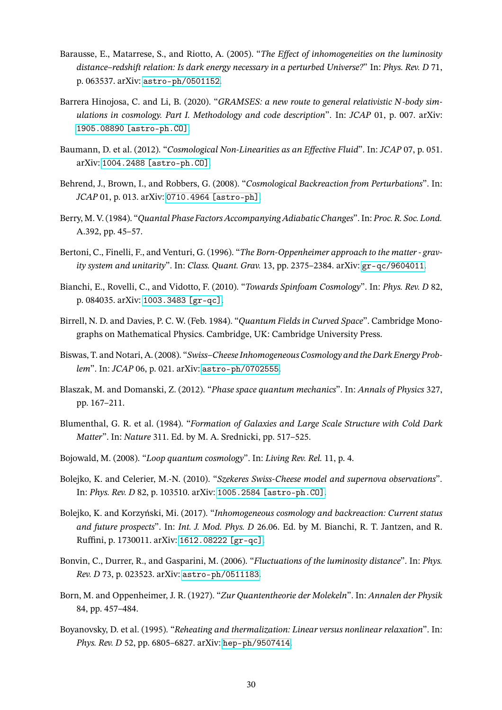- <span id="page-29-5"></span>Barausse, E., Matarrese, S., and Riotto, A. (2005). "*The Effect of inhomogeneities on the luminosity distance–redshift relation: Is dark energy necessary in a perturbed Universe?*" In: *Phys. Rev. D* 71, p. 063537. arXiv: [astro-ph/0501152](https://arxiv.org/abs/astro-ph/0501152).
- <span id="page-29-9"></span>Barrera Hinojosa, C. and Li, B. (2020). "*GRAMSES: a new route to general relativistic N-body simulations in cosmology. Part I. Methodology and code description*". In: *JCAP* 01, p. 007. arXiv: [1905.08890 \[astro-ph.CO\]](https://arxiv.org/abs/1905.08890).
- <span id="page-29-7"></span>Baumann, D. et al. (2012). "*Cosmological Non-Linearities as an Effective Fluid*". In: *JCAP* 07, p. 051. arXiv: [1004.2488 \[astro-ph.CO\]](https://arxiv.org/abs/1004.2488).
- <span id="page-29-8"></span>Behrend, J., Brown, I., and Robbers, G. (2008). "*Cosmological Backreaction from Perturbations*". In: *JCAP* 01, p. 013. arXiv: [0710.4964 \[astro-ph\]](https://arxiv.org/abs/0710.4964).
- <span id="page-29-16"></span>Berry, M. V. (1984). "*Quantal Phase Factors Accompanying Adiabatic Changes*". In: *Proc. R. Soc. Lond.* A.392, pp. 45–57.
- <span id="page-29-13"></span>Bertoni, C., Finelli, F., and Venturi, G. (1996). "*The Born-Oppenheimer approach to the matter - gravity system and unitarity*". In: *Class. Quant. Grav.* 13, pp. 2375–2384. arXiv: [gr-qc/9604011](https://arxiv.org/abs/gr-qc/9604011).
- <span id="page-29-1"></span>Bianchi, E., Rovelli, C., and Vidotto, F. (2010). "*Towards Spinfoam Cosmology*". In: *Phys. Rev. D* 82, p. 084035. arXiv: [1003.3483 \[gr-qc\]](https://arxiv.org/abs/1003.3483).
- <span id="page-29-10"></span>Birrell, N. D. and Davies, P. C. W. (Feb. 1984). "*Quantum Fields in Curved Space*". Cambridge Monographs on Mathematical Physics. Cambridge, UK: Cambridge University Press.
- <span id="page-29-3"></span>Biswas, T. and Notari, A. (2008). "*Swiss–Cheese Inhomogeneous Cosmology and the Dark Energy Problem*". In: *JCAP* 06, p. 021. arXiv: [astro-ph/0702555](https://arxiv.org/abs/astro-ph/0702555).
- <span id="page-29-15"></span>Blaszak, M. and Domanski, Z. (2012). "*Phase space quantum mechanics*". In: *Annals of Physics* 327, pp. 167–211.
- <span id="page-29-0"></span>Blumenthal, G. R. et al. (1984). "*Formation of Galaxies and Large Scale Structure with Cold Dark Matter*". In: *Nature* 311. Ed. by M. A. Srednicki, pp. 517–525.
- <span id="page-29-14"></span><span id="page-29-4"></span>Bojowald, M. (2008). "*Loop quantum cosmology*". In: *Living Rev. Rel.* 11, p. 4.
- Bolejko, K. and Celerier, M.-N. (2010). "*Szekeres Swiss-Cheese model and supernova observations*". In: *Phys. Rev. D* 82, p. 103510. arXiv: [1005.2584 \[astro-ph.CO\]](https://arxiv.org/abs/1005.2584).
- <span id="page-29-2"></span>Bolejko, K. and Korzyński, Mi. (2017). "*Inhomogeneous cosmology and backreaction: Current status and future prospects*". In: *Int. J. Mod. Phys. D* 26.06. Ed. by M. Bianchi, R. T. Jantzen, and R. Ruffini, p. 1730011. arXiv: [1612.08222 \[gr-qc\]](https://arxiv.org/abs/1612.08222).
- <span id="page-29-6"></span>Bonvin, C., Durrer, R., and Gasparini, M. (2006). "*Fluctuations of the luminosity distance*". In: *Phys. Rev. D* 73, p. 023523. arXiv: [astro-ph/0511183](https://arxiv.org/abs/astro-ph/0511183).
- <span id="page-29-12"></span>Born, M. and Oppenheimer, J. R. (1927). "*Zur Quantentheorie der Molekeln*". In: *Annalen der Physik* 84, pp. 457–484.
- <span id="page-29-11"></span>Boyanovsky, D. et al. (1995). "*Reheating and thermalization: Linear versus nonlinear relaxation*". In: *Phys. Rev. D* 52, pp. 6805–6827. arXiv: [hep-ph/9507414](https://arxiv.org/abs/hep-ph/9507414).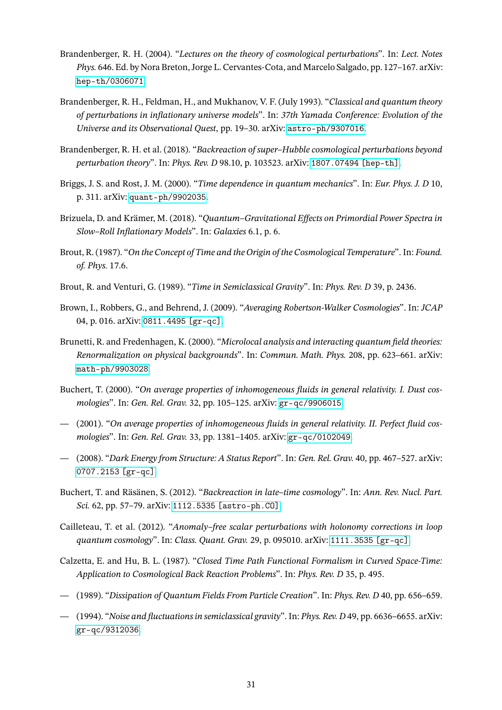- <span id="page-30-0"></span>Brandenberger, R. H. (2004). "*Lectures on the theory of cosmological perturbations*". In: *Lect. Notes Phys.* 646. Ed. by Nora Breton, Jorge L. Cervantes-Cota, and Marcelo Salgado, pp. 127–167. arXiv: [hep-th/0306071](https://arxiv.org/abs/hep-th/0306071).
- <span id="page-30-1"></span>Brandenberger, R. H., Feldman, H., and Mukhanov, V. F. (July 1993). "*Classical and quantum theory of perturbations in inflationary universe models*". In: *37th Yamada Conference: Evolution of the Universe and its Observational Quest*, pp. 19–30. arXiv: [astro-ph/9307016](https://arxiv.org/abs/astro-ph/9307016).
- <span id="page-30-8"></span>Brandenberger, R. H. et al. (2018). "*Backreaction of super–Hubble cosmological perturbations beyond perturbation theory*". In: *Phys. Rev. D* 98.10, p. 103523. arXiv: [1807.07494 \[hep-th\]](https://arxiv.org/abs/1807.07494).
- <span id="page-30-16"></span>Briggs, J. S. and Rost, J. M. (2000). "*Time dependence in quantum mechanics*". In: *Eur. Phys. J. D* 10, p. 311. arXiv: [quant-ph/9902035](https://arxiv.org/abs/quant-ph/9902035).
- <span id="page-30-2"></span>Brizuela, D. and Krämer, M. (2018). "*Quantum–Gravitational Effects on Primordial Power Spectra in Slow–Roll Inflationary Models*". In: *Galaxies* 6.1, p. 6.
- <span id="page-30-14"></span>Brout, R. (1987). "*On the Concept of Time and the Origin of the Cosmological Temperature*". In: *Found. of. Phys.* 17.6.
- <span id="page-30-15"></span><span id="page-30-9"></span>Brout, R. and Venturi, G. (1989). "*Time in Semiclassical Gravity*". In: *Phys. Rev. D* 39, p. 2436.
- Brown, I., Robbers, G., and Behrend, J. (2009). "*Averaging Robertson-Walker Cosmologies*". In: *JCAP* 04, p. 016. arXiv: [0811.4495 \[gr-qc\]](https://arxiv.org/abs/0811.4495).
- <span id="page-30-11"></span>Brunetti, R. and Fredenhagen, K. (2000). "*Microlocal analysis and interacting quantum field theories: Renormalization on physical backgrounds*". In: *Commun. Math. Phys.* 208, pp. 623–661. arXiv: [math-ph/9903028](https://arxiv.org/abs/math-ph/9903028).
- <span id="page-30-4"></span>Buchert, T. (2000). "*On average properties of inhomogeneous fluids in general relativity. I. Dust cosmologies*". In: *Gen. Rel. Grav.* 32, pp. 105–125. arXiv: [gr-qc/9906015](https://arxiv.org/abs/gr-qc/9906015).
- <span id="page-30-5"></span>— (2001). "*On average properties of inhomogeneous fluids in general relativity. II. Perfect fluid cosmologies*". In: *Gen. Rel. Grav.* 33, pp. 1381–1405. arXiv: [gr-qc/0102049](https://arxiv.org/abs/gr-qc/0102049).
- <span id="page-30-6"></span>— (2008). "*Dark Energy from Structure: A Status Report*". In: *Gen. Rel. Grav.* 40, pp. 467–527. arXiv: [0707.2153 \[gr-qc\]](https://arxiv.org/abs/0707.2153).
- <span id="page-30-7"></span>Buchert, T. and Räsänen, S. (2012). "*Backreaction in late–time cosmology*". In: *Ann. Rev. Nucl. Part. Sci.* 62, pp. 57–79. arXiv: [1112.5335 \[astro-ph.CO\]](https://arxiv.org/abs/1112.5335).
- <span id="page-30-3"></span>Cailleteau, T. et al. (2012). "*Anomaly–free scalar perturbations with holonomy corrections in loop quantum cosmology*". In: *Class. Quant. Grav.* 29, p. 095010. arXiv: [1111.3535 \[gr-qc\]](https://arxiv.org/abs/1111.3535).
- <span id="page-30-10"></span>Calzetta, E. and Hu, B. L. (1987). "*Closed Time Path Functional Formalism in Curved Space-Time: Application to Cosmological Back Reaction Problems*". In: *Phys. Rev. D* 35, p. 495.
- <span id="page-30-13"></span><span id="page-30-12"></span>— (1989). "*Dissipation of Quantum Fields From Particle Creation*". In: *Phys. Rev. D* 40, pp. 656–659.
- (1994). "*Noise and fluctuations in semiclassical gravity*". In: *Phys. Rev. D* 49, pp. 6636–6655. arXiv: [gr-qc/9312036](https://arxiv.org/abs/gr-qc/9312036).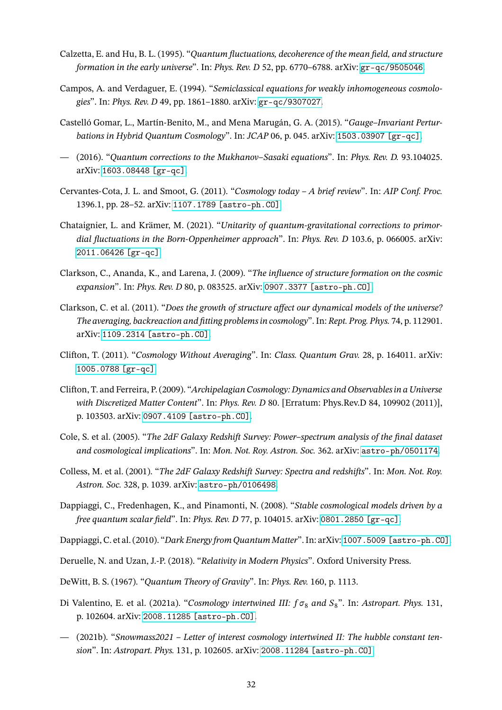- <span id="page-31-13"></span>Calzetta, E. and Hu, B. L. (1995). "*Quantum fluctuations, decoherence of the mean field, and structure formation in the early universe*". In: *Phys. Rev. D* 52, pp. 6770–6788. arXiv: [gr-qc/9505046](https://arxiv.org/abs/gr-qc/9505046).
- <span id="page-31-10"></span>Campos, A. and Verdaguer, E. (1994). "*Semiclassical equations for weakly inhomogeneous cosmologies*". In: *Phys. Rev. D* 49, pp. 1861–1880. arXiv: [gr-qc/9307027](https://arxiv.org/abs/gr-qc/9307027).
- <span id="page-31-16"></span>Castelló Gomar, L., Martín-Benito, M., and Mena Marugán, G. A. (2015). "*Gauge–Invariant Perturbations in Hybrid Quantum Cosmology*". In: *JCAP* 06, p. 045. arXiv: [1503.03907 \[gr-qc\]](https://arxiv.org/abs/1503.03907).
- <span id="page-31-17"></span>— (2016). "*Quantum corrections to the Mukhanov–Sasaki equations*". In: *Phys. Rev. D.* 93.104025. arXiv: [1603.08448 \[gr-qc\]](https://arxiv.org/abs/1603.08448).
- <span id="page-31-0"></span>Cervantes-Cota, J. L. and Smoot, G. (2011). "*Cosmology today – A brief review*". In: *AIP Conf. Proc.* 1396.1, pp. 28–52. arXiv: [1107.1789 \[astro-ph.CO\]](https://arxiv.org/abs/1107.1789).
- <span id="page-31-15"></span>Chataignier, L. and Krämer, M. (2021). "*Unitarity of quantum-gravitational corrections to primordial fluctuations in the Born-Oppenheimer approach*". In: *Phys. Rev. D* 103.6, p. 066005. arXiv: [2011.06426 \[gr-qc\]](https://arxiv.org/abs/2011.06426).
- <span id="page-31-9"></span>Clarkson, C., Ananda, K., and Larena, J. (2009). "*The influence of structure formation on the cosmic expansion*". In: *Phys. Rev. D* 80, p. 083525. arXiv: [0907.3377 \[astro-ph.CO\]](https://arxiv.org/abs/0907.3377).
- <span id="page-31-6"></span>Clarkson, C. et al. (2011). "*Does the growth of structure affect our dynamical models of the universe? The averaging, backreaction and fitting problems in cosmology*". In: *Rept. Prog. Phys.* 74, p. 112901. arXiv: [1109.2314 \[astro-ph.CO\]](https://arxiv.org/abs/1109.2314).
- <span id="page-31-7"></span>Clifton, T. (2011). "*Cosmology Without Averaging*". In: *Class. Quantum Grav.* 28, p. 164011. arXiv: [1005.0788 \[gr-qc\]](https://arxiv.org/abs/1005.0788).
- <span id="page-31-8"></span>Clifton, T. and Ferreira, P. (2009). "*Archipelagian Cosmology: Dynamics and Observables in a Universe with Discretized Matter Content*". In: *Phys. Rev. D* 80. [Erratum: Phys.Rev.D 84, 109902 (2011)], p. 103503. arXiv: [0907.4109 \[astro-ph.CO\]](https://arxiv.org/abs/0907.4109).
- <span id="page-31-2"></span>Cole, S. et al. (2005). "*The 2dF Galaxy Redshift Survey: Power–spectrum analysis of the final dataset and cosmological implications*". In: *Mon. Not. Roy. Astron. Soc.* 362. arXiv: [astro-ph/0501174](https://arxiv.org/abs/astro-ph/0501174).
- <span id="page-31-3"></span>Colless, M. et al. (2001). "*The 2dF Galaxy Redshift Survey: Spectra and redshifts*". In: *Mon. Not. Roy. Astron. Soc.* 328, p. 1039. arXiv: [astro-ph/0106498](https://arxiv.org/abs/astro-ph/0106498).
- <span id="page-31-11"></span>Dappiaggi, C., Fredenhagen, K., and Pinamonti, N. (2008). "*Stable cosmological models driven by a free quantum scalar field*". In: *Phys. Rev. D* 77, p. 104015. arXiv: [0801.2850 \[gr-qc\]](https://arxiv.org/abs/0801.2850).
- <span id="page-31-12"></span><span id="page-31-1"></span>Dappiaggi, C. et al. (2010). "*Dark Energy from Quantum Matter*". In: arXiv: [1007.5009 \[astro-ph.CO\]](https://arxiv.org/abs/1007.5009).
- <span id="page-31-14"></span>Deruelle, N. and Uzan, J.-P. (2018). "*Relativity in Modern Physics*". Oxford University Press.
- <span id="page-31-4"></span>DeWitt, B. S. (1967). "*Quantum Theory of Gravity*". In: *Phys. Rev.* 160, p. 1113.
- Di Valentino, E. et al. (2021a). "*Cosmology intertwined III:*  $f\sigma_8$  *and*  $S_8$ ". In: *Astropart. Phys.* 131, p. 102604. arXiv: [2008.11285 \[astro-ph.CO\]](https://arxiv.org/abs/2008.11285).
- <span id="page-31-5"></span>— (2021b). "*Snowmass2021 – Letter of interest cosmology intertwined II: The hubble constant tension*". In: *Astropart. Phys.* 131, p. 102605. arXiv: [2008.11284 \[astro-ph.CO\]](https://arxiv.org/abs/2008.11284).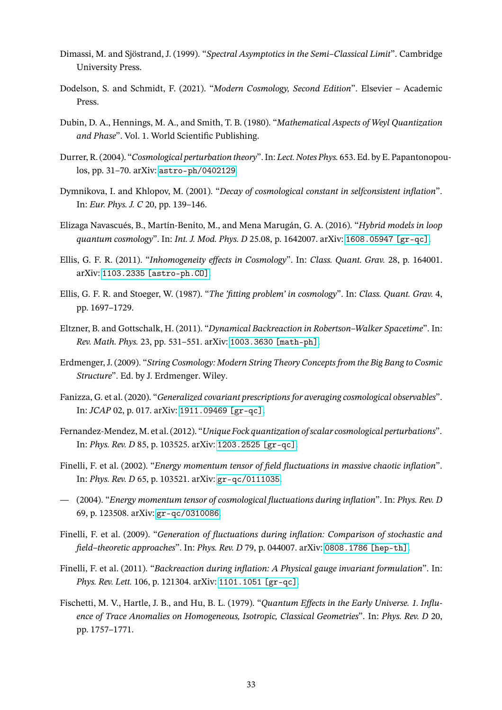- <span id="page-32-15"></span>Dimassi, M. and Sjöstrand, J. (1999). "*Spectral Asymptotics in the Semi–Classical Limit*". Cambridge University Press.
- <span id="page-32-16"></span><span id="page-32-0"></span>Dodelson, S. and Schmidt, F. (2021). "*Modern Cosmology, Second Edition*". Elsevier – Academic Press.
- Dubin, D. A., Hennings, M. A., and Smith, T. B. (1980). "*Mathematical Aspects of Weyl Quantization and Phase*". Vol. 1. World Scientific Publishing.
- <span id="page-32-1"></span>Durrer, R. (2004). "*Cosmological perturbation theory*". In: *Lect. Notes Phys.* 653. Ed. by E. Papantonopoulos, pp. 31–70. arXiv: [astro-ph/0402129](https://arxiv.org/abs/astro-ph/0402129).
- <span id="page-32-12"></span>Dymnikova, I. and Khlopov, M. (2001). "*Decay of cosmological constant in selfconsistent inflation*". In: *Eur. Phys. J. C* 20, pp. 139–146.
- <span id="page-32-2"></span>Elizaga Navascués, B., Martín-Benito, M., and Mena Marugán, G. A. (2016). "*Hybrid models in loop quantum cosmology*". In: *Int. J. Mod. Phys. D* 25.08, p. 1642007. arXiv: [1608.05947 \[gr-qc\]](https://arxiv.org/abs/1608.05947).
- <span id="page-32-4"></span>Ellis, G. F. R. (2011). "*Inhomogeneity effects in Cosmology*". In: *Class. Quant. Grav.* 28, p. 164001. arXiv: [1103.2335 \[astro-ph.CO\]](https://arxiv.org/abs/1103.2335).
- <span id="page-32-5"></span>Ellis, G. F. R. and Stoeger, W. (1987). "*The 'fitting problem' in cosmology*". In: *Class. Quant. Grav.* 4, pp. 1697–1729.
- <span id="page-32-11"></span>Eltzner, B. and Gottschalk, H. (2011). "*Dynamical Backreaction in Robertson–Walker Spacetime*". In: *Rev. Math. Phys.* 23, pp. 531–551. arXiv: [1003.3630 \[math-ph\]](https://arxiv.org/abs/1003.3630).
- <span id="page-32-3"></span>Erdmenger, J. (2009). "*String Cosmology: Modern String Theory Concepts from the Big Bang to Cosmic Structure*". Ed. by J. Erdmenger. Wiley.
- <span id="page-32-6"></span>Fanizza, G. et al. (2020). "*Generalized covariant prescriptions for averaging cosmological observables*". In: *JCAP* 02, p. 017. arXiv: [1911.09469 \[gr-qc\]](https://arxiv.org/abs/1911.09469).
- <span id="page-32-14"></span>Fernandez-Mendez, M. et al. (2012). "*Unique Fock quantization of scalar cosmological perturbations*". In: *Phys. Rev. D* 85, p. 103525. arXiv: [1203.2525 \[gr-qc\]](https://arxiv.org/abs/1203.2525).
- <span id="page-32-9"></span>Finelli, F. et al. (2002). "*Energy momentum tensor of field fluctuations in massive chaotic inflation*". In: *Phys. Rev. D* 65, p. 103521. arXiv: [gr-qc/0111035](https://arxiv.org/abs/gr-qc/0111035).
- <span id="page-32-10"></span>— (2004). "*Energy momentum tensor of cosmological fluctuations during inflation*". In: *Phys. Rev. D* 69, p. 123508. arXiv: [gr-qc/0310086](https://arxiv.org/abs/gr-qc/0310086).
- <span id="page-32-13"></span>Finelli, F. et al. (2009). "*Generation of fluctuations during inflation: Comparison of stochastic and field–theoretic approaches*". In: *Phys. Rev. D* 79, p. 044007. arXiv: [0808.1786 \[hep-th\]](https://arxiv.org/abs/0808.1786).
- <span id="page-32-7"></span>Finelli, F. et al. (2011). "*Backreaction during inflation: A Physical gauge invariant formulation*". In: *Phys. Rev. Lett.* 106, p. 121304. arXiv: [1101.1051 \[gr-qc\]](https://arxiv.org/abs/1101.1051).
- <span id="page-32-8"></span>Fischetti, M. V., Hartle, J. B., and Hu, B. L. (1979). "*Quantum Effects in the Early Universe. 1. Influence of Trace Anomalies on Homogeneous, Isotropic, Classical Geometries*". In: *Phys. Rev. D* 20, pp. 1757–1771.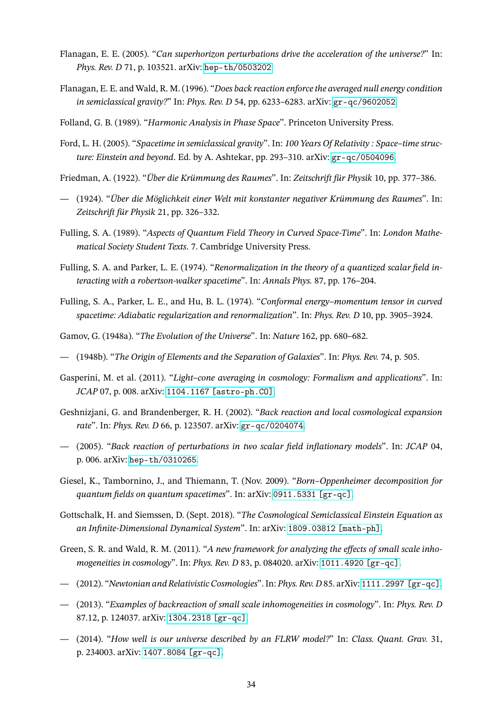- <span id="page-33-4"></span>Flanagan, E. E. (2005). "*Can superhorizon perturbations drive the acceleration of the universe?*" In: *Phys. Rev. D* 71, p. 103521. arXiv: [hep-th/0503202](https://arxiv.org/abs/hep-th/0503202).
- <span id="page-33-16"></span>Flanagan, E. E. and Wald, R. M. (1996). "*Does back reaction enforce the averaged null energy condition in semiclassical gravity?*" In: *Phys. Rev. D* 54, pp. 6233–6283. arXiv: [gr-qc/9602052](https://arxiv.org/abs/gr-qc/9602052).
- <span id="page-33-19"></span><span id="page-33-12"></span>Folland, G. B. (1989). "*Harmonic Analysis in Phase Space*". Princeton University Press.
- Ford, L. H. (2005). "*Spacetime in semiclassical gravity*". In: *100 Years Of Relativity : Space–time structure: Einstein and beyond*. Ed. by A. Ashtekar, pp. 293–310. arXiv: [gr-qc/0504096](https://arxiv.org/abs/gr-qc/0504096).
- <span id="page-33-3"></span><span id="page-33-2"></span>Friedman, A. (1922). "*Über die Krümmung des Raumes*". In: *Zeitschrift für Physik* 10, pp. 377–386.
- (1924). "*Über die Möglichkeit einer Welt mit konstanter negativer Krümmung des Raumes*". In: *Zeitschrift für Physik* 21, pp. 326–332.
- <span id="page-33-13"></span>Fulling, S. A. (1989). "*Aspects of Quantum Field Theory in Curved Space-Time*". In: *London Mathematical Society Student Texts*. 7. Cambridge University Press.
- <span id="page-33-14"></span>Fulling, S. A. and Parker, L. E. (1974). "*Renormalization in the theory of a quantized scalar field interacting with a robertson-walker spacetime*". In: *Annals Phys.* 87, pp. 176–204.
- <span id="page-33-15"></span>Fulling, S. A., Parker, L. E., and Hu, B. L. (1974). "*Conformal energy–momentum tensor in curved spacetime: Adiabatic regularization and renormalization*". In: *Phys. Rev. D* 10, pp. 3905–3924.
- <span id="page-33-1"></span><span id="page-33-0"></span>Gamov, G. (1948a). "*The Evolution of the Universe*". In: *Nature* 162, pp. 680–682.
- <span id="page-33-5"></span>— (1948b). "*The Origin of Elements and the Separation of Galaxies*". In: *Phys. Rev.* 74, p. 505.
- Gasperini, M. et al. (2011). "*Light–cone averaging in cosmology: Formalism and applications*". In: *JCAP* 07, p. 008. arXiv: [1104.1167 \[astro-ph.CO\]](https://arxiv.org/abs/1104.1167).
- <span id="page-33-10"></span>Geshnizjani, G. and Brandenberger, R. H. (2002). "*Back reaction and local cosmological expansion rate*". In: *Phys. Rev. D* 66, p. 123507. arXiv: [gr-qc/0204074](https://arxiv.org/abs/gr-qc/0204074).
- <span id="page-33-11"></span>— (2005). "*Back reaction of perturbations in two scalar field inflationary models*". In: *JCAP* 04, p. 006. arXiv: [hep-th/0310265](https://arxiv.org/abs/hep-th/0310265).
- <span id="page-33-18"></span>Giesel, K., Tambornino, J., and Thiemann, T. (Nov. 2009). "*Born–Oppenheimer decomposition for quantum fields on quantum spacetimes*". In: arXiv: [0911.5331 \[gr-qc\]](https://arxiv.org/abs/0911.5331).
- <span id="page-33-17"></span>Gottschalk, H. and Siemssen, D. (Sept. 2018). "*The Cosmological Semiclassical Einstein Equation as an Infinite-Dimensional Dynamical System*". In: arXiv: [1809.03812 \[math-ph\]](https://arxiv.org/abs/1809.03812).
- <span id="page-33-6"></span>Green, S. R. and Wald, R. M. (2011). "*A new framework for analyzing the effects of small scale inhomogeneities in cosmology*". In: *Phys. Rev. D* 83, p. 084020. arXiv: [1011.4920 \[gr-qc\]](https://arxiv.org/abs/1011.4920).
- <span id="page-33-8"></span><span id="page-33-7"></span>— (2012). "*Newtonian and Relativistic Cosmologies*". In: *Phys. Rev. D* 85. arXiv: [1111.2997 \[gr-qc\]](https://arxiv.org/abs/1111.2997).
- (2013). "*Examples of backreaction of small scale inhomogeneities in cosmology*". In: *Phys. Rev. D* 87.12, p. 124037. arXiv: [1304.2318 \[gr-qc\]](https://arxiv.org/abs/1304.2318).
- <span id="page-33-9"></span>— (2014). "*How well is our universe described by an FLRW model?*" In: *Class. Quant. Grav.* 31, p. 234003. arXiv: [1407.8084 \[gr-qc\]](https://arxiv.org/abs/1407.8084).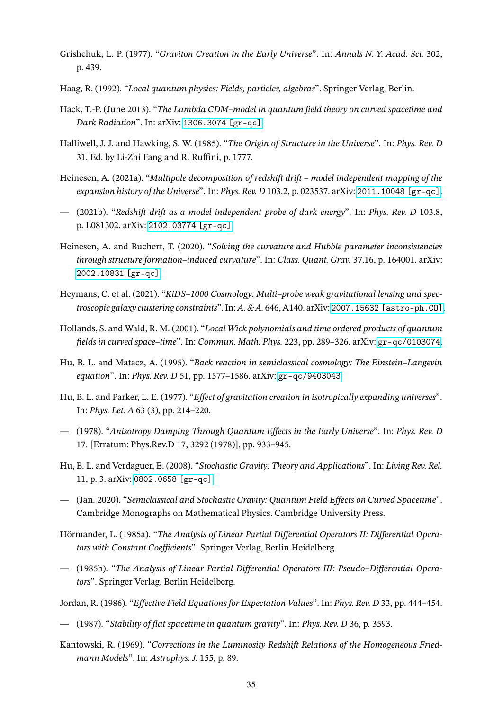- <span id="page-34-9"></span>Grishchuk, L. P. (1977). "*Graviton Creation in the Early Universe*". In: *Annals N. Y. Acad. Sci.* 302, p. 439.
- <span id="page-34-13"></span><span id="page-34-7"></span>Haag, R. (1992). "*Local quantum physics: Fields, particles, algebras*". Springer Verlag, Berlin.
- Hack, T.-P. (June 2013). "*The Lambda CDM–model in quantum field theory on curved spacetime and Dark Radiation*". In: arXiv: [1306.3074 \[gr-qc\]](https://arxiv.org/abs/1306.3074).
- <span id="page-34-15"></span>Halliwell, J. J. and Hawking, S. W. (1985). "*The Origin of Structure in the Universe*". In: *Phys. Rev. D* 31. Ed. by Li-Zhi Fang and R. Ruffini, p. 1777.
- <span id="page-34-2"></span>Heinesen, A. (2021a). "*Multipole decomposition of redshift drift – model independent mapping of the expansion history of the Universe*". In: *Phys. Rev. D* 103.2, p. 023537. arXiv: [2011.10048 \[gr-qc\]](https://arxiv.org/abs/2011.10048).
- <span id="page-34-3"></span>— (2021b). "*Redshift drift as a model independent probe of dark energy*". In: *Phys. Rev. D* 103.8, p. L081302. arXiv: [2102.03774 \[gr-qc\]](https://arxiv.org/abs/2102.03774).
- <span id="page-34-0"></span>Heinesen, A. and Buchert, T. (2020). "*Solving the curvature and Hubble parameter inconsistencies through structure formation–induced curvature*". In: *Class. Quant. Grav.* 37.16, p. 164001. arXiv: [2002.10831 \[gr-qc\]](https://arxiv.org/abs/2002.10831).
- Heymans, C. et al. (2021). "*KiDS–1000 Cosmology: Multi–probe weak gravitational lensing and spectroscopic galaxy clustering constraints*". In:*A. & A.* 646, A140. arXiv: [2007.15632 \[astro-ph.CO\]](https://arxiv.org/abs/2007.15632).
- <span id="page-34-8"></span>Hollands, S. and Wald, R. M. (2001). "*Local Wick polynomials and time ordered products of quantum fields in curved space–time*". In: *Commun. Math. Phys.* 223, pp. 289–326. arXiv: [gr-qc/0103074](https://arxiv.org/abs/gr-qc/0103074).
- <span id="page-34-14"></span>Hu, B. L. and Matacz, A. (1995). "*Back reaction in semiclassical cosmology: The Einstein–Langevin equation*". In: *Phys. Rev. D* 51, pp. 1577–1586. arXiv: [gr-qc/9403043](https://arxiv.org/abs/gr-qc/9403043).
- <span id="page-34-10"></span>Hu, B. L. and Parker, L. E. (1977). "*Effect of gravitation creation in isotropically expanding universes*". In: *Phys. Let. A* 63 (3), pp. 214–220.
- <span id="page-34-12"></span>— (1978). "*Anisotropy Damping Through Quantum Effects in the Early Universe*". In: *Phys. Rev. D* 17. [Erratum: Phys.Rev.D 17, 3292 (1978)], pp. 933–945.
- <span id="page-34-4"></span>Hu, B. L. and Verdaguer, E. (2008). "*Stochastic Gravity: Theory and Applications*". In: *Living Rev. Rel.* 11, p. 3. arXiv: [0802.0658 \[gr-qc\]](https://arxiv.org/abs/0802.0658).
- <span id="page-34-11"></span>— (Jan. 2020). "*Semiclassical and Stochastic Gravity: Quantum Field Effects on Curved Spacetime*". Cambridge Monographs on Mathematical Physics. Cambridge University Press.
- <span id="page-34-16"></span>Hörmander, L. (1985a). "*The Analysis of Linear Partial Differential Operators II: Differential Operators with Constant Coefficients*". Springer Verlag, Berlin Heidelberg.
- <span id="page-34-17"></span>— (1985b). "*The Analysis of Linear Partial Differential Operators III: Pseudo–Differential Operators*". Springer Verlag, Berlin Heidelberg.
- <span id="page-34-6"></span><span id="page-34-5"></span>Jordan, R. (1986). "*Effective Field Equations for Expectation Values*". In: *Phys. Rev. D* 33, pp. 444–454.
- <span id="page-34-1"></span>— (1987). "*Stability of flat spacetime in quantum gravity*". In: *Phys. Rev. D* 36, p. 3593.
- Kantowski, R. (1969). "*Corrections in the Luminosity Redshift Relations of the Homogeneous Friedmann Models*". In: *Astrophys. J.* 155, p. 89.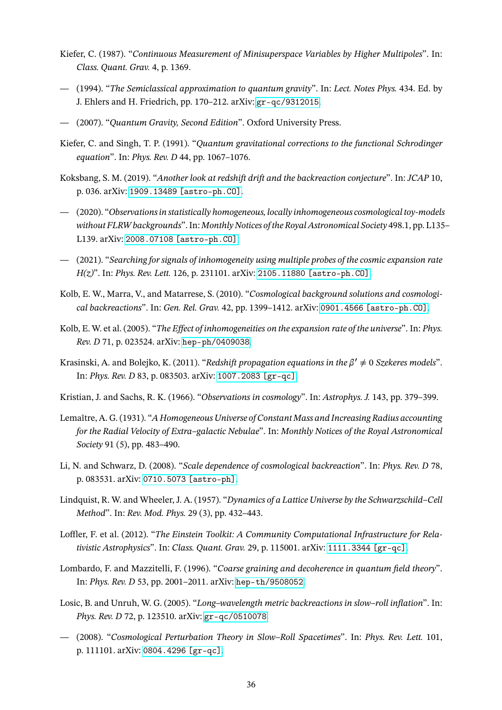- <span id="page-35-17"></span>Kiefer, C. (1987). "*Continuous Measurement of Minisuperspace Variables by Higher Multipoles*". In: *Class. Quant. Grav.* 4, p. 1369.
- <span id="page-35-16"></span>— (1994). "*The Semiclassical approximation to quantum gravity*". In: *Lect. Notes Phys.* 434. Ed. by J. Ehlers and H. Friedrich, pp. 170–212. arXiv: [gr-qc/9312015](https://arxiv.org/abs/gr-qc/9312015).
- <span id="page-35-15"></span><span id="page-35-1"></span>— (2007). "*Quantum Gravity, Second Edition*". Oxford University Press.
- Kiefer, C. and Singh, T. P. (1991). "*Quantum gravitational corrections to the functional Schrodinger equation*". In: *Phys. Rev. D* 44, pp. 1067–1076.
- <span id="page-35-5"></span>Koksbang, S. M. (2019). "*Another look at redshift drift and the backreaction conjecture*". In: *JCAP* 10, p. 036. arXiv: [1909.13489 \[astro-ph.CO\]](https://arxiv.org/abs/1909.13489).
- <span id="page-35-6"></span>— (2020). "*Observations in statistically homogeneous, locally inhomogeneous cosmological toy-models without FLRW backgrounds*". In: *Monthly Notices of the Royal Astronomical Society* 498.1, pp. L135– L139. arXiv: [2008.07108 \[astro-ph.CO\]](https://arxiv.org/abs/2008.07108).
- <span id="page-35-7"></span>— (2021). "*Searching for signals of inhomogeneity using multiple probes of the cosmic expansion rate H(z)*". In: *Phys. Rev. Lett.* 126, p. 231101. arXiv: [2105.11880 \[astro-ph.CO\]](https://arxiv.org/abs/2105.11880).
- <span id="page-35-8"></span>Kolb, E. W., Marra, V., and Matarrese, S. (2010). "*Cosmological background solutions and cosmological backreactions*". In: *Gen. Rel. Grav.* 42, pp. 1399–1412. arXiv: [0901.4566 \[astro-ph.CO\]](https://arxiv.org/abs/0901.4566).
- <span id="page-35-9"></span>Kolb, E. W. et al. (2005). "*The Effect of inhomogeneities on the expansion rate of the universe*". In: *Phys. Rev. D* 71, p. 023524. arXiv: [hep-ph/0409038](https://arxiv.org/abs/hep-ph/0409038).
- <span id="page-35-3"></span>Krasinski, A. and Bolejko, K. (2011). "*Redshift propagation equations in the β′ ≠* 0 *Szekeres models*". In: *Phys. Rev. D* 83, p. 083503. arXiv: [1007.2083 \[gr-qc\]](https://arxiv.org/abs/1007.2083).
- <span id="page-35-4"></span><span id="page-35-0"></span>Kristian, J. and Sachs, R. K. (1966). "*Observations in cosmology*". In: *Astrophys. J.* 143, pp. 379–399.
- Lemaître, A. G. (1931). "*A Homogeneous Universe of Constant Mass and Increasing Radius accounting for the Radial Velocity of Extra–galactic Nebulae*". In: *Monthly Notices of the Royal Astronomical Society* 91 (5), pp. 483–490.
- <span id="page-35-10"></span>Li, N. and Schwarz, D. (2008). "*Scale dependence of cosmological backreaction*". In: *Phys. Rev. D* 78, p. 083531. arXiv: [0710.5073 \[astro-ph\]](https://arxiv.org/abs/0710.5073).
- <span id="page-35-2"></span>Lindquist, R. W. and Wheeler, J. A. (1957). "*Dynamics of a Lattice Universe by the Schwarzschild–Cell Method*". In: *Rev. Mod. Phys.* 29 (3), pp. 432–443.
- <span id="page-35-11"></span>Loffler, F. et al. (2012). "*The Einstein Toolkit: A Community Computational Infrastructure for Relativistic Astrophysics*". In: *Class. Quant. Grav.* 29, p. 115001. arXiv: [1111.3344 \[gr-qc\]](https://arxiv.org/abs/1111.3344).
- <span id="page-35-14"></span>Lombardo, F. and Mazzitelli, F. (1996). "*Coarse graining and decoherence in quantum field theory*". In: *Phys. Rev. D* 53, pp. 2001–2011. arXiv: [hep-th/9508052](https://arxiv.org/abs/hep-th/9508052).
- <span id="page-35-12"></span>Losic, B. and Unruh, W. G. (2005). "*Long–wavelength metric backreactions in slow–roll inflation*". In: *Phys. Rev. D* 72, p. 123510. arXiv: [gr-qc/0510078](https://arxiv.org/abs/gr-qc/0510078).
- <span id="page-35-13"></span>— (2008). "*Cosmological Perturbation Theory in Slow–Roll Spacetimes*". In: *Phys. Rev. Lett.* 101, p. 111101. arXiv: [0804.4296 \[gr-qc\]](https://arxiv.org/abs/0804.4296).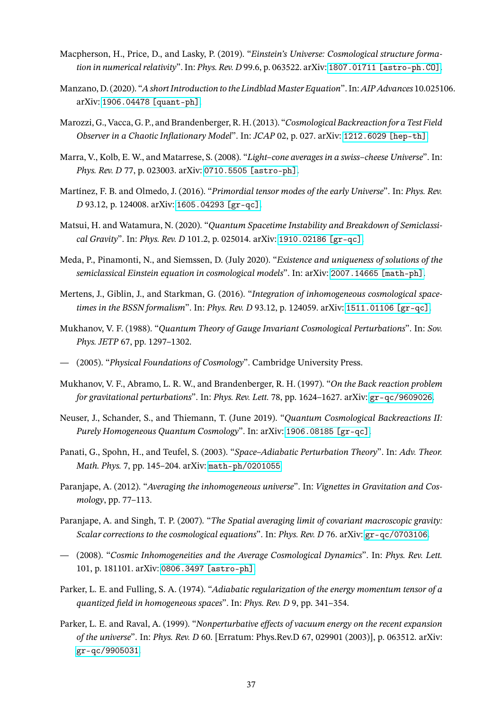- <span id="page-36-6"></span>Macpherson, H., Price, D., and Lasky, P. (2019). "*Einstein's Universe: Cosmological structure formation in numerical relativity*". In: *Phys. Rev. D* 99.6, p. 063522. arXiv: [1807.01711 \[astro-ph.CO\]](https://arxiv.org/abs/1807.01711).
- <span id="page-36-16"></span>Manzano, D. (2020). "*A short Introduction to the Lindblad Master Equation*". In:*AIP Advances* 10.025106. arXiv: [1906.04478 \[quant-ph\]](https://arxiv.org/abs/1906.04478).
- <span id="page-36-8"></span>Marozzi, G., Vacca, G. P., and Brandenberger, R. H. (2013). "*Cosmological Backreaction for a Test Field Observer in a Chaotic Inflationary Model*". In: *JCAP* 02, p. 027. arXiv: [1212.6029 \[hep-th\]](https://arxiv.org/abs/1212.6029).
- <span id="page-36-4"></span>Marra, V., Kolb, E. W., and Matarrese, S. (2008). "*Light–cone averages in a swiss–cheese Universe*". In: *Phys. Rev. D* 77, p. 023003. arXiv: [0710.5505 \[astro-ph\]](https://arxiv.org/abs/0710.5505).
- <span id="page-36-14"></span>Martínez, F. B. and Olmedo, J. (2016). "*Primordial tensor modes of the early Universe*". In: *Phys. Rev. D* 93.12, p. 124008. arXiv: [1605.04293 \[gr-qc\]](https://arxiv.org/abs/1605.04293).
- <span id="page-36-11"></span>Matsui, H. and Watamura, N. (2020). "*Quantum Spacetime Instability and Breakdown of Semiclassical Gravity*". In: *Phys. Rev. D* 101.2, p. 025014. arXiv: [1910.02186 \[gr-qc\]](https://arxiv.org/abs/1910.02186).
- <span id="page-36-10"></span>Meda, P., Pinamonti, N., and Siemssen, D. (July 2020). "*Existence and uniqueness of solutions of the semiclassical Einstein equation in cosmological models*". In: arXiv: [2007.14665 \[math-ph\]](https://arxiv.org/abs/2007.14665).
- <span id="page-36-5"></span>Mertens, J., Giblin, J., and Starkman, G. (2016). "*Integration of inhomogeneous cosmological spacetimes in the BSSN formalism*". In: *Phys. Rev. D* 93.12, p. 124059. arXiv: [1511.01106 \[gr-qc\]](https://arxiv.org/abs/1511.01106).
- <span id="page-36-15"></span>Mukhanov, V. F. (1988). "*Quantum Theory of Gauge Invariant Cosmological Perturbations*". In: *Sov. Phys. JETP* 67, pp. 1297–1302.
- <span id="page-36-7"></span><span id="page-36-0"></span>— (2005). "*Physical Foundations of Cosmology*". Cambridge University Press.
- Mukhanov, V. F., Abramo, L. R. W., and Brandenberger, R. H. (1997). "*On the Back reaction problem for gravitational perturbations*". In: *Phys. Rev. Lett.* 78, pp. 1624–1627. arXiv: [gr-qc/9609026](https://arxiv.org/abs/gr-qc/9609026).
- <span id="page-36-13"></span>Neuser, J., Schander, S., and Thiemann, T. (June 2019). "*Quantum Cosmological Backreactions II: Purely Homogeneous Quantum Cosmology*". In: arXiv: [1906.08185 \[gr-qc\]](https://arxiv.org/abs/1906.08185).
- <span id="page-36-12"></span>Panati, G., Spohn, H., and Teufel, S. (2003). "*Space–Adiabatic Perturbation Theory*". In: *Adv. Theor. Math. Phys.* 7, pp. 145–204. arXiv: [math-ph/0201055](https://arxiv.org/abs/math-ph/0201055).
- <span id="page-36-1"></span>Paranjape, A. (2012). "*Averaging the inhomogeneous universe*". In: *Vignettes in Gravitation and Cosmology*, pp. 77–113.
- <span id="page-36-2"></span>Paranjape, A. and Singh, T. P. (2007). "*The Spatial averaging limit of covariant macroscopic gravity: Scalar corrections to the cosmological equations*". In: *Phys. Rev. D* 76. arXiv: [gr-qc/0703106](https://arxiv.org/abs/gr-qc/0703106).
- <span id="page-36-3"></span>— (2008). "*Cosmic Inhomogeneities and the Average Cosmological Dynamics*". In: *Phys. Rev. Lett.* 101, p. 181101. arXiv: [0806.3497 \[astro-ph\]](https://arxiv.org/abs/0806.3497).
- <span id="page-36-9"></span>Parker, L. E. and Fulling, S. A. (1974). "*Adiabatic regularization of the energy momentum tensor of a quantized field in homogeneous spaces*". In: *Phys. Rev. D* 9, pp. 341–354.
- Parker, L. E. and Raval, A. (1999). "*Nonperturbative effects of vacuum energy on the recent expansion of the universe*". In: *Phys. Rev. D* 60. [Erratum: Phys.Rev.D 67, 029901 (2003)], p. 063512. arXiv: [gr-qc/9905031](https://arxiv.org/abs/gr-qc/9905031).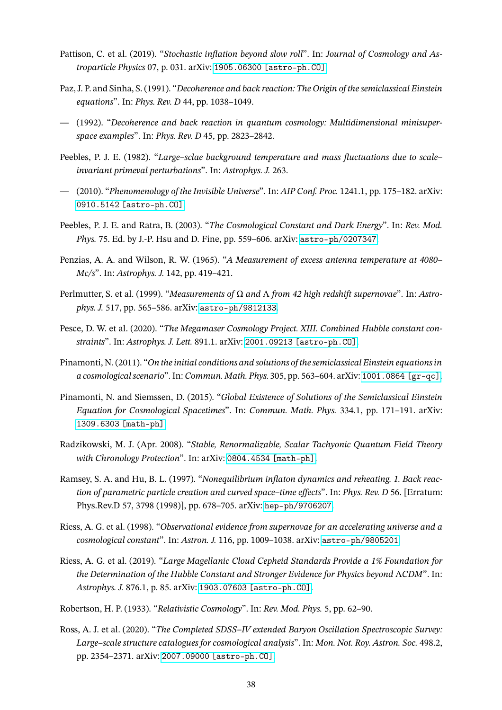- <span id="page-37-13"></span>Pattison, C. et al. (2019). "*Stochastic inflation beyond slow roll*". In: *Journal of Cosmology and Astroparticle Physics* 07, p. 031. arXiv: [1905.06300 \[astro-ph.CO\]](https://arxiv.org/abs/1905.06300).
- <span id="page-37-14"></span>Paz, J. P. and Sinha, S. (1991). "*Decoherence and back reaction: The Origin of the semiclassical Einstein equations*". In: *Phys. Rev. D* 44, pp. 1038–1049.
- <span id="page-37-15"></span>— (1992). "*Decoherence and back reaction in quantum cosmology: Multidimensional minisuperspace examples*". In: *Phys. Rev. D* 45, pp. 2823–2842.
- <span id="page-37-6"></span>Peebles, P. J. E. (1982). "*Large–sclae background temperature and mass fluctuations due to scale– invariant primeval perturbations*". In: *Astrophys. J.* 263.
- <span id="page-37-9"></span>— (2010). "*Phenomenology of the Invisible Universe*". In: *AIP Conf. Proc.* 1241.1, pp. 175–182. arXiv: [0910.5142 \[astro-ph.CO\]](https://arxiv.org/abs/0910.5142).
- <span id="page-37-3"></span>Peebles, P. J. E. and Ratra, B. (2003). "*The Cosmological Constant and Dark Energy*". In: *Rev. Mod. Phys.* 75. Ed. by J.-P. Hsu and D. Fine, pp. 559–606. arXiv: [astro-ph/0207347](https://arxiv.org/abs/astro-ph/0207347).
- <span id="page-37-0"></span>Penzias, A. A. and Wilson, R. W. (1965). "*A Measurement of excess antenna temperature at 4080– Mc/s*". In: *Astrophys. J.* 142, pp. 419–421.
- <span id="page-37-4"></span>Perlmutter, S. et al. (1999). "*Measurements of* Ω *and* Λ *from 42 high redshift supernovae*". In: *Astrophys. J.* 517, pp. 565–586. arXiv: [astro-ph/9812133](https://arxiv.org/abs/astro-ph/9812133).
- <span id="page-37-7"></span>Pesce, D. W. et al. (2020). "*The Megamaser Cosmology Project. XIII. Combined Hubble constant constraints*". In: *Astrophys. J. Lett.* 891.1. arXiv: [2001.09213 \[astro-ph.CO\]](https://arxiv.org/abs/2001.09213).
- <span id="page-37-10"></span>Pinamonti, N. (2011). "*On the initial conditions and solutions of the semiclassical Einstein equations in a cosmological scenario*". In: *Commun. Math. Phys.* 305, pp. 563–604. arXiv: [1001.0864 \[gr-qc\]](https://arxiv.org/abs/1001.0864).
- <span id="page-37-11"></span>Pinamonti, N. and Siemssen, D. (2015). "*Global Existence of Solutions of the Semiclassical Einstein Equation for Cosmological Spacetimes*". In: *Commun. Math. Phys.* 334.1, pp. 171–191. arXiv: [1309.6303 \[math-ph\]](https://arxiv.org/abs/1309.6303).
- Radzikowski, M. J. (Apr. 2008). "*Stable, Renormalizable, Scalar Tachyonic Quantum Field Theory with Chronology Protection*". In: arXiv: [0804.4534 \[math–ph\]](https://arxiv.org/abs/0804.4534).
- <span id="page-37-12"></span>Ramsey, S. A. and Hu, B. L. (1997). "*Nonequilibrium inflaton dynamics and reheating. 1. Back reaction of parametric particle creation and curved space–time effects*". In: *Phys. Rev. D* 56. [Erratum: Phys.Rev.D 57, 3798 (1998)], pp. 678–705. arXiv: [hep-ph/9706207](https://arxiv.org/abs/hep-ph/9706207).
- <span id="page-37-5"></span>Riess, A. G. et al. (1998). "*Observational evidence from supernovae for an accelerating universe and a cosmological constant*". In: *Astron. J.* 116, pp. 1009–1038. arXiv: [astro-ph/9805201](https://arxiv.org/abs/astro-ph/9805201).
- <span id="page-37-8"></span>Riess, A. G. et al. (2019). "*Large Magellanic Cloud Cepheid Standards Provide a 1% Foundation for the Determination of the Hubble Constant and Stronger Evidence for Physics beyond* Λ*CDM*". In: *Astrophys. J.* 876.1, p. 85. arXiv: [1903.07603 \[astro-ph.CO\]](https://arxiv.org/abs/1903.07603).
- <span id="page-37-2"></span><span id="page-37-1"></span>Robertson, H. P. (1933). "*Relativistic Cosmology*". In: *Rev. Mod. Phys.* 5, pp. 62–90.
- Ross, A. J. et al. (2020). "*The Completed SDSS–IV extended Baryon Oscillation Spectroscopic Survey: Large–scale structure catalogues for cosmological analysis*". In: *Mon. Not. Roy. Astron. Soc.* 498.2, pp. 2354–2371. arXiv: [2007.09000 \[astro-ph.CO\]](https://arxiv.org/abs/2007.09000).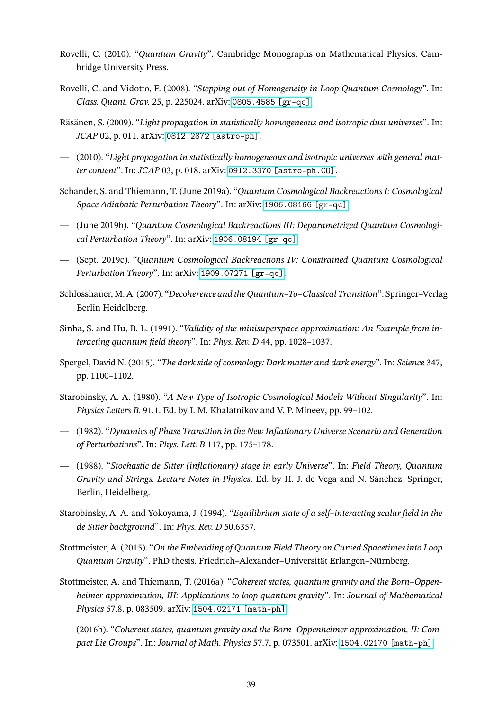- <span id="page-38-10"></span>Rovelli, C. (2010). "*Quantum Gravity*". Cambridge Monographs on Mathematical Physics. Cambridge University Press.
- <span id="page-38-13"></span>Rovelli, C. and Vidotto, F. (2008). "*Stepping out of Homogeneity in Loop Quantum Cosmology*". In: *Class. Quant. Grav.* 25, p. 225024. arXiv: [0805.4585 \[gr-qc\]](https://arxiv.org/abs/0805.4585).
- <span id="page-38-2"></span>Räsänen, S. (2009). "*Light propagation in statistically homogeneous and isotropic dust universes*". In: *JCAP* 02, p. 011. arXiv: [0812.2872 \[astro-ph\]](https://arxiv.org/abs/0812.2872).
- <span id="page-38-3"></span>— (2010). "*Light propagation in statistically homogeneous and isotropic universes with general matter content*". In: *JCAP* 03, p. 018. arXiv: [0912.3370 \[astro-ph.CO\]](https://arxiv.org/abs/0912.3370).
- <span id="page-38-1"></span>Schander, S. and Thiemann, T. (June 2019a). "*Quantum Cosmological Backreactions I: Cosmological Space Adiabatic Perturbation Theory*". In: arXiv: [1906.08166 \[gr-qc\]](https://arxiv.org/abs/1906.08166).
- <span id="page-38-14"></span>— (June 2019b). "*Quantum Cosmological Backreactions III: Deparametrized Quantum Cosmological Perturbation Theory*". In: arXiv: [1906.08194 \[gr-qc\]](https://arxiv.org/abs/1906.08194).
- <span id="page-38-9"></span>— (Sept. 2019c). "*Quantum Cosmological Backreactions IV: Constrained Quantum Cosmological Perturbation Theory*". In: arXiv: [1909.07271 \[gr-qc\]](https://arxiv.org/abs/1909.07271).
- <span id="page-38-16"></span>Schlosshauer, M. A. (2007). "*Decoherence and the Quantum–To–Classical Transition*". Springer–Verlag Berlin Heidelberg.
- <span id="page-38-5"></span>Sinha, S. and Hu, B. L. (1991). "*Validity of the minisuperspace approximation: An Example from interacting quantum field theory*". In: *Phys. Rev. D* 44, pp. 1028–1037.
- <span id="page-38-0"></span>Spergel, David N. (2015). "*The dark side of cosmology: Dark matter and dark energy*". In: *Science* 347, pp. 1100–1102.
- <span id="page-38-4"></span>Starobinsky, A. A. (1980). "*A New Type of Isotropic Cosmological Models Without Singularity*". In: *Physics Letters B.* 91.1. Ed. by I. M. Khalatnikov and V. P. Mineev, pp. 99–102.
- <span id="page-38-6"></span>— (1982). "*Dynamics of Phase Transition in the New Inflationary Universe Scenario and Generation of Perturbations*". In: *Phys. Lett. B* 117, pp. 175–178.
- <span id="page-38-7"></span>— (1988). "*Stochastic de Sitter (inflationary) stage in early Universe*". In: *Field Theory, Quantum Gravity and Strings. Lecture Notes in Physics*. Ed. by H. J. de Vega and N. Sánchez. Springer, Berlin, Heidelberg.
- <span id="page-38-8"></span>Starobinsky, A. A. and Yokoyama, J. (1994). "*Equilibrium state of a self–interacting scalar field in the de Sitter background*". In: *Phys. Rev. D* 50.6357.
- <span id="page-38-15"></span>Stottmeister, A. (2015). "*On the Embedding of Quantum Field Theory on Curved Spacetimes into Loop Quantum Gravity*". PhD thesis. Friedrich–Alexander–Universität Erlangen–Nürnberg.
- <span id="page-38-11"></span>Stottmeister, A. and Thiemann, T. (2016a). "*Coherent states, quantum gravity and the Born–Oppenheimer approximation, III: Applications to loop quantum gravity*". In: *Journal of Mathematical Physics* 57.8, p. 083509. arXiv: [1504.02171 \[math-ph\]](https://arxiv.org/abs/1504.02171).
- <span id="page-38-12"></span>— (2016b). "*Coherent states, quantum gravity and the Born–Oppenheimer approximation, II: Compact Lie Groups*". In: *Journal of Math. Physics* 57.7, p. 073501. arXiv: [1504.02170 \[math-ph\]](https://arxiv.org/abs/1504.02170).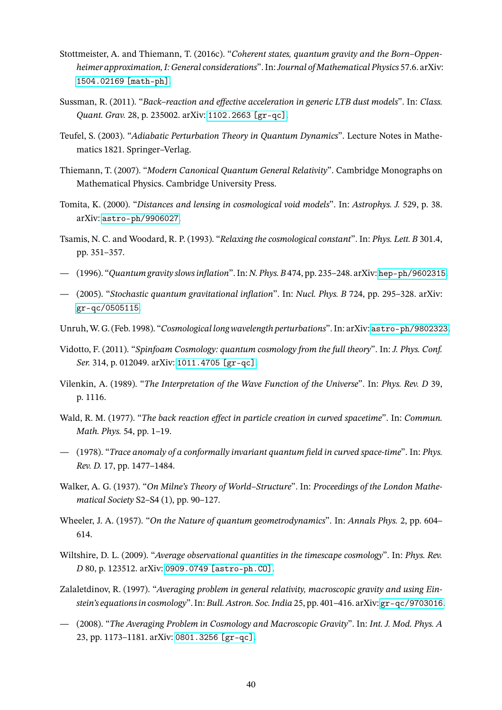- <span id="page-39-16"></span>Stottmeister, A. and Thiemann, T. (2016c). "*Coherent states, quantum gravity and the Born–Oppenheimer approximation, I: General considerations*". In:*Journal of Mathematical Physics* 57.6. arXiv: [1504.02169 \[math-ph\]](https://arxiv.org/abs/1504.02169).
- <span id="page-39-6"></span>Sussman, R. (2011). "*Back–reaction and effective acceleration in generic LTB dust models*". In: *Class. Quant. Grav.* 28, p. 235002. arXiv: [1102.2663 \[gr-qc\]](https://arxiv.org/abs/1102.2663).
- <span id="page-39-17"></span>Teufel, S. (2003). "*Adiabatic Perturbation Theory in Quantum Dynamics*". Lecture Notes in Mathematics 1821. Springer–Verlag.
- <span id="page-39-15"></span>Thiemann, T. (2007). "*Modern Canonical Quantum General Relativity*". Cambridge Monographs on Mathematical Physics. Cambridge University Press.
- <span id="page-39-5"></span>Tomita, K. (2000). "*Distances and lensing in cosmological void models*". In: *Astrophys. J.* 529, p. 38. arXiv: [astro-ph/9906027](https://arxiv.org/abs/astro-ph/9906027).
- <span id="page-39-7"></span>Tsamis, N. C. and Woodard, R. P. (1993). "*Relaxing the cosmological constant*". In: *Phys. Lett. B* 301.4, pp. 351–357.
- <span id="page-39-12"></span><span id="page-39-8"></span>— (1996). "*Quantum gravity slows inflation*". In: *N. Phys. B* 474, pp. 235–248. arXiv: [hep-ph/9602315](https://arxiv.org/abs/hep-ph/9602315).
- (2005). "*Stochastic quantum gravitational inflation*". In: *Nucl. Phys. B* 724, pp. 295–328. arXiv: [gr-qc/0505115](https://arxiv.org/abs/gr-qc/0505115).
- <span id="page-39-9"></span><span id="page-39-1"></span>Unruh,W. G. (Feb. 1998). "*Cosmological long wavelength perturbations*". In: arXiv: [astro-ph/9802323](https://arxiv.org/abs/astro-ph/9802323).
- Vidotto, F. (2011). "*Spinfoam Cosmology: quantum cosmology from the full theory*". In: *J. Phys. Conf. Ser.* 314, p. 012049. arXiv: [1011.4705 \[gr-qc\]](https://arxiv.org/abs/1011.4705).
- <span id="page-39-14"></span>Vilenkin, A. (1989). "*The Interpretation of the Wave Function of the Universe*". In: *Phys. Rev. D* 39, p. 1116.
- <span id="page-39-10"></span>Wald, R. M. (1977). "*The back reaction effect in particle creation in curved spacetime*". In: *Commun. Math. Phys.* 54, pp. 1–19.
- <span id="page-39-11"></span>— (1978). "*Trace anomaly of a conformally invariant quantum field in curved space-time*". In: *Phys. Rev. D.* 17, pp. 1477–1484.
- <span id="page-39-0"></span>Walker, A. G. (1937). "*On Milne's Theory of World–Structure*". In: *Proceedings of the London Mathematical Society* S2–S4 (1), pp. 90–127.
- <span id="page-39-13"></span>Wheeler, J. A. (1957). "*On the Nature of quantum geometrodynamics*". In: *Annals Phys.* 2, pp. 604– 614.
- <span id="page-39-4"></span>Wiltshire, D. L. (2009). "*Average observational quantities in the timescape cosmology*". In: *Phys. Rev. D* 80, p. 123512. arXiv: [0909.0749 \[astro-ph.CO\]](https://arxiv.org/abs/0909.0749).
- <span id="page-39-2"></span>Zalaletdinov, R. (1997). "*Averaging problem in general relativity, macroscopic gravity and using Einstein's equations in cosmology*". In: *Bull. Astron. Soc. India* 25, pp. 401–416. arXiv: [gr-qc/9703016](https://arxiv.org/abs/gr-qc/9703016).
- <span id="page-39-3"></span>— (2008). "*The Averaging Problem in Cosmology and Macroscopic Gravity*". In: *Int. J. Mod. Phys. A* 23, pp. 1173–1181. arXiv: [0801.3256 \[gr-qc\]](https://arxiv.org/abs/0801.3256).